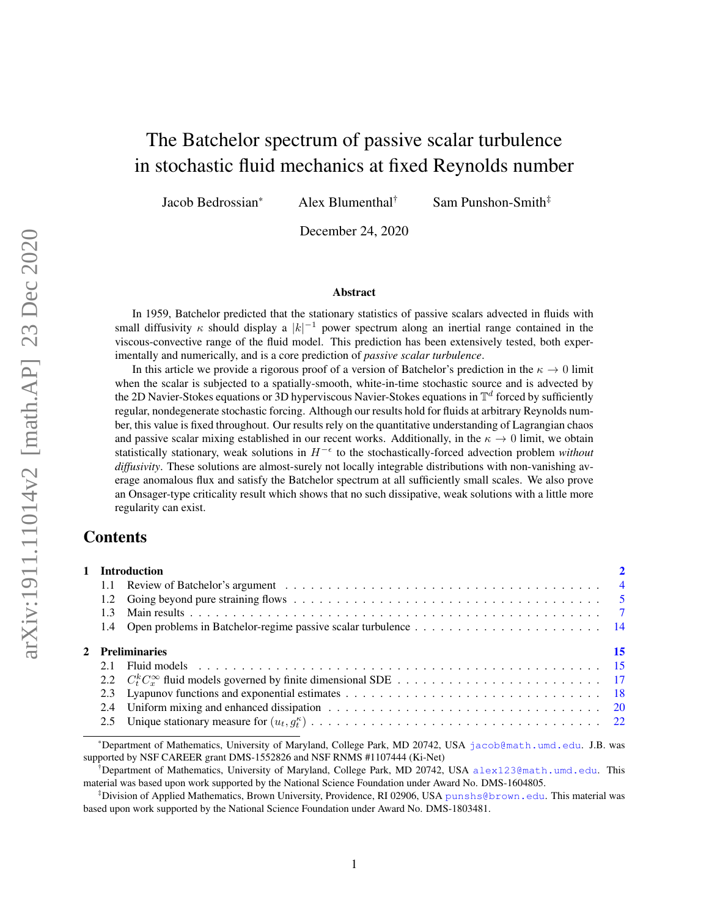# The Batchelor spectrum of passive scalar turbulence in stochastic fluid mechanics at fixed Reynolds number

Jacob Bedrossian\* Alex Blumenthal† Sam Punshon-Smith‡

December 24, 2020

#### Abstract

In 1959, Batchelor predicted that the stationary statistics of passive scalars advected in fluids with small diffusivity  $\kappa$  should display a  $|k|^{-1}$  power spectrum along an inertial range contained in the viscous-convective range of the fluid model. This prediction has been extensively tested, both experimentally and numerically, and is a core prediction of *passive scalar turbulence*.

In this article we provide a rigorous proof of a version of Batchelor's prediction in the  $\kappa \to 0$  limit when the scalar is subjected to a spatially-smooth, white-in-time stochastic source and is advected by the 2D Navier-Stokes equations or 3D hyperviscous Navier-Stokes equations in  $\mathbb{T}^d$  forced by sufficiently regular, nondegenerate stochastic forcing. Although our results hold for fluids at arbitrary Reynolds number, this value is fixed throughout. Our results rely on the quantitative understanding of Lagrangian chaos and passive scalar mixing established in our recent works. Additionally, in the  $\kappa \to 0$  limit, we obtain statistically stationary, weak solutions in H<sup>−</sup> to the stochastically-forced advection problem *without diffusivity*. These solutions are almost-surely not locally integrable distributions with non-vanishing average anomalous flux and satisfy the Batchelor spectrum at all sufficiently small scales. We also prove an Onsager-type criticality result which shows that no such dissipative, weak solutions with a little more regularity can exist.

## **Contents**

|  | 1 Introduction  |    |
|--|-----------------|----|
|  |                 |    |
|  |                 |    |
|  |                 |    |
|  |                 |    |
|  | 2 Preliminaries | 15 |
|  |                 |    |
|  |                 |    |
|  |                 |    |
|  |                 |    |
|  |                 |    |
|  |                 |    |

\*Department of Mathematics, University of Maryland, College Park, MD 20742, USA [jacob@math.umd.edu](mailto:jacob@math.umd.edu). J.B. was supported by NSF CAREER grant DMS-1552826 and NSF RNMS #1107444 (Ki-Net)

<sup>†</sup>Department of Mathematics, University of Maryland, College Park, MD 20742, USA [alex123@math.umd.edu](mailto:alex123@math.umd.edu). This material was based upon work supported by the National Science Foundation under Award No. DMS-1604805.

<sup>‡</sup>Division of Applied Mathematics, Brown University, Providence, RI 02906, USA [punshs@brown.edu](mailto:punshs@brown.edu). This material was based upon work supported by the National Science Foundation under Award No. DMS-1803481.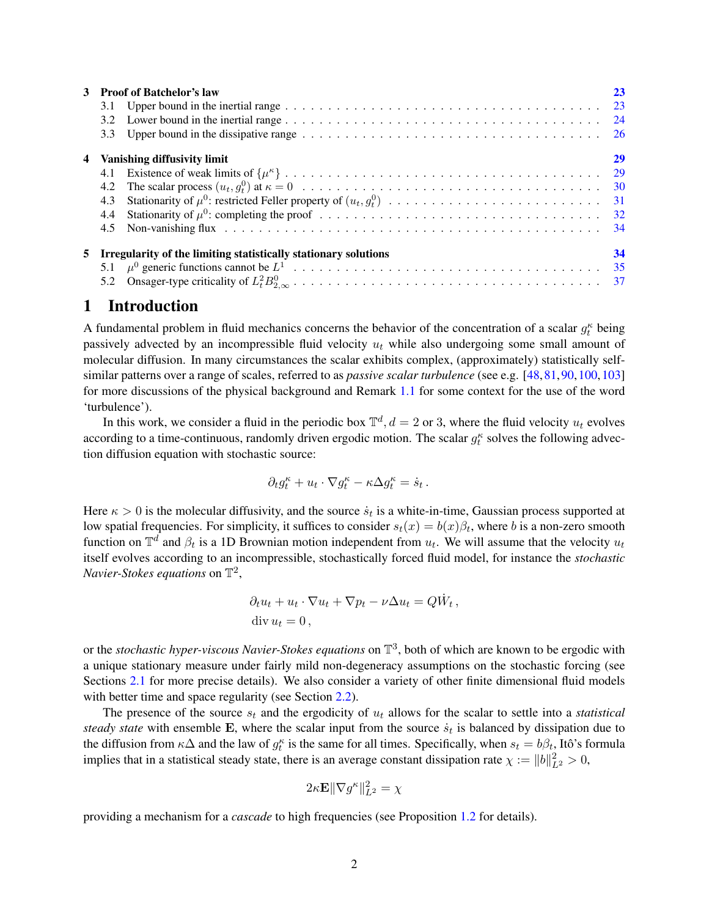|    | <b>Proof of Batchelor's law</b><br>3.1<br>3.2<br>3.3                   | 23 |
|----|------------------------------------------------------------------------|----|
| 4  | Vanishing diffusivity limit<br>4.2<br>4.3<br>4.4<br>4.5                | 29 |
| 5. | Irregularity of the limiting statistically stationary solutions<br>5.2 | 34 |

## <span id="page-1-0"></span>1 Introduction

A fundamental problem in fluid mechanics concerns the behavior of the concentration of a scalar  $g_t^{\kappa}$  being passively advected by an incompressible fluid velocity  $u_t$  while also undergoing some small amount of molecular diffusion. In many circumstances the scalar exhibits complex, (approximately) statistically selfsimilar patterns over a range of scales, referred to as *passive scalar turbulence* (see e.g. [\[48,](#page-40-0)[81,](#page-41-0)[90,](#page-41-1)[100,](#page-41-2)[103\]](#page-42-0) for more discussions of the physical background and Remark [1.1](#page-3-1) for some context for the use of the word 'turbulence').

In this work, we consider a fluid in the periodic box  $\mathbb{T}^d$ ,  $d = 2$  or 3, where the fluid velocity  $u_t$  evolves according to a time-continuous, randomly driven ergodic motion. The scalar  $g_t^{\kappa}$  solves the following advection diffusion equation with stochastic source:

$$
\partial_t g^\kappa_t + u_t\cdot \nabla g^\kappa_t - \kappa \Delta g^\kappa_t = \dot{s}_t\,.
$$

Here  $\kappa > 0$  is the molecular diffusivity, and the source  $\dot{s}_t$  is a white-in-time, Gaussian process supported at low spatial frequencies. For simplicity, it suffices to consider  $s_t(x) = b(x)\beta_t$ , where b is a non-zero smooth function on  $\mathbb{T}^d$  and  $\beta_t$  is a 1D Brownian motion independent from  $u_t$ . We will assume that the velocity  $u_t$ itself evolves according to an incompressible, stochastically forced fluid model, for instance the *stochastic Navier-Stokes equations* on  $\mathbb{T}^2$ ,

$$
\partial_t u_t + u_t \cdot \nabla u_t + \nabla p_t - \nu \Delta u_t = Q \dot{W}_t,
$$
  
div  $u_t = 0$ ,

or the *stochastic hyper-viscous Navier-Stokes equations* on T 3 , both of which are known to be ergodic with a unique stationary measure under fairly mild non-degeneracy assumptions on the stochastic forcing (see Sections [2.1](#page-14-1) for more precise details). We also consider a variety of other finite dimensional fluid models with better time and space regularity (see Section [2.2\)](#page-16-0).

The presence of the source  $s_t$  and the ergodicity of  $u_t$  allows for the scalar to settle into a *statistical* steady state with ensemble  $E$ , where the scalar input from the source  $\dot{s}_t$  is balanced by dissipation due to the diffusion from  $\kappa\Delta$  and the law of  $g_t^{\kappa}$  is the same for all times. Specifically, when  $s_t = b\beta_t$ , Itô's formula implies that in a statistical steady state, there is an average constant dissipation rate  $\chi := ||b||_{L^2}^2 > 0$ ,

$$
2\kappa \mathbf{E} \|\nabla g^\kappa\|_{L^2}^2 = \chi
$$

providing a mechanism for a *cascade* to high frequencies (see Proposition [1.2](#page-7-0) for details).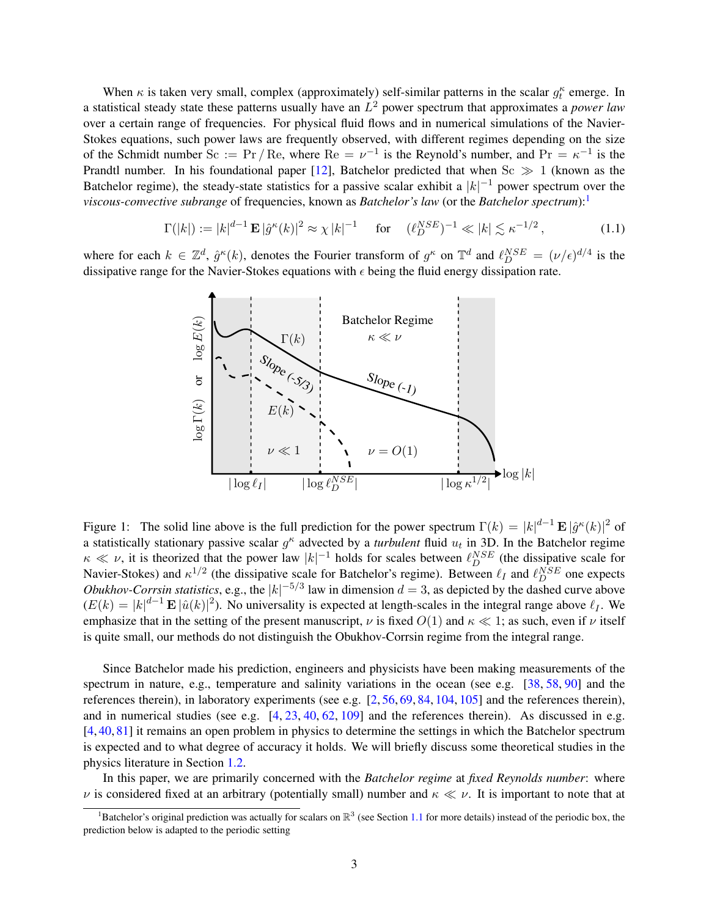When  $\kappa$  is taken very small, complex (approximately) self-similar patterns in the scalar  $g_t^{\kappa}$  emerge. In a statistical steady state these patterns usually have an L <sup>2</sup> power spectrum that approximates a *power law* over a certain range of frequencies. For physical fluid flows and in numerical simulations of the Navier-Stokes equations, such power laws are frequently observed, with different regimes depending on the size of the Schmidt number Sc :=  $Pr / Re$ , where  $Re = \nu^{-1}$  is the Reynold's number, and  $Pr = \kappa^{-1}$  is the Prandtl number. In his foundational paper [\[12\]](#page-38-0), Batchelor predicted that when  $Sc \gg 1$  (known as the Batchelor regime), the steady-state statistics for a passive scalar exhibit a  $|k|^{-1}$  power spectrum over the *viscous-convective subrange* of frequencies, known as *Batchelor's law* (or the *Batchelor spectrum*):

$$
\Gamma(|k|) := |k|^{d-1} \mathbf{E} |\hat{g}^{\kappa}(k)|^2 \approx \chi |k|^{-1} \quad \text{for} \quad (\ell_D^{NSE})^{-1} \ll |k| \lesssim \kappa^{-1/2}, \tag{1.1}
$$

where for each  $k \in \mathbb{Z}^d$ ,  $\hat{g}^{\kappa}(k)$ , denotes the Fourier transform of  $g^{\kappa}$  on  $\mathbb{T}^d$  and  $\ell_{D}^{NSE} = (\nu/\epsilon)^{d/4}$  is the dissipative range for the Navier-Stokes equations with  $\epsilon$  being the fluid energy dissipation rate.

<span id="page-2-2"></span>

<span id="page-2-1"></span>Figure 1: The solid line above is the full prediction for the power spectrum  $\Gamma(k) = |k|^{d-1} \mathbf{E} |\hat{g}^k(k)|^2$  of a statistically stationary passive scalar  $g^k$  advected by a *turbulent* fluid  $u_t$  in 3D. In the Batchelor regime  $\kappa \ll \nu$ , it is theorized that the power law  $|k|^{-1}$  holds for scales between  $\ell_{D}^{NSE}$  (the dissipative scale for Navier-Stokes) and  $\kappa^{1/2}$  (the dissipative scale for Batchelor's regime). Between  $\ell_I$  and  $\ell_D^{NSE}$  one expects *Obukhov-Corrsin statistics*, e.g., the  $|k|^{-5/3}$  law in dimension  $d = 3$ , as depicted by the dashed curve above  $(E(k) = |k|^{d-1} \mathbf{E} |\hat{u}(k)|^2)$ . No universality is expected at length-scales in the integral range above  $\ell_I$ . We emphasize that in the setting of the present manuscript,  $\nu$  is fixed  $O(1)$  and  $\kappa \ll 1$ ; as such, even if  $\nu$  itself is quite small, our methods do not distinguish the Obukhov-Corrsin regime from the integral range.

Since Batchelor made his prediction, engineers and physicists have been making measurements of the spectrum in nature, e.g., temperature and salinity variations in the ocean (see e.g. [\[38,](#page-39-0) [58,](#page-40-1) [90\]](#page-41-1) and the references therein), in laboratory experiments (see e.g. [\[2,](#page-38-1) [56,](#page-40-2) [69,](#page-40-3) [84,](#page-41-3) [104,](#page-42-1) [105\]](#page-42-2) and the references therein), and in numerical studies (see e.g. [\[4,](#page-38-2) [23,](#page-39-1) [40,](#page-39-2) [62,](#page-40-4) [109\]](#page-42-3) and the references therein). As discussed in e.g. [\[4,](#page-38-2) [40,](#page-39-2) [81\]](#page-41-0) it remains an open problem in physics to determine the settings in which the Batchelor spectrum is expected and to what degree of accuracy it holds. We will briefly discuss some theoretical studies in the physics literature in Section [1.2.](#page-4-0)

In this paper, we are primarily concerned with the *Batchelor regime* at *fixed Reynolds number*: where  $\nu$  is considered fixed at an arbitrary (potentially small) number and  $\kappa \ll \nu$ . It is important to note that at

<span id="page-2-0"></span><sup>&</sup>lt;sup>1</sup>Batchelor's original prediction was actually for scalars on  $\mathbb{R}^3$  (see Section [1.1](#page-3-0) for more details) instead of the periodic box, the prediction below is adapted to the periodic setting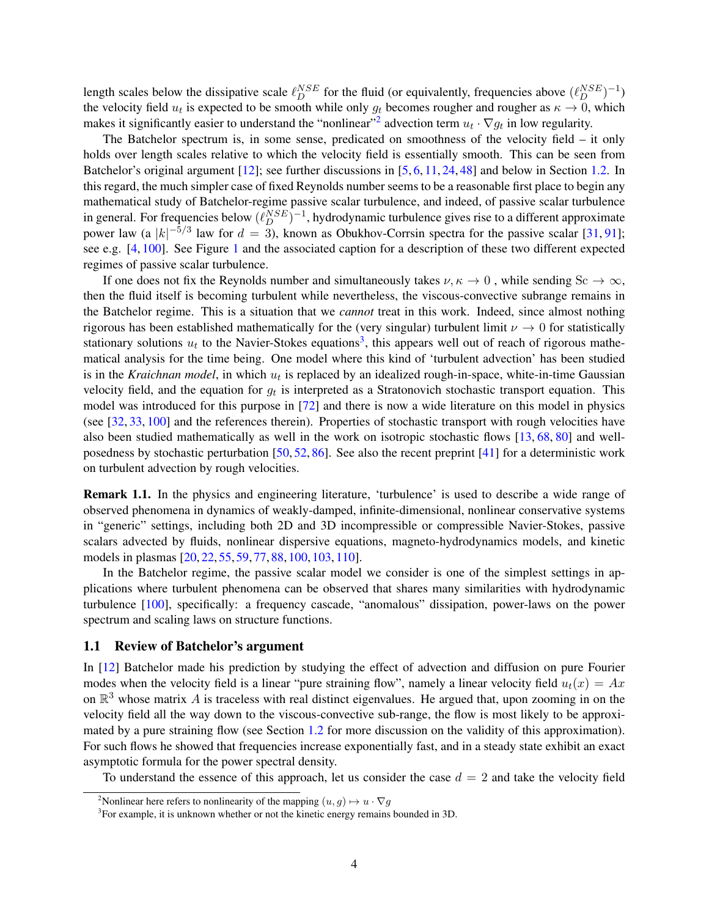length scales below the dissipative scale  $\ell_D^{NSE}$  for the fluid (or equivalently, frequencies above  $(\ell_D^{NSE})^{-1}$ ) the velocity field  $u_t$  is expected to be smooth while only  $g_t$  becomes rougher and rougher as  $\kappa \to 0$ , which makes it significantly easier to understand the "nonlinear"<sup>[2](#page-3-2)</sup> advection term  $u_t \cdot \nabla g_t$  in low regularity.

The Batchelor spectrum is, in some sense, predicated on smoothness of the velocity field – it only holds over length scales relative to which the velocity field is essentially smooth. This can be seen from Batchelor's original argument [\[12\]](#page-38-0); see further discussions in [\[5,](#page-38-3) [6,](#page-38-4) [11,](#page-38-5) [24,](#page-39-3) [48\]](#page-40-0) and below in Section [1.2.](#page-4-0) In this regard, the much simpler case of fixed Reynolds number seems to be a reasonable first place to begin any mathematical study of Batchelor-regime passive scalar turbulence, and indeed, of passive scalar turbulence in general. For frequencies below  $(\ell_D^{NSE})^{-1}$ , hydrodynamic turbulence gives rise to a different approximate power law (a |k|<sup>-5/3</sup> law for  $d = 3$ ), known as Obukhov-Corrsin spectra for the passive scalar [\[31,](#page-39-4) [91\]](#page-41-4); see e.g. [\[4,](#page-38-2) [100\]](#page-41-2). See Figure [1](#page-2-1) and the associated caption for a description of these two different expected regimes of passive scalar turbulence.

If one does not fix the Reynolds number and simultaneously takes  $\nu, \kappa \to 0$ , while sending Sc  $\to \infty$ , then the fluid itself is becoming turbulent while nevertheless, the viscous-convective subrange remains in the Batchelor regime. This is a situation that we *cannot* treat in this work. Indeed, since almost nothing rigorous has been established mathematically for the (very singular) turbulent limit  $\nu \rightarrow 0$  for statistically stationary solutions  $u_t$  to the Navier-Stokes equations<sup>[3](#page-3-3)</sup>, this appears well out of reach of rigorous mathematical analysis for the time being. One model where this kind of 'turbulent advection' has been studied is in the *Kraichnan model*, in which  $u_t$  is replaced by an idealized rough-in-space, white-in-time Gaussian velocity field, and the equation for  $g_t$  is interpreted as a Stratonovich stochastic transport equation. This model was introduced for this purpose in [\[72\]](#page-40-5) and there is now a wide literature on this model in physics (see [\[32,](#page-39-5) [33,](#page-39-6) [100\]](#page-41-2) and the references therein). Properties of stochastic transport with rough velocities have also been studied mathematically as well in the work on isotropic stochastic flows [\[13,](#page-38-6) [68,](#page-40-6) [80\]](#page-41-5) and wellposedness by stochastic perturbation [\[50,](#page-40-7) [52,](#page-40-8) [86\]](#page-41-6). See also the recent preprint [\[41\]](#page-39-7) for a deterministic work on turbulent advection by rough velocities.

<span id="page-3-1"></span>Remark 1.1. In the physics and engineering literature, 'turbulence' is used to describe a wide range of observed phenomena in dynamics of weakly-damped, infinite-dimensional, nonlinear conservative systems in "generic" settings, including both 2D and 3D incompressible or compressible Navier-Stokes, passive scalars advected by fluids, nonlinear dispersive equations, magneto-hydrodynamics models, and kinetic models in plasmas [\[20,](#page-39-8) [22,](#page-39-9) [55,](#page-40-9) [59,](#page-40-10) [77,](#page-41-7) [88,](#page-41-8) [100,](#page-41-2) [103,](#page-42-0) [110\]](#page-42-4).

In the Batchelor regime, the passive scalar model we consider is one of the simplest settings in applications where turbulent phenomena can be observed that shares many similarities with hydrodynamic turbulence [\[100\]](#page-41-2), specifically: a frequency cascade, "anomalous" dissipation, power-laws on the power spectrum and scaling laws on structure functions.

### <span id="page-3-0"></span>1.1 Review of Batchelor's argument

In [\[12\]](#page-38-0) Batchelor made his prediction by studying the effect of advection and diffusion on pure Fourier modes when the velocity field is a linear "pure straining flow", namely a linear velocity field  $u_t(x) = Ax$ on  $\mathbb{R}^3$  whose matrix A is traceless with real distinct eigenvalues. He argued that, upon zooming in on the velocity field all the way down to the viscous-convective sub-range, the flow is most likely to be approximated by a pure straining flow (see Section [1.2](#page-4-0) for more discussion on the validity of this approximation). For such flows he showed that frequencies increase exponentially fast, and in a steady state exhibit an exact asymptotic formula for the power spectral density.

To understand the essence of this approach, let us consider the case  $d = 2$  and take the velocity field

<span id="page-3-2"></span><sup>&</sup>lt;sup>2</sup>Nonlinear here refers to nonlinearity of the mapping  $(u, g) \mapsto u \cdot \nabla g$ 

<span id="page-3-3"></span><sup>&</sup>lt;sup>3</sup>For example, it is unknown whether or not the kinetic energy remains bounded in 3D.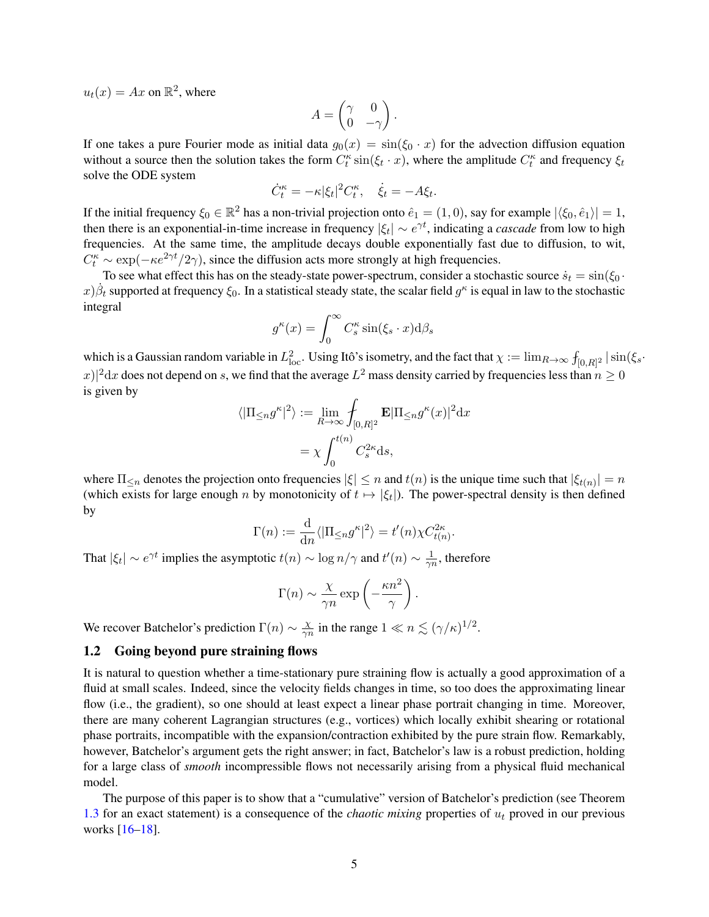$u_t(x) = Ax$  on  $\mathbb{R}^2$ , where

$$
A = \begin{pmatrix} \gamma & 0 \\ 0 & -\gamma \end{pmatrix}.
$$

If one takes a pure Fourier mode as initial data  $g_0(x) = \sin(\xi_0 \cdot x)$  for the advection diffusion equation without a source then the solution takes the form  $C_t^{\kappa} \sin(\xi_t \cdot x)$ , where the amplitude  $C_t^{\kappa}$  and frequency  $\xi_t$ solve the ODE system

$$
\dot{C}^{\kappa}_t = -\kappa |\xi_t|^2 C^{\kappa}_t, \quad \dot{\xi}_t = -A \xi_t.
$$

If the initial frequency  $\xi_0 \in \mathbb{R}^2$  has a non-trivial projection onto  $\hat{e}_1 = (1,0)$ , say for example  $|\langle \xi_0, \hat{e}_1 \rangle| = 1$ , then there is an exponential-in-time increase in frequency  $|\xi_t| \sim e^{\gamma t}$ , indicating a *cascade* from low to high frequencies. At the same time, the amplitude decays double exponentially fast due to diffusion, to wit,  $C_t^{\kappa} \sim \exp(-\kappa e^{2\gamma t}/2\gamma)$ , since the diffusion acts more strongly at high frequencies.

To see what effect this has on the steady-state power-spectrum, consider a stochastic source  $\dot{s}_t = \sin(\xi_0 \cdot \hat{s}_t)$  $(x)$  $\dot{\beta}_t$  supported at frequency  $\xi_0$ . In a statistical steady state, the scalar field  $g^{\kappa}$  is equal in law to the stochastic integral

$$
g^{\kappa}(x) = \int_0^{\infty} C_s^{\kappa} \sin(\xi_s \cdot x) \mathrm{d}\beta_s
$$

which is a Gaussian random variable in  $L^2_{\text{loc}}$ . Using Itô's isometry, and the fact that  $\chi := \lim_{R\to\infty} f_{[0,R]^2} |\sin(\xi_s - \xi_s)|$  $|f(x)|^2 dx$  does not depend on s, we find that the average  $L^2$  mass density carried by frequencies less than  $n \geq 0$ is given by

$$
\langle |\Pi_{\leq n} g^{\kappa}|^2 \rangle := \lim_{R \to \infty} \int_{[0,R]^2} \mathbf{E} |\Pi_{\leq n} g^{\kappa}(x)|^2 dx
$$

$$
= \chi \int_0^{t(n)} C_s^{2\kappa} ds,
$$

where  $\Pi_{\leq n}$  denotes the projection onto frequencies  $|\xi| \leq n$  and  $t(n)$  is the unique time such that  $|\xi_{t(n)}| = n$ (which exists for large enough n by monotonicity of  $t \mapsto |\xi_t|$ ). The power-spectral density is then defined by

$$
\Gamma(n) := \frac{\mathrm{d}}{\mathrm{d}n} \langle |\Pi_{\leq n} g^{\kappa}|^2 \rangle = t'(n) \chi C_{t(n)}^{2\kappa}.
$$

That  $|\xi_t| \sim e^{\gamma t}$  implies the asymptotic  $t(n) \sim \log n/\gamma$  and  $t'(n) \sim \frac{1}{\gamma t}$  $\frac{1}{\gamma n}$ , therefore

$$
\Gamma(n) \sim \frac{\chi}{\gamma n} \exp\left(-\frac{\kappa n^2}{\gamma}\right).
$$

We recover Batchelor's prediction  $\Gamma(n) \sim \frac{\chi}{\gamma n}$  $\frac{\chi}{\gamma n}$  in the range  $1 \ll n \lesssim (\gamma/\kappa)^{1/2}$ .

#### <span id="page-4-0"></span>1.2 Going beyond pure straining flows

It is natural to question whether a time-stationary pure straining flow is actually a good approximation of a fluid at small scales. Indeed, since the velocity fields changes in time, so too does the approximating linear flow (i.e., the gradient), so one should at least expect a linear phase portrait changing in time. Moreover, there are many coherent Lagrangian structures (e.g., vortices) which locally exhibit shearing or rotational phase portraits, incompatible with the expansion/contraction exhibited by the pure strain flow. Remarkably, however, Batchelor's argument gets the right answer; in fact, Batchelor's law is a robust prediction, holding for a large class of *smooth* incompressible flows not necessarily arising from a physical fluid mechanical model.

The purpose of this paper is to show that a "cumulative" version of Batchelor's prediction (see Theorem [1.3](#page-8-0) for an exact statement) is a consequence of the *chaotic mixing* properties of  $u_t$  proved in our previous works [\[16](#page-38-7)[–18\]](#page-39-10).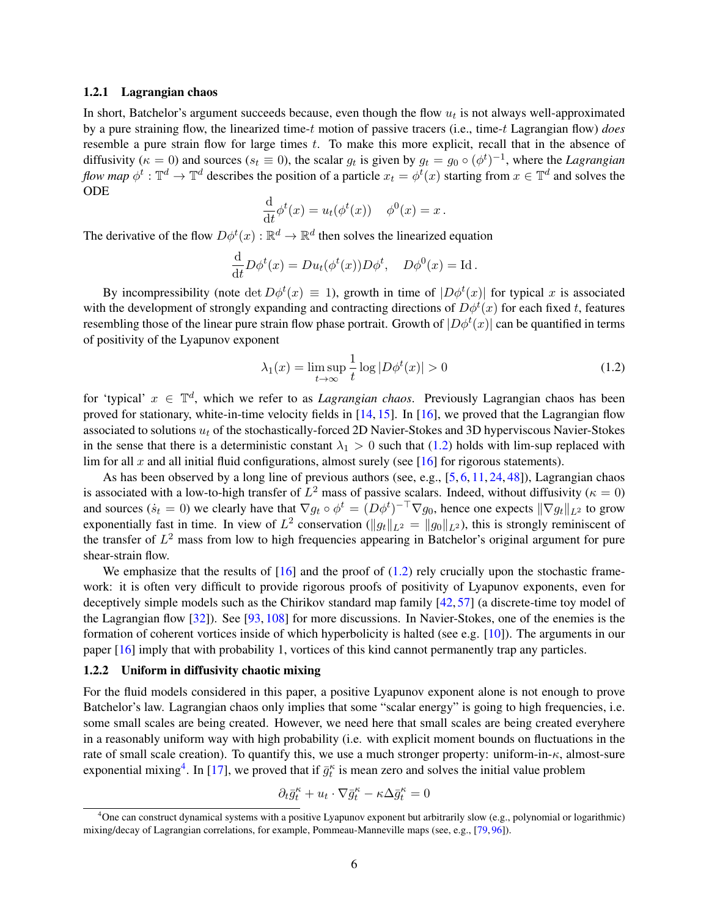#### 1.2.1 Lagrangian chaos

In short, Batchelor's argument succeeds because, even though the flow  $u_t$  is not always well-approximated by a pure straining flow, the linearized time-t motion of passive tracers (i.e., time-t Lagrangian flow) *does* resemble a pure strain flow for large times  $t$ . To make this more explicit, recall that in the absence of diffusivity ( $\kappa = 0$ ) and sources ( $s_t \equiv 0$ ), the scalar  $g_t$  is given by  $g_t = g_0 \circ (\phi^t)^{-1}$ , where the *Lagrangian flow map*  $\phi^t : \mathbb{T}^d \to \mathbb{T}^d$  describes the position of a particle  $x_t = \phi^t(x)$  starting from  $x \in \mathbb{T}^d$  and solves the ODE

$$
\frac{\mathrm{d}}{\mathrm{d}t}\phi^t(x) = u_t(\phi^t(x)) \quad \phi^0(x) = x.
$$

The derivative of the flow  $D\phi^t(x): \mathbb{R}^d \to \mathbb{R}^d$  then solves the linearized equation

$$
\frac{\mathrm{d}}{\mathrm{d}t}D\phi^t(x) = Du_t(\phi^t(x))D\phi^t, \quad D\phi^0(x) = \mathrm{Id}.
$$

By incompressibility (note  $\det D\phi^t(x) \equiv 1$ ), growth in time of  $|D\phi^t(x)|$  for typical x is associated with the development of strongly expanding and contracting directions of  $D\phi^t(x)$  for each fixed t, features resembling those of the linear pure strain flow phase portrait. Growth of  $|D\phi^t(x)|$  can be quantified in terms of positivity of the Lyapunov exponent

<span id="page-5-0"></span>
$$
\lambda_1(x) = \limsup_{t \to \infty} \frac{1}{t} \log |D\phi^t(x)| > 0
$$
\n(1.2)

for 'typical'  $x \in \mathbb{T}^d$ , which we refer to as *Lagrangian chaos*. Previously Lagrangian chaos has been proved for stationary, white-in-time velocity fields in [\[14,](#page-38-8) [15\]](#page-38-9). In [\[16\]](#page-38-7), we proved that the Lagrangian flow associated to solutions  $u_t$  of the stochastically-forced 2D Navier-Stokes and 3D hyperviscous Navier-Stokes in the sense that there is a deterministic constant  $\lambda_1 > 0$  such that [\(1.2\)](#page-5-0) holds with lim-sup replaced with lim for all  $x$  and all initial fluid configurations, almost surely (see [\[16\]](#page-38-7) for rigorous statements).

As has been observed by a long line of previous authors (see, e.g.,  $[5, 6, 11, 24, 48]$  $[5, 6, 11, 24, 48]$  $[5, 6, 11, 24, 48]$  $[5, 6, 11, 24, 48]$  $[5, 6, 11, 24, 48]$  $[5, 6, 11, 24, 48]$  $[5, 6, 11, 24, 48]$  $[5, 6, 11, 24, 48]$  $[5, 6, 11, 24, 48]$ ), Lagrangian chaos is associated with a low-to-high transfer of  $L^2$  mass of passive scalars. Indeed, without diffusivity ( $\kappa = 0$ ) and sources  $(s_t = 0)$  we clearly have that  $\nabla g_t \circ \phi^t = (D\phi^t)^{-\top} \nabla g_0$ , hence one expects  $\|\nabla g_t\|_{L^2}$  to grow exponentially fast in time. In view of  $L^2$  conservation ( $||g_t||_{L^2} = ||g_0||_{L^2}$ ), this is strongly reminiscent of the transfer of  $L^2$  mass from low to high frequencies appearing in Batchelor's original argument for pure shear-strain flow.

We emphasize that the results of  $[16]$  and the proof of  $(1.2)$  rely crucially upon the stochastic framework: it is often very difficult to provide rigorous proofs of positivity of Lyapunov exponents, even for deceptively simple models such as the Chirikov standard map family [\[42,](#page-39-11) [57\]](#page-40-11) (a discrete-time toy model of the Lagrangian flow [\[32\]](#page-39-5)). See [\[93,](#page-41-9) [108\]](#page-42-5) for more discussions. In Navier-Stokes, one of the enemies is the formation of coherent vortices inside of which hyperbolicity is halted (see e.g. [\[10\]](#page-38-10)). The arguments in our paper [\[16\]](#page-38-7) imply that with probability 1, vortices of this kind cannot permanently trap any particles.

#### 1.2.2 Uniform in diffusivity chaotic mixing

For the fluid models considered in this paper, a positive Lyapunov exponent alone is not enough to prove Batchelor's law. Lagrangian chaos only implies that some "scalar energy" is going to high frequencies, i.e. some small scales are being created. However, we need here that small scales are being created everyhere in a reasonably uniform way with high probability (i.e. with explicit moment bounds on fluctuations in the rate of small scale creation). To quantify this, we use a much stronger property: uniform-in- $\kappa$ , almost-sure exponential mixing<sup>[4](#page-5-1)</sup>. In [\[17\]](#page-39-12), we proved that if  $\bar{g}_t^{\kappa}$  is mean zero and solves the initial value problem

$$
\partial_t \bar{g}_t^\kappa + u_t\cdot \nabla \bar{g}_t^\kappa - \kappa \Delta \bar{g}_t^\kappa = 0
$$

<span id="page-5-1"></span><sup>&</sup>lt;sup>4</sup>One can construct dynamical systems with a positive Lyapunov exponent but arbitrarily slow (e.g., polynomial or logarithmic) mixing/decay of Lagrangian correlations, for example, Pommeau-Manneville maps (see, e.g., [\[79,](#page-41-10) [96\]](#page-41-11)).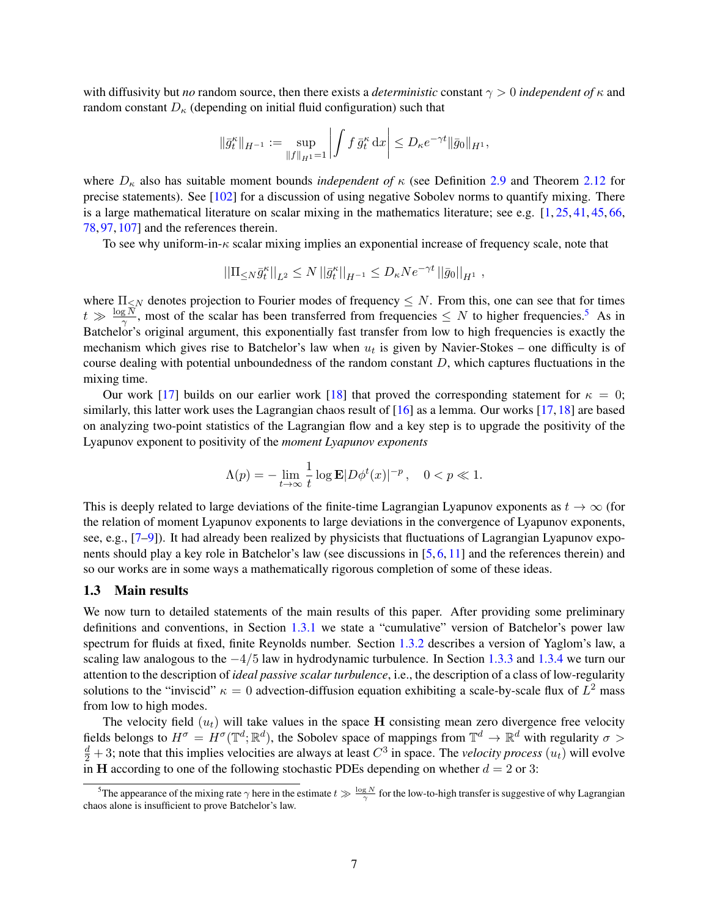with diffusivity but *no* random source, then there exists a *deterministic* constant γ > 0 *independent of* κ and random constant  $D_{\kappa}$  (depending on initial fluid configuration) such that

$$
\|\bar{g}_t^{\kappa}\|_{H^{-1}} := \sup_{\|f\|_{H^1} = 1} \left| \int f \, \bar{g}_t^{\kappa} \, \mathrm{d}x \right| \leq D_{\kappa} e^{-\gamma t} \|\bar{g}_0\|_{H^1},
$$

where  $D_{\kappa}$  also has suitable moment bounds *independent of*  $\kappa$  (see Definition [2.9](#page-19-0) and Theorem [2.12](#page-20-0) for precise statements). See  $[102]$  for a discussion of using negative Sobolev norms to quantify mixing. There is a large mathematical literature on scalar mixing in the mathematics literature; see e.g.  $[1, 25, 41, 45, 66,$  $[1, 25, 41, 45, 66,$  $[1, 25, 41, 45, 66,$  $[1, 25, 41, 45, 66,$  $[1, 25, 41, 45, 66,$  $[1, 25, 41, 45, 66,$  $[1, 25, 41, 45, 66,$  $[1, 25, 41, 45, 66,$  $[1, 25, 41, 45, 66,$ [78,](#page-41-12) [97,](#page-41-13) [107\]](#page-42-7) and the references therein.

To see why uniform-in- $\kappa$  scalar mixing implies an exponential increase of frequency scale, note that

$$
\left| \left| \Pi_{\leq N} \bar{g}_t^{\kappa} \right| \right|_{L^2} \leq N \left| \left| \bar{g}_t^{\kappa} \right| \right|_{H^{-1}} \leq D_{\kappa} N e^{-\gamma t} \left| \left| \bar{g}_0 \right| \right|_{H^1},
$$

where  $\Pi_{\leq N}$  denotes projection to Fourier modes of frequency  $\leq N$ . From this, one can see that for times  $t \gg \frac{\log N}{\gamma}$ , most of the scalar has been transferred from frequencies  $\leq N$  to higher frequencies.<sup>[5](#page-6-1)</sup> As in Batchelor's original argument, this exponentially fast transfer from low to high frequencies is exactly the mechanism which gives rise to Batchelor's law when  $u_t$  is given by Navier-Stokes – one difficulty is of course dealing with potential unboundedness of the random constant  $D$ , which captures fluctuations in the mixing time.

Our work [\[17\]](#page-39-12) builds on our earlier work [\[18\]](#page-39-10) that proved the corresponding statement for  $\kappa = 0$ ; similarly, this latter work uses the Lagrangian chaos result of [\[16\]](#page-38-7) as a lemma. Our works [\[17,](#page-39-12)[18\]](#page-39-10) are based on analyzing two-point statistics of the Lagrangian flow and a key step is to upgrade the positivity of the Lyapunov exponent to positivity of the *moment Lyapunov exponents*

$$
\Lambda(p) = -\lim_{t \to \infty} \frac{1}{t} \log \mathbf{E} |D\phi^t(x)|^{-p}, \quad 0 < p \ll 1.
$$

This is deeply related to large deviations of the finite-time Lagrangian Lyapunov exponents as  $t \to \infty$  (for the relation of moment Lyapunov exponents to large deviations in the convergence of Lyapunov exponents, see, e.g., [\[7–](#page-38-12)[9\]](#page-38-13)). It had already been realized by physicists that fluctuations of Lagrangian Lyapunov exponents should play a key role in Batchelor's law (see discussions in [\[5,](#page-38-3) [6,](#page-38-4) [11\]](#page-38-5) and the references therein) and so our works are in some ways a mathematically rigorous completion of some of these ideas.

#### <span id="page-6-0"></span>1.3 Main results

We now turn to detailed statements of the main results of this paper. After providing some preliminary definitions and conventions, in Section [1.3.1](#page-7-1) we state a "cumulative" version of Batchelor's power law spectrum for fluids at fixed, finite Reynolds number. Section [1.3.2](#page-9-0) describes a version of Yaglom's law, a scaling law analogous to the  $-4/5$  law in hydrodynamic turbulence. In Section [1.3.3](#page-10-0) and [1.3.4](#page-11-0) we turn our attention to the description of *ideal passive scalar turbulence*, i.e., the description of a class of low-regularity solutions to the "inviscid"  $\kappa = 0$  advection-diffusion equation exhibiting a scale-by-scale flux of  $L^2$  mass from low to high modes.

The velocity field  $(u_t)$  will take values in the space H consisting mean zero divergence free velocity fields belongs to  $H^{\sigma} = H^{\sigma}(\mathbb{T}^d; \mathbb{R}^d)$ , the Sobolev space of mappings from  $\mathbb{T}^d \to \mathbb{R}^d$  with regularity  $\sigma >$  $\frac{d}{2}$  + 3; note that this implies velocities are always at least  $C^3$  in space. The *velocity process*  $(u_t)$  will evolve in H according to one of the following stochastic PDEs depending on whether  $d = 2$  or 3:

<span id="page-6-1"></span><sup>&</sup>lt;sup>5</sup>The appearance of the mixing rate  $\gamma$  here in the estimate  $t \gg \frac{\log N}{\gamma}$  for the low-to-high transfer is suggestive of why Lagrangian chaos alone is insufficient to prove Batchelor's law.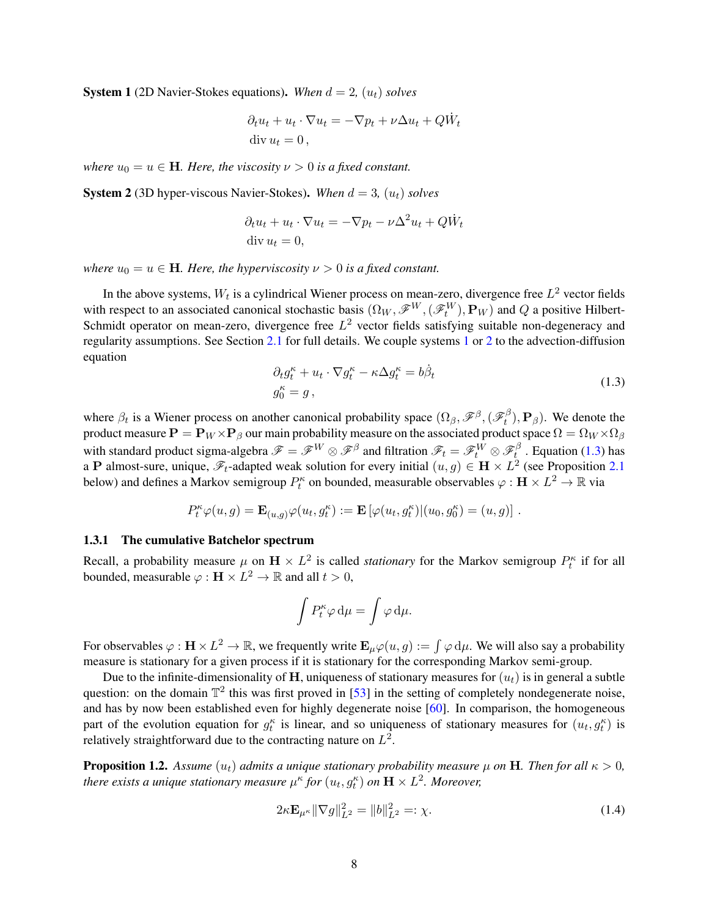<span id="page-7-2"></span>**System 1** (2D Navier-Stokes equations). When  $d = 2$ ,  $(u_t)$  solves

$$
\partial_t u_t + u_t \cdot \nabla u_t = -\nabla p_t + \nu \Delta u_t + Q \dot{W}_t
$$
  
div  $u_t = 0$ ,

*where*  $u_0 = u \in \mathbf{H}$ *. Here, the viscosity*  $\nu > 0$  *is a fixed constant.* 

<span id="page-7-3"></span>**System 2** (3D hyper-viscous Navier-Stokes). When  $d = 3$ ,  $(u_t)$  solves

$$
\partial_t u_t + u_t \cdot \nabla u_t = -\nabla p_t - \nu \Delta^2 u_t + Q \dot{W}_t
$$
  
div  $u_t = 0$ ,

*where*  $u_0 = u \in \mathbf{H}$ *. Here, the hyperviscosity*  $\nu > 0$  *is a fixed constant.* 

In the above systems,  $W_t$  is a cylindrical Wiener process on mean-zero, divergence free  $L^2$  vector fields with respect to an associated canonical stochastic basis  $(\Omega_W, \mathscr{F}^W, (\mathscr{F}^W_t), \mathbf{P}_W)$  and  $Q$  a positive Hilbert-Schmidt operator on mean-zero, divergence free  $L^2$  vector fields satisfying suitable non-degeneracy and regularity assumptions. See Section [2.1](#page-14-1) for full details. We couple systems [1](#page-7-2) or [2](#page-7-3) to the advection-diffusion equation

<span id="page-7-4"></span>
$$
\partial_t g_t^{\kappa} + u_t \cdot \nabla g_t^{\kappa} - \kappa \Delta g_t^{\kappa} = b \dot{\beta}_t
$$
  
\n
$$
g_0^{\kappa} = g,
$$
\n(1.3)

where  $\beta_t$  is a Wiener process on another canonical probability space  $(\Omega_\beta, \mathscr{F}^\beta, (\mathscr{F}_t^\beta)$  $(t<sup>p</sup>)$ ,  $\mathbf{P}_{\beta}$ ). We denote the product measure  $\mathbf{P} = \mathbf{P}_W \times \mathbf{P}_\beta$  our main probability measure on the associated product space  $\Omega = \Omega_W \times \Omega_\beta$ with standard product sigma-algebra  $\mathscr{F}=\mathscr{F}^W\otimes\mathscr{F}^\beta$  and filtration  $\mathscr{F}_t=\mathscr{F}_t^W\otimes\mathscr{F}_t^\beta$  $t_i^p$ . Equation [\(1.3\)](#page-7-4) has a P almost-sure, unique,  $\mathscr{F}_t$ -adapted weak solution for every initial  $(u, g) \in \mathbf{H} \times L^2$  (see Proposition [2.1](#page-15-0)) below) and defines a Markov semigroup  $P_t^{\kappa}$  on bounded, measurable observables  $\varphi : H \times L^2 \to \mathbb{R}$  via

$$
P_t^{\kappa} \varphi(u,g) = \mathbf{E}_{(u,g)} \varphi(u_t,g_t^{\kappa}) := \mathbf{E}\left[\varphi(u_t,g_t^{\kappa})|(u_0,g_0^{\kappa})=(u,g)\right].
$$

#### <span id="page-7-1"></span>1.3.1 The cumulative Batchelor spectrum

Recall, a probability measure  $\mu$  on  $\mathbf{H} \times L^2$  is called *stationary* for the Markov semigroup  $P_t^{\kappa}$  if for all bounded, measurable  $\varphi : \mathbf{H} \times L^2 \to \mathbb{R}$  and all  $t > 0$ ,

$$
\int P_t^{\kappa} \varphi \, \mathrm{d}\mu = \int \varphi \, \mathrm{d}\mu.
$$

For observables  $\varphi : H \times L^2 \to \mathbb{R}$ , we frequently write  $\mathbf{E}_{\mu}\varphi(u,g) := \int \varphi d\mu$ . We will also say a probability measure is stationary for a given process if it is stationary for the corresponding Markov semi-group.

Due to the infinite-dimensionality of H, uniqueness of stationary measures for  $(u_t)$  is in general a subtle question: on the domain  $\mathbb{T}^2$  this was first proved in [\[53\]](#page-40-14) in the setting of completely nondegenerate noise, and has by now been established even for highly degenerate noise [\[60\]](#page-40-15). In comparison, the homogeneous part of the evolution equation for  $g_t^{\kappa}$  is linear, and so uniqueness of stationary measures for  $(u_t, g_t^{\kappa})$  is relatively straightforward due to the contracting nature on  $L^2$ .

<span id="page-7-0"></span>**Proposition 1.2.** Assume  $(u_t)$  admits a unique stationary probability measure  $\mu$  on H. Then for all  $\kappa > 0$ , there exists a unique stationary measure  $\mu^{\kappa}$  for  $(u_t, g_t^{\kappa})$  on  $\mathbf{H}\times L^2$ . Moreover,

<span id="page-7-5"></span>
$$
2\kappa \mathbf{E}_{\mu^{\kappa}} \|\nabla g\|_{L^2}^2 = \|b\|_{L^2}^2 =: \chi. \tag{1.4}
$$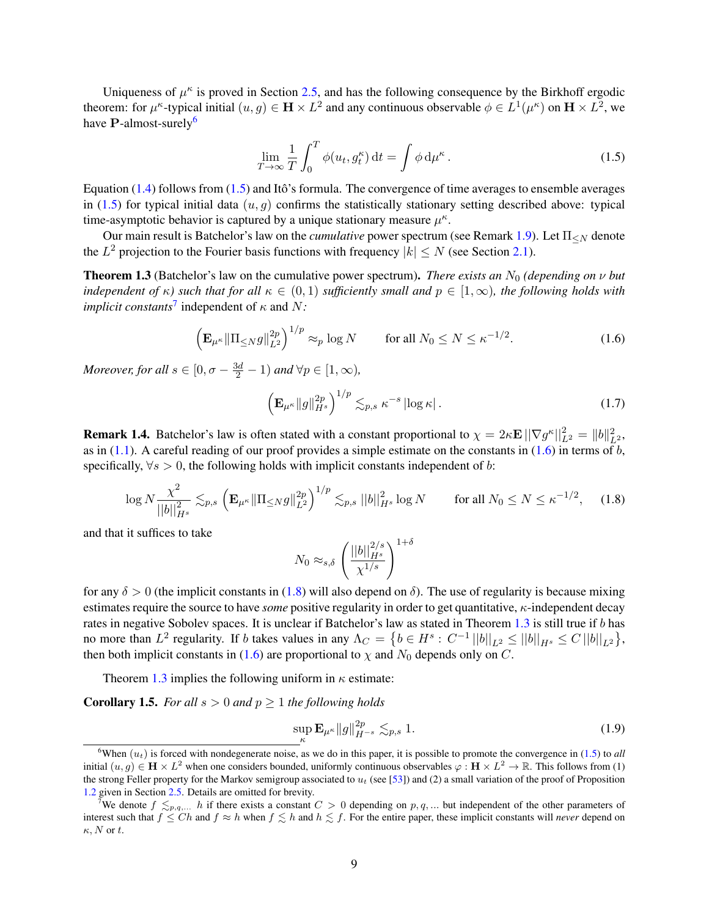Uniqueness of  $\mu^k$  is proved in Section [2.5,](#page-21-0) and has the following consequence by the Birkhoff ergodic theorem: for  $\mu^{\kappa}$ -typical initial  $(u, g) \in \mathbf{H} \times L^2$  and any continuous observable  $\phi \in L^1(\mu^{\kappa})$  on  $\mathbf{H} \times L^2$ , we have  $P$ -almost-surely<sup>[6](#page-8-1)</sup>

<span id="page-8-2"></span>
$$
\lim_{T \to \infty} \frac{1}{T} \int_0^T \phi(u_t, g_t^{\kappa}) dt = \int \phi d\mu^{\kappa}.
$$
\n(1.5)

Equation  $(1.4)$  follows from  $(1.5)$  and Itô's formula. The convergence of time averages to ensemble averages in [\(1.5\)](#page-8-2) for typical initial data  $(u, g)$  confirms the statistically stationary setting described above: typical time-asymptotic behavior is captured by a unique stationary measure  $\mu^k$ .

Our main result is Batchelor's law on the *cumulative* power spectrum (see Remark [1.9\)](#page-9-1). Let  $\Pi_{\leq N}$  denote the  $L^2$  projection to the Fourier basis functions with frequency  $|k| \le N$  (see Section [2.1\)](#page-14-1).

<span id="page-8-0"></span>**Theorem 1.3** (Batchelor's law on the cumulative power spectrum). *There exists an*  $N_0$  (depending on  $\nu$  but *independent of*  $\kappa$ *) such that for all*  $\kappa \in (0,1)$  *sufficiently small and*  $p \in [1,\infty)$ *, the following holds with implicit constants*<sup>[7](#page-8-3)</sup> independent of  $\kappa$  and  $N$ :

$$
\left(\mathbf{E}_{\mu^{\kappa}}\|\Pi_{\leq N}g\|_{L^{2}}^{2p}\right)^{1/p} \approx_{p} \log N \qquad \text{for all } N_{0} \leq N \leq \kappa^{-1/2}.\tag{1.6}
$$

*Moreover, for all*  $s \in [0, \sigma - \frac{3d}{2} - 1)$  *and*  $\forall p \in [1, \infty)$ *,* 

<span id="page-8-6"></span><span id="page-8-4"></span>
$$
\left(\mathbf{E}_{\mu^{\kappa}}\|g\|_{H^{s}}^{2p}\right)^{1/p}\lesssim_{p,s}\kappa^{-s}\left|\log\kappa\right|.\tag{1.7}
$$

**Remark 1.4.** Batchelor's law is often stated with a constant proportional to  $\chi = 2\kappa \mathbf{E} \|\nabla g^{\kappa}\|_{L^2}^2 = \|b\|_{L^2}^2$ , as in [\(1.1\)](#page-2-2). A careful reading of our proof provides a simple estimate on the constants in [\(1.6\)](#page-8-4) in terms of b, specifically,  $\forall s > 0$ , the following holds with implicit constants independent of b:

$$
\log N \frac{\chi^2}{||b||_{H^s}^2} \lesssim_{p,s} \left( \mathbf{E}_{\mu^{\kappa}} \|\Pi_{\leq N} g\|_{L^2}^{2p} \right)^{1/p} \lesssim_{p,s} ||b||_{H^s}^2 \log N \qquad \text{for all } N_0 \leq N \leq \kappa^{-1/2}, \quad (1.8)
$$

and that it suffices to take

<span id="page-8-5"></span>
$$
N_0 \approx_{s,\delta} \left(\frac{||b||_{H^s}^{2/s}}{\chi^{1/s}}\right)^{1+\delta}
$$

for any  $\delta > 0$  (the implicit constants in [\(1.8\)](#page-8-5) will also depend on  $\delta$ ). The use of regularity is because mixing estimates require the source to have *some* positive regularity in order to get quantitative, κ-independent decay rates in negative Sobolev spaces. It is unclear if Batchelor's law as stated in Theorem [1.3](#page-8-0) is still true if b has no more than  $L^2$  regularity. If b takes values in any  $\Lambda_C = \{b \in H^s : C^{-1} ||b||_{L^2} \le ||b||_{H^s} \le C ||b||_{L^2}\},$ then both implicit constants in [\(1.6\)](#page-8-4) are proportional to  $\chi$  and  $N_0$  depends only on C.

Theorem [1.3](#page-8-0) implies the following uniform in  $\kappa$  estimate:

<span id="page-8-7"></span>**Corollary 1.5.** *For all*  $s > 0$  *and*  $p \ge 1$  *the following holds* 

<span id="page-8-8"></span>
$$
\sup_{\kappa} \mathbf{E}_{\mu^{\kappa}} \|g\|_{H^{-s}}^{2p} \lesssim_{p,s} 1. \tag{1.9}
$$

<span id="page-8-1"></span><sup>&</sup>lt;sup>6</sup>When  $(u_t)$  is forced with nondegenerate noise, as we do in this paper, it is possible to promote the convergence in [\(1.5\)](#page-8-2) to *all* initial  $(u, g) \in \mathbf{H} \times L^2$  when one considers bounded, uniformly continuous observables  $\varphi : \mathbf{H} \times L^2 \to \mathbb{R}$ . This follows from (1) the strong Feller property for the Markov semigroup associated to  $u_t$  (see [\[53\]](#page-40-14)) and (2) a small variation of the proof of Proposition [1.2](#page-7-0) given in Section [2.5.](#page-21-0) Details are omitted for brevity.

<span id="page-8-3"></span>We denote  $f \leq_{p,q,\dots} h$  if there exists a constant  $C > 0$  depending on  $p,q,\dots$  but independent of the other parameters of interest such that  $f \leq Ch$  and  $f \approx h$  when  $f \leq h$  and  $h \leq f$ . For the entire paper, these implicit constants will *never* depend on  $\kappa$ , N or t.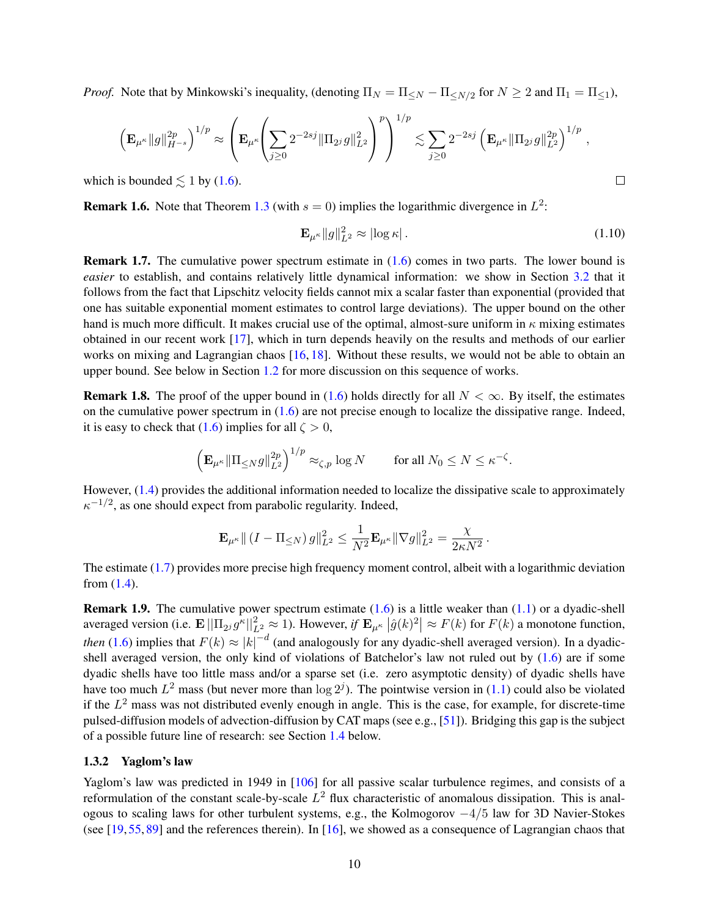*Proof.* Note that by Minkowski's inequality, (denoting  $\Pi_N = \Pi_{\leq N} - \Pi_{\leq N/2}$  for  $N \geq 2$  and  $\Pi_1 = \Pi_{\leq 1}$ ),

$$
\left(\mathbf{E}_{\mu^{\kappa}}\|g\|_{H^{-s}}^{2p}\right)^{1/p} \approx \left(\mathbf{E}_{\mu^{\kappa}}\!\!\left(\sum_{j\geq 0}2^{-2sj}\|\Pi_{2^j}g\|_{L^2}^2\right)^p\right)^{1/p} \lesssim \sum_{j\geq 0}2^{-2sj}\left(\mathbf{E}_{\mu^{\kappa}}\|\Pi_{2^j}g\|_{L^2}^{2p}\right)^{1/p},
$$

which is bounded  $\lesssim$  1 by [\(1.6\)](#page-8-4).

**Remark 1.6.** Note that Theorem [1.3](#page-8-0) (with  $s = 0$ ) implies the logarithmic divergence in  $L^2$ :

$$
\mathbf{E}_{\mu^{\kappa}} \|g\|_{L^2}^2 \approx |\log \kappa| \,. \tag{1.10}
$$

<span id="page-9-2"></span> $\Box$ 

Remark 1.7. The cumulative power spectrum estimate in [\(1.6\)](#page-8-4) comes in two parts. The lower bound is *easier* to establish, and contains relatively little dynamical information: we show in Section [3.2](#page-23-0) that it follows from the fact that Lipschitz velocity fields cannot mix a scalar faster than exponential (provided that one has suitable exponential moment estimates to control large deviations). The upper bound on the other hand is much more difficult. It makes crucial use of the optimal, almost-sure uniform in  $\kappa$  mixing estimates obtained in our recent work [\[17\]](#page-39-12), which in turn depends heavily on the results and methods of our earlier works on mixing and Lagrangian chaos [\[16,](#page-38-7) [18\]](#page-39-10). Without these results, we would not be able to obtain an upper bound. See below in Section [1.2](#page-4-0) for more discussion on this sequence of works.

**Remark 1.8.** The proof of the upper bound in [\(1.6\)](#page-8-4) holds directly for all  $N < \infty$ . By itself, the estimates on the cumulative power spectrum in  $(1.6)$  are not precise enough to localize the dissipative range. Indeed, it is easy to check that [\(1.6\)](#page-8-4) implies for all  $\zeta > 0$ ,

$$
\left(\mathbf{E}_{\mu^{\kappa}}\|\Pi_{\leq N}g\|_{L^2}^{2p}\right)^{1/p}\approx_{\zeta,p}\log N\qquad\text{ for all }N_0\leq N\leq\kappa^{-\zeta}.
$$

However, [\(1.4\)](#page-7-5) provides the additional information needed to localize the dissipative scale to approximately  $\kappa^{-1/2}$ , as one should expect from parabolic regularity. Indeed,

$$
\mathbf{E}_{\mu^{\kappa}} \| (I - \Pi_{\leq N}) g \|_{L^2}^2 \leq \frac{1}{N^2} \mathbf{E}_{\mu^{\kappa}} \| \nabla g \|_{L^2}^2 = \frac{\chi}{2\kappa N^2}.
$$

The estimate [\(1.7\)](#page-8-6) provides more precise high frequency moment control, albeit with a logarithmic deviation from  $(1.4)$ .

<span id="page-9-1"></span>**Remark 1.9.** The cumulative power spectrum estimate  $(1.6)$  is a little weaker than  $(1.1)$  or a dyadic-shell averaged version (i.e.  $\mathbf{E} \|\Pi_{2^j} g^{\kappa}\|_{L^2}^2 \approx 1$ ). However, if  $\mathbf{E}_{\mu^{\kappa}} |\hat{g}(k)|^2 \approx F(k)$  for  $F(k)$  a monotone function, *then* [\(1.6\)](#page-8-4) implies that  $F(k) \approx |k|^{-d}$  (and analogously for any dyadic-shell averaged version). In a dyadicshell averaged version, the only kind of violations of Batchelor's law not ruled out by  $(1.6)$  are if some dyadic shells have too little mass and/or a sparse set (i.e. zero asymptotic density) of dyadic shells have have too much  $L^2$  mass (but never more than  $\log 2^{j}$ ). The pointwise version in [\(1.1\)](#page-2-2) could also be violated if the  $L^2$  mass was not distributed evenly enough in angle. This is the case, for example, for discrete-time pulsed-diffusion models of advection-diffusion by CAT maps (see e.g., [\[51\]](#page-40-16)). Bridging this gap is the subject of a possible future line of research: see Section [1.4](#page-13-0) below.

#### <span id="page-9-0"></span>1.3.2 Yaglom's law

Yaglom's law was predicted in 1949 in [\[106\]](#page-42-8) for all passive scalar turbulence regimes, and consists of a reformulation of the constant scale-by-scale  $L^2$  flux characteristic of anomalous dissipation. This is analogous to scaling laws for other turbulent systems, e.g., the Kolmogorov  $-4/5$  law for 3D Navier-Stokes (see [\[19,](#page-39-14) [55,](#page-40-9) [89\]](#page-41-14) and the references therein). In [\[16\]](#page-38-7), we showed as a consequence of Lagrangian chaos that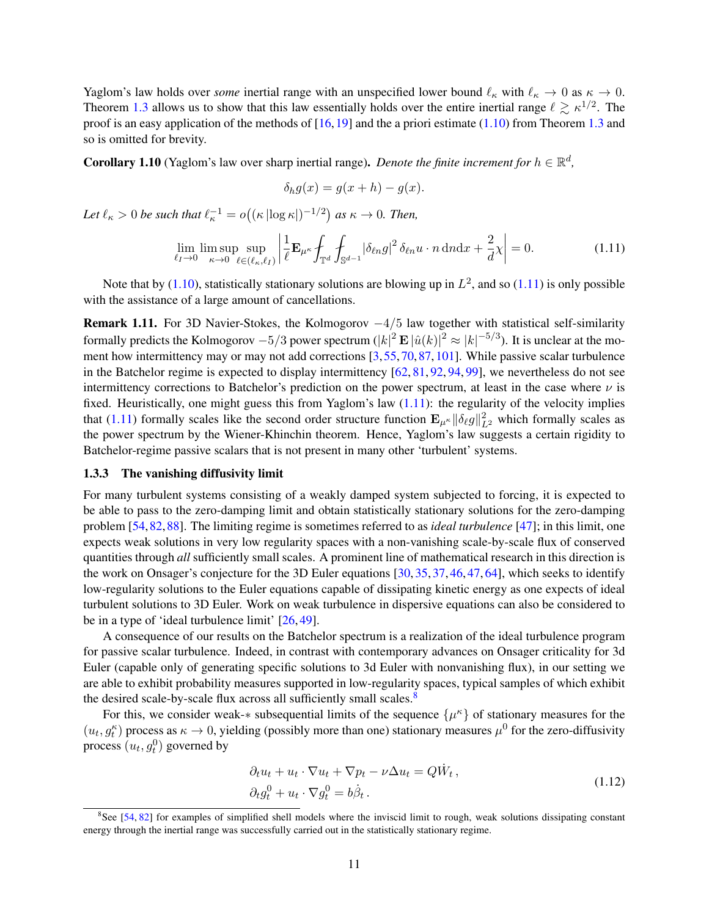Yaglom's law holds over *some* inertial range with an unspecified lower bound  $\ell_{\kappa}$  with  $\ell_{\kappa} \to 0$  as  $\kappa \to 0$ . Theorem [1.3](#page-8-0) allows us to show that this law essentially holds over the entire inertial range  $\ell \gtrsim \kappa^{1/2}$ . The proof is an easy application of the methods of  $[16,19]$  $[16,19]$  and the a priori estimate [\(1.10\)](#page-9-2) from Theorem [1.3](#page-8-0) and so is omitted for brevity.

**Corollary 1.10** (Yaglom's law over sharp inertial range). *Denote the finite increment for*  $h \in \mathbb{R}^d$ ,

<span id="page-10-1"></span>
$$
\delta_h g(x) = g(x+h) - g(x).
$$

Let  $\ell_{\kappa} > 0$  be such that  $\ell_{\kappa}^{-1} = o((\kappa |\log \kappa|)^{-1/2})$  as  $\kappa \to 0$ *. Then,* 

$$
\lim_{\ell_I \to 0} \limsup_{\kappa \to 0} \sup_{\ell \in (\ell_\kappa, \ell_I)} \left| \frac{1}{\ell} \mathbf{E}_{\mu^\kappa} \int_{\mathbb{T}^d} \int_{\mathbb{S}^{d-1}} |\delta_{\ell n} g|^2 \, \delta_{\ell n} u \cdot n \, \mathrm{d} n \mathrm{d} x + \frac{2}{d} \chi \right| = 0. \tag{1.11}
$$

Note that by [\(1.10\)](#page-9-2), statistically stationary solutions are blowing up in  $L^2$ , and so [\(1.11\)](#page-10-1) is only possible with the assistance of a large amount of cancellations.

Remark 1.11. For 3D Navier-Stokes, the Kolmogorov  $-4/5$  law together with statistical self-similarity formally predicts the Kolmogorov  $-5/3$  power spectrum  $(|k|^2 \mathbf{E} |\hat{u}(k)|^2 \approx |k|^{-5/3}$ ). It is unclear at the moment how intermittency may or may not add corrections [\[3,](#page-38-14)[55,](#page-40-9)[70,](#page-40-17)[87,](#page-41-15)[101\]](#page-41-16). While passive scalar turbulence in the Batchelor regime is expected to display intermittency [\[62,](#page-40-4) [81,](#page-41-0) [92,](#page-41-17) [94,](#page-41-18) [99\]](#page-41-19), we nevertheless do not see intermittency corrections to Batchelor's prediction on the power spectrum, at least in the case where  $\nu$  is fixed. Heuristically, one might guess this from Yaglom's law  $(1.11)$ : the regularity of the velocity implies that [\(1.11\)](#page-10-1) formally scales like the second order structure function  $\mathbf{E}_{\mu^k} ||\delta_\ell g||^2_{L^2}$  which formally scales as the power spectrum by the Wiener-Khinchin theorem. Hence, Yaglom's law suggests a certain rigidity to Batchelor-regime passive scalars that is not present in many other 'turbulent' systems.

#### <span id="page-10-0"></span>1.3.3 The vanishing diffusivity limit

For many turbulent systems consisting of a weakly damped system subjected to forcing, it is expected to be able to pass to the zero-damping limit and obtain statistically stationary solutions for the zero-damping problem [\[54,](#page-40-18)[82,](#page-41-20)[88\]](#page-41-8). The limiting regime is sometimes referred to as *ideal turbulence* [\[47\]](#page-40-19); in this limit, one expects weak solutions in very low regularity spaces with a non-vanishing scale-by-scale flux of conserved quantities through *all* sufficiently small scales. A prominent line of mathematical research in this direction is the work on Onsager's conjecture for the 3D Euler equations [\[30,](#page-39-15) [35,](#page-39-16) [37,](#page-39-17) [46,](#page-40-20) [47,](#page-40-19) [64\]](#page-40-21), which seeks to identify low-regularity solutions to the Euler equations capable of dissipating kinetic energy as one expects of ideal turbulent solutions to 3D Euler. Work on weak turbulence in dispersive equations can also be considered to be in a type of 'ideal turbulence limit' [\[26,](#page-39-18) [49\]](#page-40-22).

A consequence of our results on the Batchelor spectrum is a realization of the ideal turbulence program for passive scalar turbulence. Indeed, in contrast with contemporary advances on Onsager criticality for 3d Euler (capable only of generating specific solutions to 3d Euler with nonvanishing flux), in our setting we are able to exhibit probability measures supported in low-regularity spaces, typical samples of which exhibit the desired scale-by-scale flux across all sufficiently small scales. $8$ 

For this, we consider weak-\* subsequential limits of the sequence  $\{\mu^k\}$  of stationary measures for the  $(u_t, g_t^{\kappa})$  process as  $\kappa \to 0$ , yielding (possibly more than one) stationary measures  $\mu^0$  for the zero-diffusivity process  $(u_t, g_t^0)$  governed by

<span id="page-10-3"></span>
$$
\partial_t u_t + u_t \cdot \nabla u_t + \nabla p_t - \nu \Delta u_t = Q \dot{W}_t ,
$$
  
\n
$$
\partial_t g_t^0 + u_t \cdot \nabla g_t^0 = b \dot{\beta}_t .
$$
\n(1.12)

<span id="page-10-2"></span><sup>&</sup>lt;sup>8</sup>See [\[54,](#page-40-18) [82\]](#page-41-20) for examples of simplified shell models where the inviscid limit to rough, weak solutions dissipating constant energy through the inertial range was successfully carried out in the statistically stationary regime.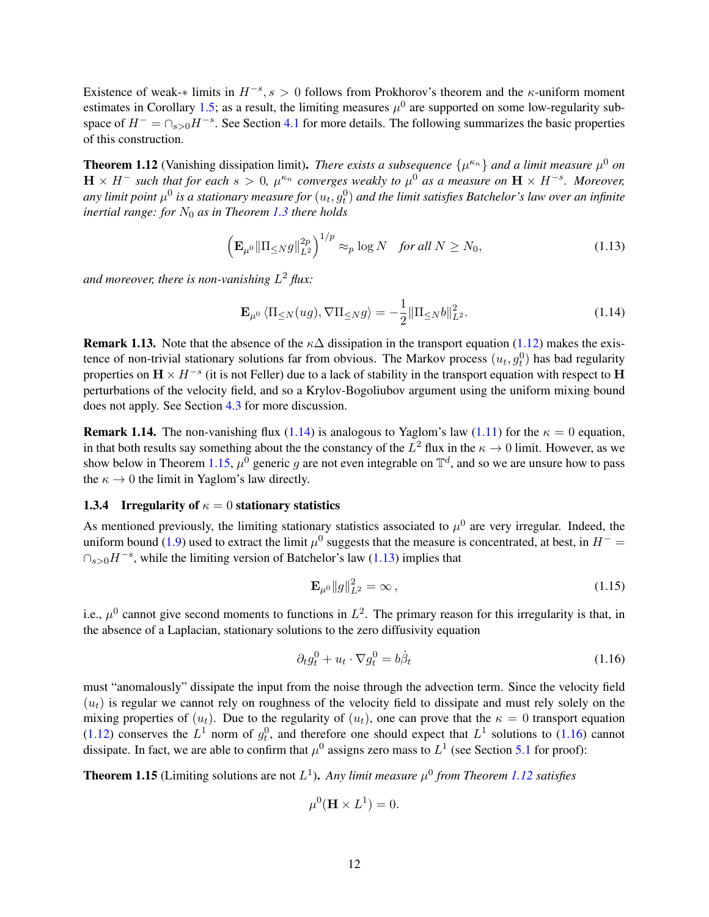Existence of weak- $*$  limits in  $H^{-s}$ ,  $s > 0$  follows from Prokhorov's theorem and the  $\kappa$ -uniform moment estimates in Corollary [1.5;](#page-8-7) as a result, the limiting measures  $\mu^0$  are supported on some low-regularity subspace of  $H^- = \bigcap_{s>0} H^{-s}$ . See Section [4.1](#page-28-0) for more details. The following summarizes the basic properties of this construction.

<span id="page-11-5"></span>**Theorem 1.12** (Vanishing dissipation limit). *There exists a subsequence*  $\{\mu^{\kappa_n}\}\$  and a limit measure  $\mu^0$  on  $H \times H^-$  such that for each  $s > 0$ ,  $\mu^{\kappa_n}$  converges weakly to  $\mu^0$  as a measure on  $H \times H^{-s}$ . Moreover, any limit point  $\mu^0$  is a stationary measure for  $(u_t,g^0_t)$  and the limit satisfies Batchelor's law over an infinite *inertial range: for*  $N_0$  *as in Theorem [1.3](#page-8-0) there holds* 

$$
\left(\mathbf{E}_{\mu^{0}}\|\Pi_{\leq N}g\|_{L^{2}}^{2p}\right)^{1/p}\approx_{p}\log N\quad\text{for all }N\geq N_{0},\tag{1.13}
$$

*and moreover, there is non-vanishing* L <sup>2</sup> *flux:*

<span id="page-11-3"></span><span id="page-11-1"></span>
$$
\mathbf{E}_{\mu^0} \langle \Pi_{\leq N}(ug), \nabla \Pi_{\leq N} g \rangle = -\frac{1}{2} ||\Pi_{\leq N} b||_{L^2}^2.
$$
 (1.14)

**Remark 1.13.** Note that the absence of the  $\kappa\Delta$  dissipation in the transport equation [\(1.12\)](#page-10-3) makes the existence of non-trivial stationary solutions far from obvious. The Markov process  $(u_t, g_t^0)$  has bad regularity properties on  $\mathbf{H} \times H^{-s}$  (it is not Feller) due to a lack of stability in the transport equation with respect to  $\mathbf{H}$ perturbations of the velocity field, and so a Krylov-Bogoliubov argument using the uniform mixing bound does not apply. See Section [4.3](#page-29-0) for more discussion.

**Remark 1.14.** The non-vanishing flux [\(1.14\)](#page-11-1) is analogous to Yaglom's law [\(1.11\)](#page-10-1) for the  $\kappa = 0$  equation, in that both results say something about the the constancy of the  $L^2$  flux in the  $\kappa \to 0$  limit. However, as we show below in Theorem [1.15,](#page-11-2)  $\mu^0$  generic g are not even integrable on  $\mathbb{T}^d$ , and so we are unsure how to pass the  $\kappa \to 0$  the limit in Yaglom's law directly.

#### <span id="page-11-0"></span>1.3.4 Irregularity of  $\kappa = 0$  stationary statistics

As mentioned previously, the limiting stationary statistics associated to  $\mu^0$  are very irregular. Indeed, the uniform bound [\(1.9\)](#page-8-8) used to extract the limit  $\mu^0$  suggests that the measure is concentrated, at best, in  $H^-$  =  $\bigcap_{s>0}$ H<sup>-s</sup>, while the limiting version of Batchelor's law [\(1.13\)](#page-11-3) implies that

<span id="page-11-6"></span><span id="page-11-4"></span>
$$
\mathbf{E}_{\mu^0} \|g\|_{L^2}^2 = \infty, \tag{1.15}
$$

i.e.,  $\mu^0$  cannot give second moments to functions in  $L^2$ . The primary reason for this irregularity is that, in the absence of a Laplacian, stationary solutions to the zero diffusivity equation

$$
\partial_t g_t^0 + u_t \cdot \nabla g_t^0 = b \dot{\beta}_t \tag{1.16}
$$

must "anomalously" dissipate the input from the noise through the advection term. Since the velocity field  $(u_t)$  is regular we cannot rely on roughness of the velocity field to dissipate and must rely solely on the mixing properties of  $(u_t)$ . Due to the regularity of  $(u_t)$ , one can prove that the  $\kappa = 0$  transport equation [\(1.12\)](#page-10-3) conserves the  $L^1$  norm of  $g_t^0$ , and therefore one should expect that  $L^1$  solutions to [\(1.16\)](#page-11-4) cannot dissipate. In fact, we are able to confirm that  $\mu^0$  assigns zero mass to  $L^1$  (see Section [5.1](#page-33-2) for proof):

<span id="page-11-2"></span>**Theorem 1.15** (Limiting solutions are not  $L^1$ ). Any limit measure  $\mu^0$  from Theorem [1.12](#page-11-5) satisfies

$$
\mu^0(\mathbf{H} \times L^1) = 0.
$$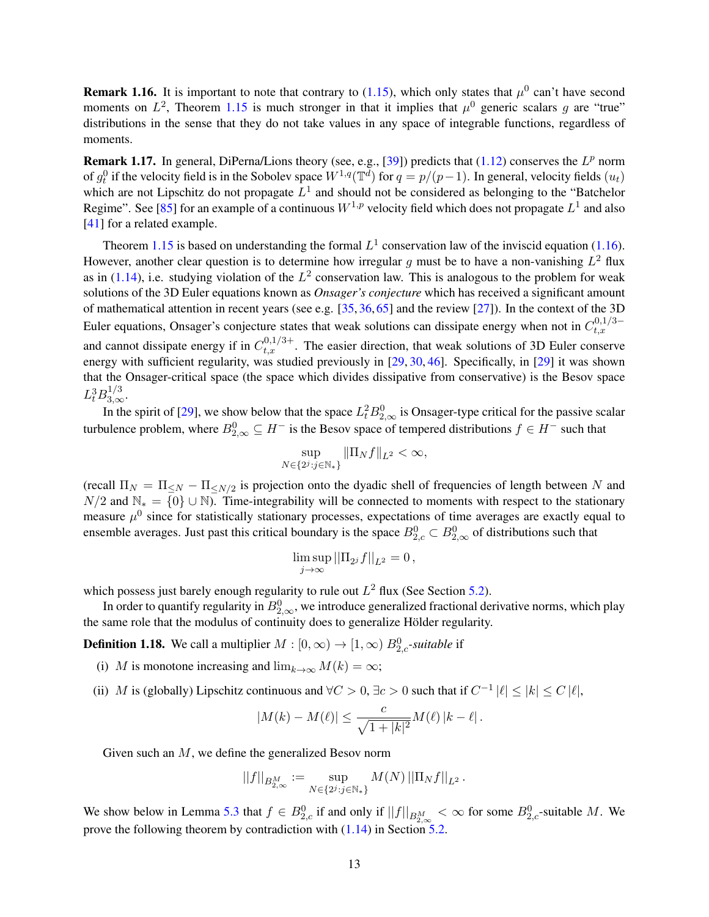**Remark 1.16.** It is important to note that contrary to  $(1.15)$ , which only states that  $\mu^0$  can't have second moments on  $L^2$ , Theorem [1.15](#page-11-2) is much stronger in that it implies that  $\mu^0$  generic scalars g are "true" distributions in the sense that they do not take values in any space of integrable functions, regardless of moments.

**Remark 1.17.** In general, DiPerna/Lions theory (see, e.g., [\[39\]](#page-39-19)) predicts that  $(1.12)$  conserves the  $L^p$  norm of  $g_t^0$  if the velocity field is in the Sobolev space  $W^{1,q}(\mathbb{T}^d)$  for  $q = p/(p-1)$ . In general, velocity fields  $(u_t)$ which are not Lipschitz do not propagate  $L^1$  and should not be considered as belonging to the "Batchelor Regime". See [\[85\]](#page-41-21) for an example of a continuous  $W^{1,p}$  velocity field which does not propagate  $L^1$  and also [\[41\]](#page-39-7) for a related example.

Theorem [1.15](#page-11-2) is based on understanding the formal  $L^1$  conservation law of the inviscid equation [\(1.16\)](#page-11-4). However, another clear question is to determine how irregular g must be to have a non-vanishing  $L^2$  flux as in [\(1.14\)](#page-11-1), i.e. studying violation of the  $L^2$  conservation law. This is analogous to the problem for weak solutions of the 3D Euler equations known as *Onsager's conjecture* which has received a significant amount of mathematical attention in recent years (see e.g. [\[35,](#page-39-16) [36,](#page-39-20)[65\]](#page-40-23) and the review [\[27\]](#page-39-21)). In the context of the 3D Euler equations, Onsager's conjecture states that weak solutions can dissipate energy when not in  $C_{t,x}^{0,1/3-}$  $_{t,x}$ and cannot dissipate energy if in  $C_{t,x}^{0,1/3+}$ . The easier direction, that weak solutions of 3D Euler conserve energy with sufficient regularity, was studied previously in [\[29,](#page-39-22) [30,](#page-39-15) [46\]](#page-40-20). Specifically, in [\[29\]](#page-39-22) it was shown that the Onsager-critical space (the space which divides dissipative from conservative) is the Besov space  $L_t^3 B_{3,\infty}^{1/3}$ .

In the spirit of [\[29\]](#page-39-22), we show below that the space  $L_t^2 B_{2,\infty}^0$  is Onsager-type critical for the passive scalar turbulence problem, where  $B_{2,\infty}^0 \subseteq H^-$  is the Besov space of tempered distributions  $f \in H^-$  such that

$$
\sup_{N \in \{2^j : j \in \mathbb{N}_*\}} \|\Pi_N f\|_{L^2} < \infty,
$$

(recall  $\Pi_N = \Pi_{\leq N} - \Pi_{\leq N/2}$  is projection onto the dyadic shell of frequencies of length between N and  $N/2$  and  $\mathbb{N}_* = \{0\} \cup \mathbb{N}$ . Time-integrability will be connected to moments with respect to the stationary measure  $\mu^0$  since for statistically stationary processes, expectations of time averages are exactly equal to ensemble averages. Just past this critical boundary is the space  $B_{2,c}^0 \subset B_{2,\infty}^0$  of distributions such that

$$
\limsup_{j\to\infty}||\Pi_{2^j}f||_{L^2}=0,
$$

which possess just barely enough regularity to rule out  $L^2$  flux (See Section [5.2\)](#page-36-0).

In order to quantify regularity in  $B_{2,\infty}^0$ , we introduce generalized fractional derivative norms, which play the same role that the modulus of continuity does to generalize Hölder regularity.

<span id="page-12-0"></span>**Definition 1.18.** We call a multiplier  $M : [0, \infty) \to [1, \infty)$   $B_{2,c}^0$ -suitable if

- (i) M is monotone increasing and  $\lim_{k\to\infty} M(k) = \infty$ ;
- (ii) M is (globally) Lipschitz continuous and  $\forall C > 0$ ,  $\exists c > 0$  such that if  $C^{-1} |\ell| \leq |k| \leq C |\ell|$ ,

$$
|M(k) - M(\ell)| \le \frac{c}{\sqrt{1+|k|^2}} M(\ell) |k - \ell|.
$$

Given such an M, we define the generalized Besov norm

$$
||f||_{B_{2,\infty}^M} := \sup_{N \in \{2^j : j \in \mathbb{N}_*\}} M(N) ||\Pi_N f||_{L^2}.
$$

We show below in Lemma [5.3](#page-36-1) that  $f \in B_{2,c}^0$  if and only if  $||f||_{B_{2,\infty}^M} < \infty$  for some  $B_{2,c}^0$ -suitable M. We prove the following theorem by contradiction with  $(1.14)$  in Section [5.2.](#page-36-0)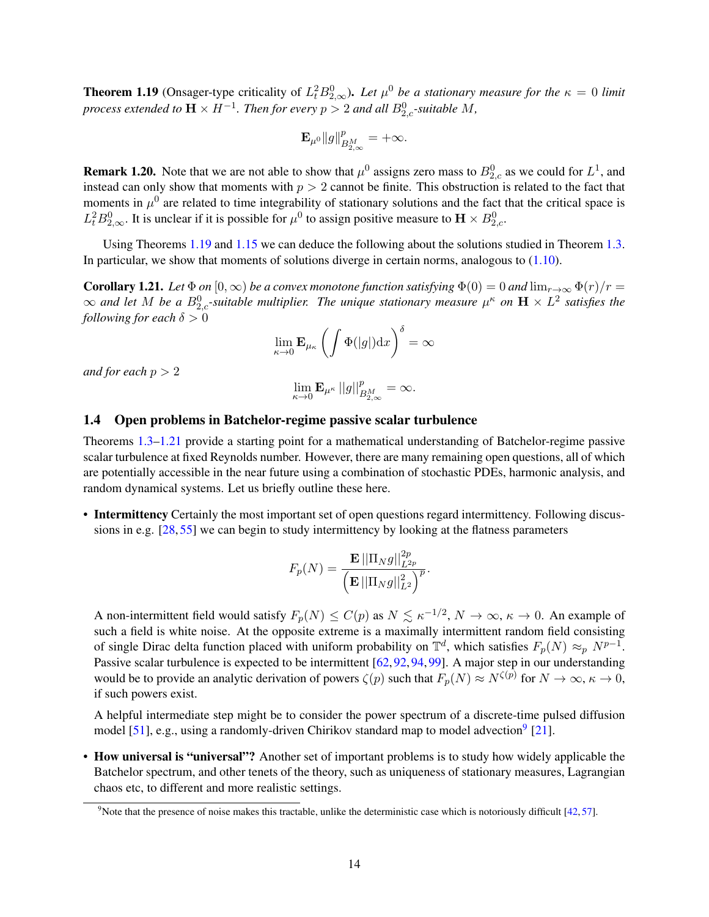<span id="page-13-1"></span>**Theorem 1.19** (Onsager-type criticality of  $L_t^2 B_{2,\infty}^0$ ). Let  $\mu^0$  be a stationary measure for the  $\kappa = 0$  limit *process extended to*  $\mathbf{H} \times H^{-1}$ *. Then for every*  $p > 2$  *and all*  $B_{2,c}^0$ *-suitable*  $M$ *,* 

$$
\mathbf{E}_{\mu^0} \|g\|_{B^M_{2,\infty}}^p = +\infty.
$$

**Remark 1.20.** Note that we are not able to show that  $\mu^0$  assigns zero mass to  $B_{2,c}^0$  as we could for  $L^1$ , and instead can only show that moments with  $p > 2$  cannot be finite. This obstruction is related to the fact that moments in  $\mu^0$  are related to time integrability of stationary solutions and the fact that the critical space is  $L_t^2 B_{2,\infty}^0$ . It is unclear if it is possible for  $\mu^0$  to assign positive measure to  $\mathbf{H} \times B_{2,c}^0$ .

Using Theorems [1.19](#page-13-1) and [1.15](#page-11-2) we can deduce the following about the solutions studied in Theorem [1.3.](#page-8-0) In particular, we show that moments of solutions diverge in certain norms, analogous to [\(1.10\)](#page-9-2).

<span id="page-13-2"></span>**Corollary 1.21.** *Let*  $\Phi$  *on*  $[0,\infty)$  *be a convex monotone function satisfying*  $\Phi(0) = 0$  *and*  $\lim_{r\to\infty} \Phi(r)/r =$  $\infty$  and let M be a  $B_{2,c}^0$ -suitable multiplier. The unique stationary measure  $\mu^{\kappa}$  on  $\mathbf{H}\times L^2$  satisfies the *following for each*  $\delta > 0$ 

$$
\lim_{\kappa \to 0} \mathbf{E}_{\mu_{\kappa}} \left( \int \Phi(|g|) dx \right)^{\delta} = \infty
$$

*and for each*  $p > 2$ 

$$
\lim_{\kappa \to 0} \mathbf{E}_{\mu^{\kappa}} ||g||_{B_{2,\infty}^M}^p = \infty.
$$

#### <span id="page-13-0"></span>1.4 Open problems in Batchelor-regime passive scalar turbulence

Theorems [1.3](#page-8-0)[–1.21](#page-13-2) provide a starting point for a mathematical understanding of Batchelor-regime passive scalar turbulence at fixed Reynolds number. However, there are many remaining open questions, all of which are potentially accessible in the near future using a combination of stochastic PDEs, harmonic analysis, and random dynamical systems. Let us briefly outline these here.

• Intermittency Certainly the most important set of open questions regard intermittency. Following discussions in e.g. [\[28,](#page-39-23) [55\]](#page-40-9) we can begin to study intermittency by looking at the flatness parameters

$$
F_p(N) = \frac{\mathbf{E} \left| \left| \Pi_N g \right| \right|_{L^{2p}}^{2p}}{\left( \mathbf{E} \left| \left| \Pi_N g \right| \right|_{L^2}^2 \right)^p}.
$$

A non-intermittent field would satisfy  $F_p(N) \le C(p)$  as  $N \lesssim \kappa^{-1/2}$ ,  $N \to \infty$ ,  $\kappa \to 0$ . An example of such a field is white noise. At the opposite extreme is a maximally intermittent random field consisting of single Dirac delta function placed with uniform probability on  $\mathbb{T}^d$ , which satisfies  $F_p(N) \approx_p N^{p-1}$ . Passive scalar turbulence is expected to be intermittent [\[62,](#page-40-4) [92,](#page-41-17) [94,](#page-41-18) [99\]](#page-41-19). A major step in our understanding would be to provide an analytic derivation of powers  $\zeta(p)$  such that  $F_p(N) \approx N^{\zeta(p)}$  for  $N \to \infty$ ,  $\kappa \to 0$ , if such powers exist.

A helpful intermediate step might be to consider the power spectrum of a discrete-time pulsed diffusion model [\[51\]](#page-40-16), e.g., using a randomly-driven Chirikov standard map to model advection<sup>[9](#page-13-3)</sup> [\[21\]](#page-39-24).

• How universal is "universal"? Another set of important problems is to study how widely applicable the Batchelor spectrum, and other tenets of the theory, such as uniqueness of stationary measures, Lagrangian chaos etc, to different and more realistic settings.

<span id="page-13-3"></span><sup>&</sup>lt;sup>9</sup>Note that the presence of noise makes this tractable, unlike the deterministic case which is notoriously difficult  $[42, 57]$  $[42, 57]$  $[42, 57]$ .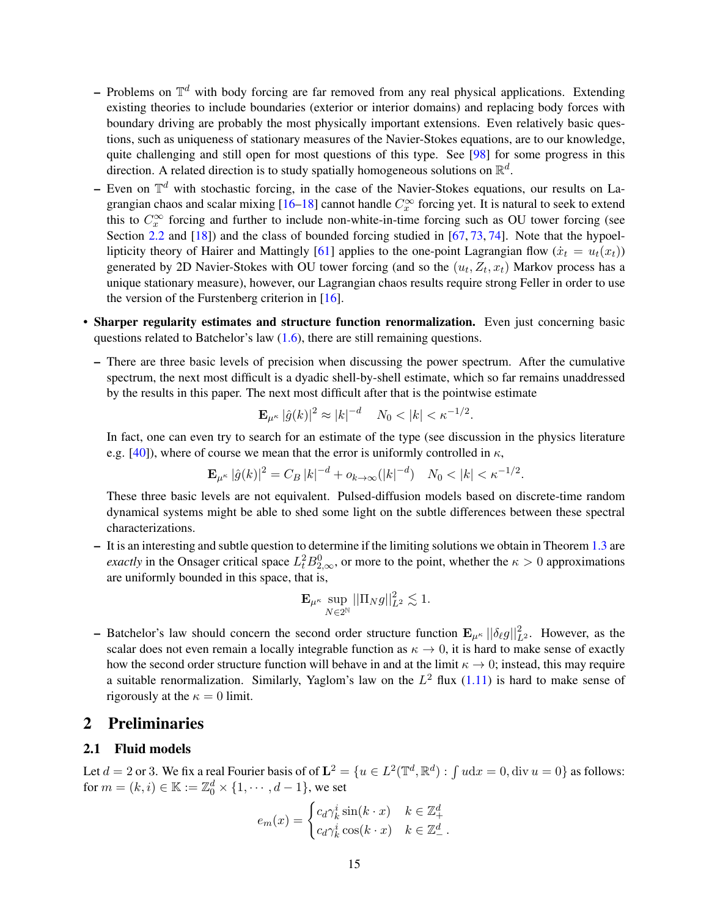- Problems on  $\mathbb{T}^d$  with body forcing are far removed from any real physical applications. Extending existing theories to include boundaries (exterior or interior domains) and replacing body forces with boundary driving are probably the most physically important extensions. Even relatively basic questions, such as uniqueness of stationary measures of the Navier-Stokes equations, are to our knowledge, quite challenging and still open for most questions of this type. See [\[98\]](#page-41-22) for some progress in this direction. A related direction is to study spatially homogeneous solutions on  $\mathbb{R}^d$ .
- Even on  $\mathbb{T}^d$  with stochastic forcing, in the case of the Navier-Stokes equations, our results on La-grangian chaos and scalar mixing [\[16](#page-38-7)[–18\]](#page-39-10) cannot handle  $C_x^{\infty}$  forcing yet. It is natural to seek to extend this to  $C_x^{\infty}$  forcing and further to include non-white-in-time forcing such as OU tower forcing (see Section [2.2](#page-16-0) and [\[18\]](#page-39-10)) and the class of bounded forcing studied in [\[67,](#page-40-24) [73,](#page-41-23) [74\]](#page-41-24). Note that the hypoel-lipticity theory of Hairer and Mattingly [\[61\]](#page-40-25) applies to the one-point Lagrangian flow  $(\dot{x}_t = u_t(x_t))$ generated by 2D Navier-Stokes with OU tower forcing (and so the  $(u_t, Z_t, x_t)$  Markov process has a unique stationary measure), however, our Lagrangian chaos results require strong Feller in order to use the version of the Furstenberg criterion in [\[16\]](#page-38-7).
- Sharper regularity estimates and structure function renormalization. Even just concerning basic questions related to Batchelor's law  $(1.6)$ , there are still remaining questions.
	- There are three basic levels of precision when discussing the power spectrum. After the cumulative spectrum, the next most difficult is a dyadic shell-by-shell estimate, which so far remains unaddressed by the results in this paper. The next most difficult after that is the pointwise estimate

$$
\mathbf{E}_{\mu^{\kappa}} |\hat{g}(k)|^2 \approx |k|^{-d} \quad N_0 < |k| < \kappa^{-1/2}.
$$

In fact, one can even try to search for an estimate of the type (see discussion in the physics literature e.g. [\[40\]](#page-39-2)), where of course we mean that the error is uniformly controlled in  $\kappa$ ,

$$
\mathbf{E}_{\mu^{\kappa}} |\hat{g}(k)|^2 = C_B |k|^{-d} + o_{k \to \infty} (|k|^{-d}) \quad N_0 < |k| < \kappa^{-1/2}.
$$

These three basic levels are not equivalent. Pulsed-diffusion models based on discrete-time random dynamical systems might be able to shed some light on the subtle differences between these spectral characterizations.

– It is an interesting and subtle question to determine if the limiting solutions we obtain in Theorem [1.3](#page-8-0) are *exactly* in the Onsager critical space  $L_t^2 B_{2,\infty}^0$ , or more to the point, whether the  $\kappa > 0$  approximations are uniformly bounded in this space, that is,

$$
\mathbf{E}_{\mu^\kappa} \sup_{N \in 2^\mathbb{N}} || \Pi_N g ||_{L^2}^2 \lesssim 1.
$$

– Batchelor's law should concern the second order structure function  $\mathbf{E}_{\mu^{\kappa}} ||\delta_{\ell}g||_{L^2}^2$ . However, as the scalar does not even remain a locally integrable function as  $\kappa \to 0$ , it is hard to make sense of exactly how the second order structure function will behave in and at the limit  $\kappa \to 0$ ; instead, this may require a suitable renormalization. Similarly, Yaglom's law on the  $L^2$  flux [\(1.11\)](#page-10-1) is hard to make sense of rigorously at the  $\kappa = 0$  limit.

## <span id="page-14-0"></span>2 Preliminaries

## <span id="page-14-1"></span>2.1 Fluid models

Let  $d = 2$  or 3. We fix a real Fourier basis of of  $\mathbf{L}^2 = \{u \in L^2(\mathbb{T}^d, \mathbb{R}^d) : \int u dx = 0, \text{div } u = 0\}$  as follows: for  $m = (k, i) \in \mathbb{K} := \mathbb{Z}_0^d \times \{1, \cdots, d - 1\}$ , we set

$$
e_m(x) = \begin{cases} c_d \gamma_k^i \sin(k \cdot x) & k \in \mathbb{Z}_+^d \\ c_d \gamma_k^i \cos(k \cdot x) & k \in \mathbb{Z}_-^d \end{cases}.
$$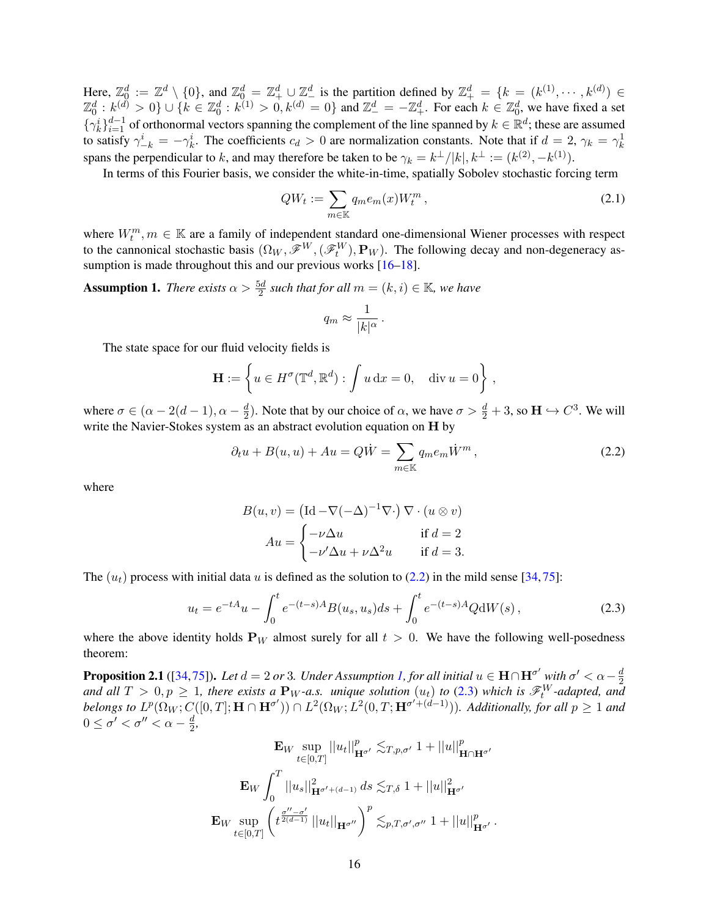Here,  $\mathbb{Z}_0^d := \mathbb{Z}^d \setminus \{0\}$ , and  $\mathbb{Z}_0^d = \mathbb{Z}_+^d \cup \mathbb{Z}_-^d$  is the partition defined by  $\mathbb{Z}_+^d = \{k = (k^{(1)}, \dots, k^{(d)}) \in \mathbb{Z}_+^d \}$  $\mathbb{Z}_0^d : k^{(\tilde{d})} > 0$   $\} \cup \{ k \in \mathbb{Z}_0^d : k^{(1)} > 0, k^{(d)} = 0 \}$  and  $\mathbb{Z}_-^d = -\mathbb{Z}_+^d$ . For each  $k \in \mathbb{Z}_0^d$ , we have fixed a set  $\{\gamma_k^i\}_{i=1}^{d-1}$  of orthonormal vectors spanning the complement of the line spanned by  $k \in \mathbb{R}^d$ ; these are assumed to satisfy  $\gamma_{-k}^i = -\gamma_k^i$ . The coefficients  $c_d > 0$  are normalization constants. Note that if  $d = 2$ ,  $\gamma_k = \gamma_k^1$ spans the perpendicular to k, and may therefore be taken to be  $\gamma_k = k^{\perp}/|k|, k^{\perp} := (k^{(2)}, -k^{(1)}).$ 

In terms of this Fourier basis, we consider the white-in-time, spatially Sobolev stochastic forcing term

$$
QW_t := \sum_{m \in \mathbb{K}} q_m e_m(x) W_t^m, \qquad (2.1)
$$

where  $W_t^m, m \in \mathbb{K}$  are a family of independent standard one-dimensional Wiener processes with respect to the cannonical stochastic basis  $(\Omega_W, \mathscr{F}^W, (\mathscr{F}^W_t), \mathbf{P}_W)$ . The following decay and non-degeneracy as-sumption is made throughout this and our previous works [\[16](#page-38-7)[–18\]](#page-39-10).

<span id="page-15-2"></span>**Assumption 1.** *There exists*  $\alpha > \frac{5d}{2}$  *such that for all*  $m = (k, i) \in \mathbb{K}$ *, we have* 

<span id="page-15-4"></span><span id="page-15-1"></span>
$$
q_m \approx \frac{1}{|k|^{\alpha}}.
$$

The state space for our fluid velocity fields is

$$
\mathbf{H} := \left\{ u \in H^{\sigma}(\mathbb{T}^d, \mathbb{R}^d) : \int u \, dx = 0, \quad \text{div } u = 0 \right\},\
$$

where  $\sigma \in (\alpha - 2(d-1), \alpha - \frac{d}{2})$  $\frac{d}{2}$ ). Note that by our choice of  $\alpha$ , we have  $\sigma > \frac{d}{2} + 3$ , so  $\mathbf{H} \hookrightarrow C^3$ . We will write the Navier-Stokes system as an abstract evolution equation on H by

$$
\partial_t u + B(u, u) + Au = Q\dot{W} = \sum_{m \in \mathbb{K}} q_m e_m \dot{W}^m,
$$
\n(2.2)

where

<span id="page-15-3"></span>
$$
B(u, v) = (\text{Id} - \nabla(-\Delta)^{-1} \nabla \cdot) \nabla \cdot (u \otimes v)
$$

$$
Au = \begin{cases} -\nu \Delta u & \text{if } d = 2\\ -\nu' \Delta u + \nu \Delta^2 u & \text{if } d = 3. \end{cases}
$$

The  $(u_t)$  process with initial data u is defined as the solution to [\(2.2\)](#page-15-1) in the mild sense [\[34,](#page-39-25) [75\]](#page-41-25):

$$
u_t = e^{-tA}u - \int_0^t e^{-(t-s)A} B(u_s, u_s)ds + \int_0^t e^{-(t-s)A} Q \,dW(s) \,, \tag{2.3}
$$

where the above identity holds  $P_W$  almost surely for all  $t > 0$ . We have the following well-posedness theorem:

<span id="page-15-0"></span>**Proposition 2.1** ([\[34,](#page-39-25)[75\]](#page-41-25)). Let  $d=2$  or 3. Under Assumption [1,](#page-15-2) for all initial  $u \in H \cap H^{\sigma'}$  with  $\sigma' < \alpha - \frac{d}{2}$ 2 and all  $T > 0, p \ge 1$ , there exists a  $P_W$ -a.s. unique solution  $(u_t)$  to [\(2.3\)](#page-15-3) which is  $\mathscr{F}_t^W$ -adapted, and  $belongs$  to  $L^p(\Omega_W; C([0, T]; \mathbf{H} \cap \mathbf{H}^{\sigma'})) \cap L^2(\Omega_W; L^2(0, T; \mathbf{H}^{\sigma' + (d-1)})).$  Additionally, for all  $p \ge 1$  and  $0 \leq \sigma' < \sigma'' < \alpha - \frac{d}{2}$  $\frac{d}{2}$ 

$$
\mathbf{E}_{W} \sup_{t \in [0,T]} ||u_{t}||_{\mathbf{H}^{\sigma'}}^{p} \lesssim_{T,p,\sigma'} 1 + ||u||_{\mathbf{H} \cap \mathbf{H}^{\sigma'}}^{p}
$$

$$
\mathbf{E}_{W} \int_{0}^{T} ||u_{s}||_{\mathbf{H}^{\sigma'+(d-1)}}^{2} ds \lesssim_{T,\delta} 1 + ||u||_{\mathbf{H}^{\sigma'}}^{2}
$$

$$
\mathbf{E}_{W} \sup_{t \in [0,T]} \left( t^{\frac{\sigma''-\sigma'}{2(d-1)}} ||u_{t}||_{\mathbf{H}^{\sigma''}} \right)^{p} \lesssim_{p,T,\sigma',\sigma''} 1 + ||u||_{\mathbf{H}^{\sigma'}}^{p}.
$$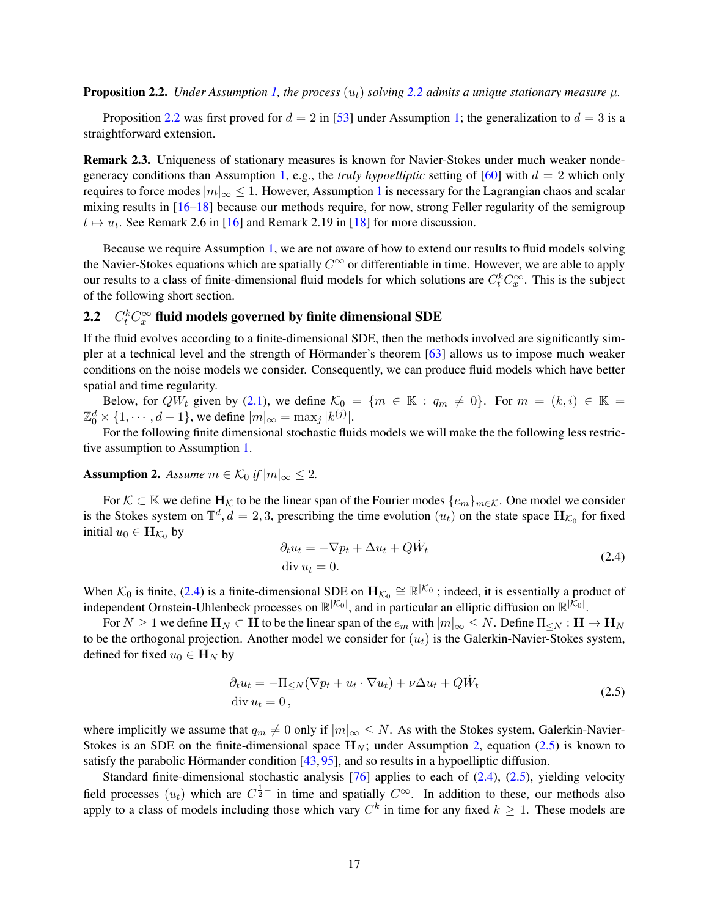<span id="page-16-1"></span>**Proposition [2.2](#page-15-1).** *Under Assumption [1,](#page-15-2) the process*  $(u_t)$  *solving* 2.2 *admits a unique stationary measure*  $\mu$ *.* 

Proposition [2.2](#page-16-1) was first proved for  $d = 2$  in [\[53\]](#page-40-14) under Assumption [1;](#page-15-2) the generalization to  $d = 3$  is a straightforward extension.

Remark 2.3. Uniqueness of stationary measures is known for Navier-Stokes under much weaker nonde-generacy conditions than Assumption [1,](#page-15-2) e.g., the *truly hypoelliptic* setting of  $[60]$  with  $d = 2$  which only requires to force modes  $|m|_{\infty} \leq 1$  $|m|_{\infty} \leq 1$ . However, Assumption 1 is necessary for the Lagrangian chaos and scalar mixing results in [\[16–](#page-38-7)[18\]](#page-39-10) because our methods require, for now, strong Feller regularity of the semigroup  $t \mapsto u_t$ . See Remark 2.6 in [\[16\]](#page-38-7) and Remark 2.19 in [\[18\]](#page-39-10) for more discussion.

Because we require Assumption [1,](#page-15-2) we are not aware of how to extend our results to fluid models solving the Navier-Stokes equations which are spatially  $C^{\infty}$  or differentiable in time. However, we are able to apply our results to a class of finite-dimensional fluid models for which solutions are  $C_t^k C_x^{\infty}$ . This is the subject of the following short section.

## <span id="page-16-0"></span>2.2  $C_t^k C_x^{\infty}$  fluid models governed by finite dimensional SDE

If the fluid evolves according to a finite-dimensional SDE, then the methods involved are significantly sim-pler at a technical level and the strength of Hörmander's theorem [[63\]](#page-40-26) allows us to impose much weaker conditions on the noise models we consider. Consequently, we can produce fluid models which have better spatial and time regularity.

Below, for  $QW_t$  given by [\(2.1\)](#page-15-4), we define  $\mathcal{K}_0 = \{m \in \mathbb{K} : q_m \neq 0\}$ . For  $m = (k, i) \in \mathbb{K} =$  $\mathbb{Z}_0^d \times \{1, \cdots, d-1\}$ , we define  $|m|_{\infty} = \max_j |k^{(j)}|$ .

For the following finite dimensional stochastic fluids models we will make the the following less restrictive assumption to Assumption [1.](#page-15-2)

<span id="page-16-3"></span>**Assumption 2.** *Assume*  $m \in \mathcal{K}_0$  *if*  $|m|_{\infty} \leq 2$ .

For  $K \subset \mathbb{K}$  we define  $H_K$  to be the linear span of the Fourier modes  $\{e_m\}_{m \in \mathcal{K}}$ . One model we consider is the Stokes system on  $\mathbb{T}^d$ ,  $d=2,3$ , prescribing the time evolution  $(u_t)$  on the state space  $\mathbf{H}_{\mathcal{K}_0}$  for fixed initial  $u_0 \in \mathbf{H}_{\mathcal{K}_0}$  by

<span id="page-16-4"></span><span id="page-16-2"></span>
$$
\partial_t u_t = -\nabla p_t + \Delta u_t + Q \dot{W}_t
$$
  
div  $u_t = 0$ . (2.4)

When  $\mathcal{K}_0$  is finite, [\(2.4\)](#page-16-2) is a finite-dimensional SDE on  $\mathbf{H}_{\mathcal{K}_0} \cong \mathbb{R}^{|\mathcal{K}_0|}$ ; indeed, it is essentially a product of independent Ornstein-Uhlenbeck processes on  $\mathbb{R}^{|\mathcal{K}_0|}$ , and in particular an elliptic diffusion on  $\mathbb{R}^{|\mathcal{K}_0|}$ .

For  $N \geq 1$  we define  $H_N \subset H$  to be the linear span of the  $e_m$  with  $|m|_{\infty} \leq N$ . Define  $\Pi_{\leq N} : H \to H_N$ to be the orthogonal projection. Another model we consider for  $(u_t)$  is the Galerkin-Navier-Stokes system, defined for fixed  $u_0 \in \mathbf{H}_N$  by

$$
\partial_t u_t = -\Pi_{\leq N} (\nabla p_t + u_t \cdot \nabla u_t) + \nu \Delta u_t + Q \dot{W}_t
$$
  
div  $u_t = 0$ , (2.5)

where implicitly we assume that  $q_m \neq 0$  only if  $|m|_{\infty} \leq N$ . As with the Stokes system, Galerkin-Navier-Stokes is an SDE on the finite-dimensional space  $H_N$ ; under Assumption [2,](#page-16-3) equation [\(2.5\)](#page-16-4) is known to satisfy the parabolic Hörmander condition  $[43, 95]$  $[43, 95]$  $[43, 95]$  $[43, 95]$ , and so results in a hypoelliptic diffusion.

Standard finite-dimensional stochastic analysis [\[76\]](#page-41-27) applies to each of [\(2.4\)](#page-16-2), [\(2.5\)](#page-16-4), yielding velocity field processes  $(u_t)$  which are  $C^{\frac{1}{2}-}$  in time and spatially  $C^{\infty}$ . In addition to these, our methods also apply to a class of models including those which vary  $C<sup>k</sup>$  in time for any fixed  $k \ge 1$ . These models are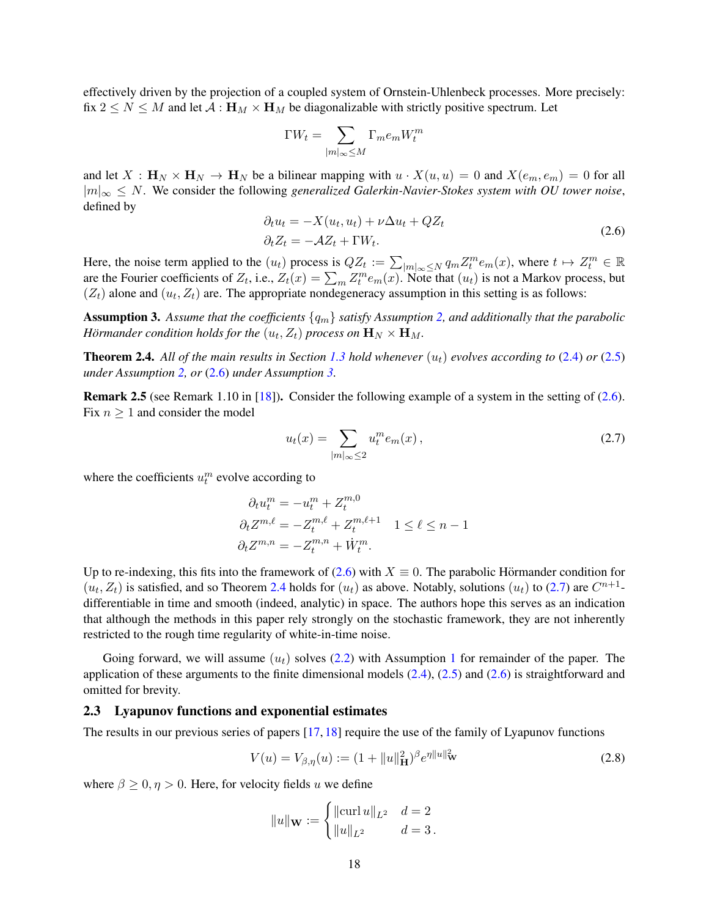effectively driven by the projection of a coupled system of Ornstein-Uhlenbeck processes. More precisely: fix  $2 \le N \le M$  and let  $A : H_M \times H_M$  be diagonalizable with strictly positive spectrum. Let

<span id="page-17-1"></span>
$$
\Gamma W_t = \sum_{|m|_\infty \le M} \Gamma_m e_m W^m_t
$$

and let  $X : H_N \times H_N \to H_N$  be a bilinear mapping with  $u \cdot X(u, u) = 0$  and  $X(e_m, e_m) = 0$  for all |m|<sup>∞</sup> ≤ N. We consider the following *generalized Galerkin-Navier-Stokes system with OU tower noise*, defined by

$$
\partial_t u_t = -X(u_t, u_t) + \nu \Delta u_t + QZ_t
$$
  
\n
$$
\partial_t Z_t = -\mathcal{A}Z_t + \Gamma W_t.
$$
\n(2.6)

Here, the noise term applied to the  $(u_t)$  process is  $QZ_t := \sum_{|m|_\infty \leq N} q_m Z_t^m e_m(x)$ , where  $t \mapsto Z_t^m \in \mathbb{R}$ are the Fourier coefficients of  $Z_t$ , i.e.,  $Z_t(x) = \sum_m Z_t^m e_m(x)$ . Note that  $(u_t)$  is not a Markov process, but  $(Z_t)$  alone and  $(u_t, Z_t)$  are. The appropriate nondegeneracy assumption in this setting is as follows:

<span id="page-17-2"></span>**Assumption 3.** Assume that the coefficients  $\{q_m\}$  satisfy Assumption [2,](#page-16-3) and additionally that the parabolic *Hörmander condition holds for the*  $(u_t, Z_t)$  *process on*  $\mathbf{H}_N \times \mathbf{H}_M$ *.* 

<span id="page-17-3"></span>**Theorem 2.4.** All of the main results in Section [1.3](#page-6-0) hold whenever  $(u_t)$  evolves according to [\(2.4\)](#page-16-2) or [\(2.5\)](#page-16-4) *under Assumption [2,](#page-16-3) or* [\(2.6\)](#page-17-1) *under Assumption [3.](#page-17-2)*

**Remark 2.5** (see Remark 1.10 in [\[18\]](#page-39-10)). Consider the following example of a system in the setting of  $(2.6)$ . Fix  $n \geq 1$  and consider the model

<span id="page-17-4"></span>
$$
u_t(x) = \sum_{|m|_{\infty} \le 2} u_t^m e_m(x), \qquad (2.7)
$$

where the coefficients  $u_t^m$  evolve according to

$$
\partial_t u_t^m = -u_t^m + Z_t^{m,0}
$$
  
\n
$$
\partial_t Z^{m,\ell} = -Z_t^{m,\ell} + Z_t^{m,\ell+1} \quad 1 \le \ell \le n-1
$$
  
\n
$$
\partial_t Z^{m,n} = -Z_t^{m,n} + \dot{W}_t^m.
$$

Up to re-indexing, this fits into the framework of [\(2.6\)](#page-17-1) with  $X \equiv 0$ . The parabolic Hörmander condition for  $(u_t, Z_t)$  is satisfied, and so Theorem [2.4](#page-17-3) holds for  $(u_t)$  as above. Notably, solutions  $(u_t)$  to [\(2.7\)](#page-17-4) are  $C^{n+1}$ differentiable in time and smooth (indeed, analytic) in space. The authors hope this serves as an indication that although the methods in this paper rely strongly on the stochastic framework, they are not inherently restricted to the rough time regularity of white-in-time noise.

Going forward, we will assume  $(u_t)$  solves [\(2.2\)](#page-15-1) with Assumption [1](#page-15-2) for remainder of the paper. The application of these arguments to the finite dimensional models  $(2.4)$ ,  $(2.5)$  and  $(2.6)$  is straightforward and omitted for brevity.

#### <span id="page-17-0"></span>2.3 Lyapunov functions and exponential estimates

The results in our previous series of papers [\[17,](#page-39-12) [18\]](#page-39-10) require the use of the family of Lyapunov functions

$$
V(u) = V_{\beta,\eta}(u) := (1 + \|u\|_{\mathbf{H}}^2)^{\beta} e^{\eta \|u\|_{\mathbf{W}}^2}
$$
\n(2.8)

where  $\beta \geq 0, \eta > 0$ . Here, for velocity fields u we define

<span id="page-17-5"></span>
$$
||u||_{\mathbf{W}} := \begin{cases} ||\text{curl } u||_{L^2} & d = 2 \\ ||u||_{L^2} & d = 3 \end{cases}
$$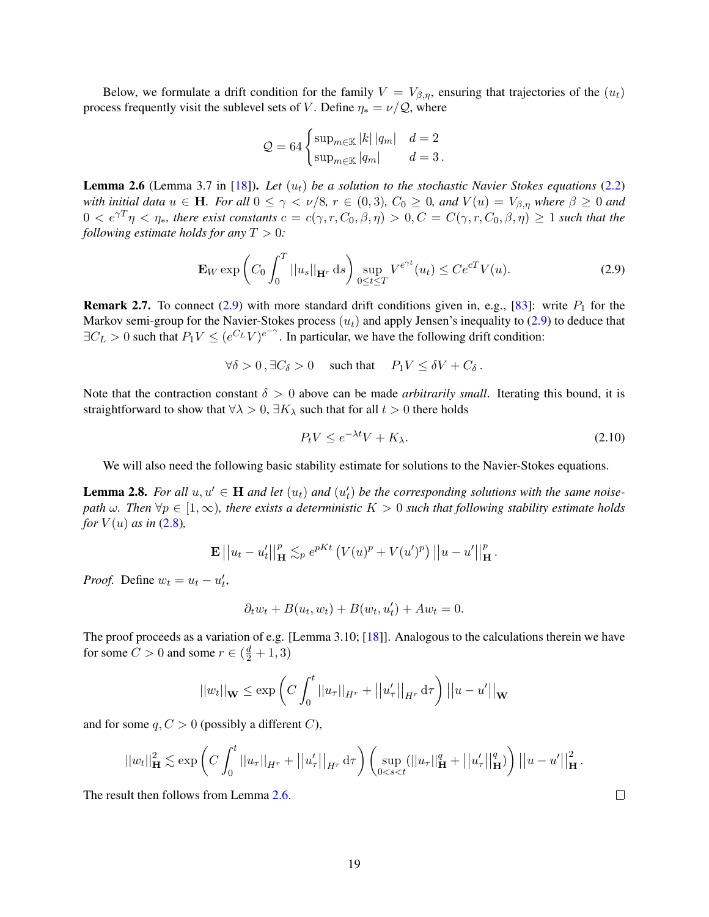Below, we formulate a drift condition for the family  $V = V_{\beta,\eta}$ , ensuring that trajectories of the  $(u_t)$ process frequently visit the sublevel sets of V. Define  $\eta_* = \nu/Q$ , where

$$
Q = 64 \begin{cases} \sup_{m \in \mathbb{K}} |k| |q_m| & d = 2 \\ \sup_{m \in \mathbb{K}} |q_m| & d = 3 \,. \end{cases}
$$

<span id="page-18-2"></span>**Lemma 2.6** (Lemma 3.7 in [\[18\]](#page-39-10)). Let  $(u_t)$  be a solution to the stochastic Navier Stokes equations [\(2.2\)](#page-15-1) *with initial data*  $u \in H$ *. For all*  $0 \leq \gamma \leq \nu/8$ ,  $r \in (0,3)$ ,  $C_0 \geq 0$ , and  $V(u) = V_{\beta,\eta}$  where  $\beta \geq 0$  and  $0 < e^{\gamma T} \eta < \eta_*$ *, there exist constants*  $c = c(\gamma, r, C_0, \beta, \eta) > 0, C = C(\gamma, r, C_0, \beta, \eta) \ge 1$  *such that the following estimate holds for any*  $T > 0$ *:* 

$$
\mathbf{E}_W \exp\left(C_0 \int_0^T ||u_s||_{\mathbf{H}^r} ds\right) \sup_{0 \le t \le T} V^{e^{\gamma t}}(u_t) \le C e^{cT} V(u). \tag{2.9}
$$

**Remark 2.7.** To connect [\(2.9\)](#page-18-1) with more standard drift conditions given in, e.g., [\[83\]](#page-41-28): write  $P_1$  for the Markov semi-group for the Navier-Stokes process  $(u_t)$  and apply Jensen's inequality to [\(2.9\)](#page-18-1) to deduce that  $\exists C_L > 0$  such that  $P_1 V \leq (e^{C_L} V)^{e^{-\gamma}}$ . In particular, we have the following drift condition:

 $\forall \delta > 0$ ,  $\exists C_{\delta} > 0$  such that  $P_1 V \leq \delta V + C_{\delta}$ .

Note that the contraction constant  $\delta > 0$  above can be made *arbitrarily small*. Iterating this bound, it is straightforward to show that  $\forall \lambda > 0$ ,  $\exists K_\lambda$  such that for all  $t > 0$  there holds

<span id="page-18-3"></span><span id="page-18-1"></span>
$$
P_t V \le e^{-\lambda t} V + K_{\lambda}.
$$
\n
$$
(2.10)
$$

We will also need the following basic stability estimate for solutions to the Navier-Stokes equations.

<span id="page-18-4"></span>**Lemma 2.8.** For all  $u, u' \in H$  and let  $(u_t)$  and  $(u'_t)$  be the corresponding solutions with the same noise*path*  $\omega$ *. Then*  $\forall p \in [1, \infty)$ *, there exists a deterministic*  $K > 0$  *such that following stability estimate holds for*  $V(u)$  *as in* [\(2.8\)](#page-17-5)*,* 

$$
\mathbf{E}||u_t - u'_t||_\mathbf{H}^p \lesssim_p e^{pKt} \left( V(u)^p + V(u')^p \right) ||u - u'||_\mathbf{H}^p.
$$

*Proof.* Define  $w_t = u_t - u'_t$ ,

$$
\partial_t w_t + B(u_t, w_t) + B(w_t, u'_t) + Aw_t = 0.
$$

The proof proceeds as a variation of e.g. [Lemma 3.10; [\[18\]](#page-39-10)]. Analogous to the calculations therein we have for some  $C > 0$  and some  $r \in (\frac{d}{2} + 1, 3)$ 

$$
||w_t||_{\mathbf{W}} \le \exp\left(C \int_0^t ||u_\tau||_{H^r} + ||u'_\tau||_{H^r} d\tau\right) ||u - u'||_{\mathbf{W}}
$$

and for some  $q, C > 0$  (possibly a different C),

$$
||w_t||_{\mathbf{H}}^2 \lesssim \exp\left(C\int_0^t ||u_\tau||_{H^r} + ||u'_\tau||_{H^r} d\tau\right) \left(\sup_{0
$$

<span id="page-18-0"></span>The result then follows from Lemma [2.6.](#page-18-2)

 $\Box$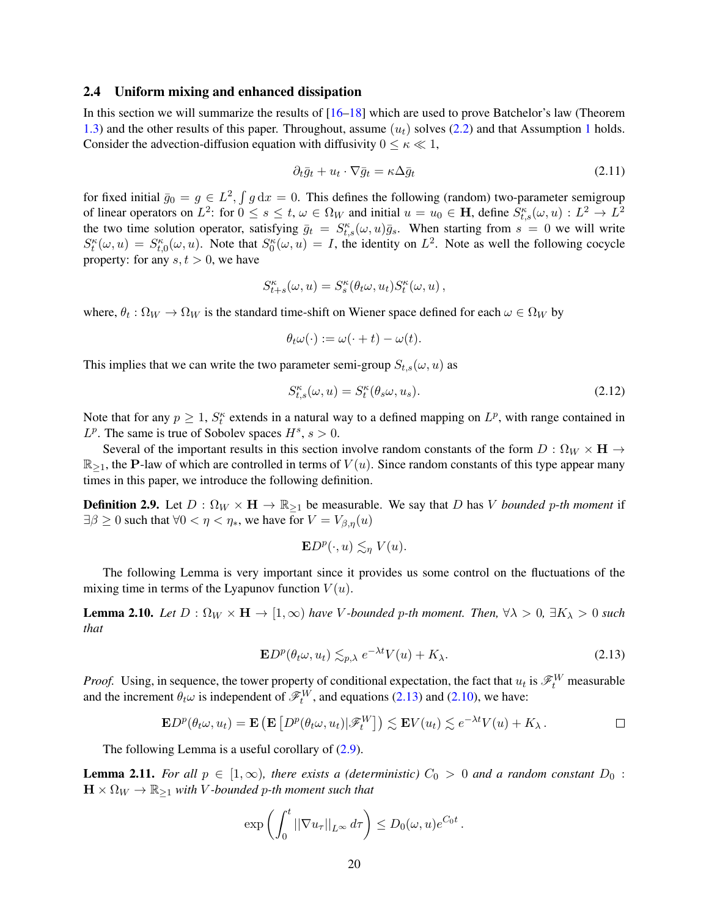#### 2.4 Uniform mixing and enhanced dissipation

In this section we will summarize the results of [\[16–](#page-38-7)[18\]](#page-39-10) which are used to prove Batchelor's law (Theorem [1.3\)](#page-8-0) and the other results of this paper. Throughout, assume  $(u_t)$  solves [\(2.2\)](#page-15-1) and that Assumption [1](#page-15-2) holds. Consider the advection-diffusion equation with diffusivity  $0 \le \kappa \ll 1$ ,

<span id="page-19-2"></span>
$$
\partial_t \bar{g}_t + u_t \cdot \nabla \bar{g}_t = \kappa \Delta \bar{g}_t \tag{2.11}
$$

for fixed initial  $\bar{g}_0 = g \in L^2$ ,  $\int g dx = 0$ . This defines the following (random) two-parameter semigroup of linear operators on  $L^2$ : for  $0 \le s \le t$ ,  $\omega \in \Omega_W$  and initial  $u = u_0 \in \mathbf{H}$ , define  $S_{t,s}^{\kappa}(\omega, u) : L^2 \to L^2$ the two time solution operator, satisfying  $\bar{g}_t = S_{t,s}^{\kappa}(\omega, u) \bar{g}_s$ . When starting from  $s = 0$  we will write  $S_t^{\kappa}(\omega, u) = S_{t,0}^{\kappa}(\omega, u)$ . Note that  $S_0^{\kappa}(\omega, u) = I$ , the identity on  $L^2$ . Note as well the following cocycle property: for any  $s, t > 0$ , we have

$$
S_{t+s}^{\kappa}(\omega, u) = S_{s}^{\kappa}(\theta_t \omega, u_t) S_{t}^{\kappa}(\omega, u) ,
$$

where,  $\theta_t : \Omega_W \to \Omega_W$  is the standard time-shift on Wiener space defined for each  $\omega \in \Omega_W$  by

$$
\theta_t \omega(\cdot) := \omega(\cdot + t) - \omega(t).
$$

This implies that we can write the two parameter semi-group  $S_{t,s}(\omega, u)$  as

<span id="page-19-3"></span>
$$
S_{t,s}^{\kappa}(\omega, u) = S_t^{\kappa}(\theta_s \omega, u_s). \tag{2.12}
$$

Note that for any  $p \geq 1$ ,  $S_t^{\kappa}$  extends in a natural way to a defined mapping on  $L^p$ , with range contained in  $L^p$ . The same is true of Sobolev spaces  $H^s$ ,  $s > 0$ .

Several of the important results in this section involve random constants of the form  $D: \Omega_W \times H \to$  $\mathbb{R}_{\geq 1}$ , the P-law of which are controlled in terms of  $V(u)$ . Since random constants of this type appear many times in this paper, we introduce the following definition.

<span id="page-19-0"></span>**Definition 2.9.** Let  $D : \Omega_W \times H \to \mathbb{R}_{\geq 1}$  be measurable. We say that D has V *bounded* p-th moment if  $\exists \beta \geq 0$  such that  $\forall 0 < \eta < \eta_*,$  we have for  $V = V_{\beta,\eta}(u)$ 

<span id="page-19-1"></span>
$$
\mathbf{E}D^{p}(\cdot,u)\lesssim_{\eta}V(u).
$$

The following Lemma is very important since it provides us some control on the fluctuations of the mixing time in terms of the Lyapunov function  $V(u)$ .

<span id="page-19-4"></span>**Lemma 2.10.** *Let*  $D : \Omega_W \times H \to [1, \infty)$  *have V*-bounded *p*-th moment. Then,  $\forall \lambda > 0$ ,  $\exists K_\lambda > 0$  *such that*

$$
\mathbf{E}D^{p}(\theta_{t}\omega, u_{t}) \lesssim_{p,\lambda} e^{-\lambda t} V(u) + K_{\lambda}.
$$
 (2.13)

*Proof.* Using, in sequence, the tower property of conditional expectation, the fact that  $u_t$  is  $\mathscr{F}_t^W$  measurable and the increment  $\theta_t \omega$  is independent of  $\mathscr{F}_t^W$ , and equations [\(2.13\)](#page-19-1) and [\(2.10\)](#page-18-3), we have:

$$
\mathbf{E}D^p(\theta_t\omega, u_t) = \mathbf{E}\left(\mathbf{E}\left[D^p(\theta_t\omega, u_t)|\mathscr{F}_t^W\right]\right) \lesssim \mathbf{E}V(u_t) \lesssim e^{-\lambda t}V(u) + K_\lambda.
$$

The following Lemma is a useful corollary of  $(2.9)$ .

<span id="page-19-5"></span>**Lemma 2.11.** For all  $p \in [1,\infty)$ , there exists a (deterministic)  $C_0 > 0$  and a random constant  $D_0$ :  $\mathbf{H} \times \Omega_W \to \mathbb{R}_{\geq 1}$  *with V*-bounded *p*-th moment such that

$$
\exp\left(\int_0^t \left|\left|\nabla u_\tau\right|\right|_{L^\infty} d\tau\right) \leq D_0(\omega, u) e^{C_0 t}.
$$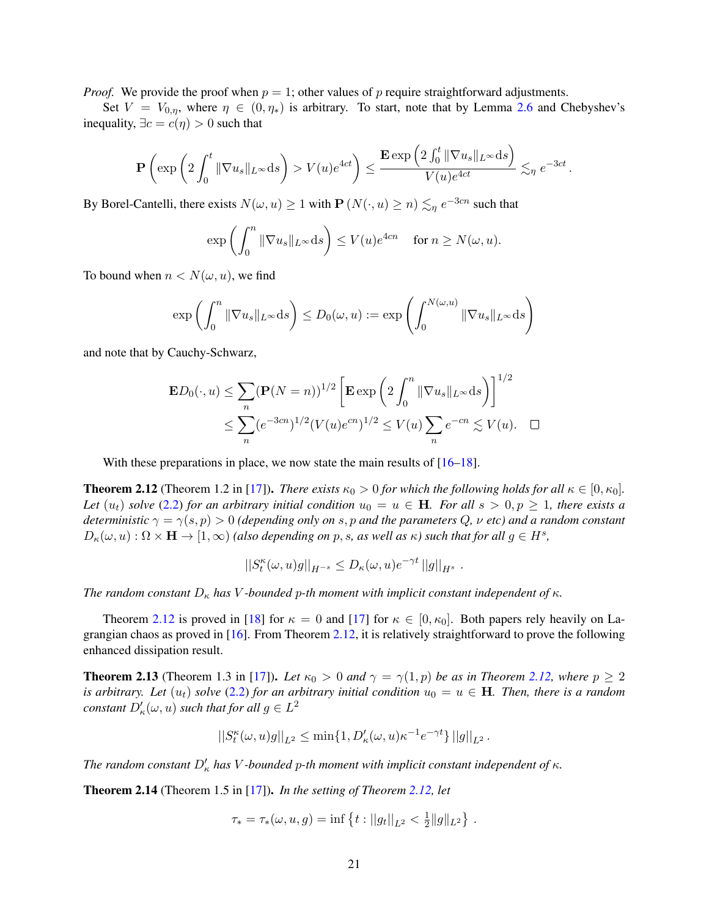*Proof.* We provide the proof when  $p = 1$ ; other values of p require straightforward adjustments.

Set  $V = V_{0,\eta}$ , where  $\eta \in (0, \eta_*)$  is arbitrary. To start, note that by Lemma [2.6](#page-18-2) and Chebyshev's inequality,  $\exists c = c(\eta) > 0$  such that

$$
\mathbf{P}\left(\exp\left(2\int_0^t \|\nabla u_s\|_{L^\infty}{\rm d} s\right) > V(u)e^{4ct}\right) \le \frac{\mathbf{E}\exp\left(2\int_0^t \|\nabla u_s\|_{L^\infty}{\rm d} s\right)}{V(u)e^{4ct}} \lesssim_\eta e^{-3ct}\,.
$$

By Borel-Cantelli, there exists  $N(\omega, u) \ge 1$  with  $P(N(\cdot, u) \ge n) \lesssim_{\eta} e^{-3cn}$  such that

$$
\exp\left(\int_0^n \|\nabla u_s\|_{L^\infty} ds\right) \le V(u)e^{4cn} \quad \text{ for } n \ge N(\omega, u).
$$

To bound when  $n < N(\omega, u)$ , we find

$$
\exp\left(\int_0^n \|\nabla u_s\|_{L^\infty} ds\right) \le D_0(\omega, u) := \exp\left(\int_0^{N(\omega, u)} \|\nabla u_s\|_{L^\infty} ds\right)
$$

and note that by Cauchy-Schwarz,

$$
\mathbf{E}D_0(\cdot, u) \le \sum_n (\mathbf{P}(N = n))^{1/2} \left[ \mathbf{E} \exp \left( 2 \int_0^n \|\nabla u_s\|_{L^\infty} ds \right) \right]^{1/2}
$$
  

$$
\le \sum_n (e^{-3cn})^{1/2} (V(u)e^{cn})^{1/2} \le V(u) \sum_n e^{-cn} \lesssim V(u). \quad \Box
$$

With these preparations in place, we now state the main results of  $[16–18]$  $[16–18]$ .

<span id="page-20-0"></span>**Theorem 2.12** (Theorem 1.2 in [\[17\]](#page-39-12)). *There exists*  $\kappa_0 > 0$  *for which the following holds for all*  $\kappa \in [0, \kappa_0]$ *. Let*  $(u_t)$  *solve* [\(2.2\)](#page-15-1) *for an arbitrary initial condition*  $u_0 = u \in$  **H***. For all*  $s > 0, p \ge 1$ *, there exists a deterministic*  $\gamma = \gamma(s, p) > 0$  *(depending only on* s, p and the parameters Q,  $\nu$  etc) and a random constant  $D_{\kappa}(\omega, u) : \Omega \times \mathbf{H} \to [1, \infty)$  (also depending on p, s, as well as  $\kappa$ ) such that for all  $g \in H^s$ ,

$$
||S_t^{\kappa}(\omega, u)g||_{H^{-s}} \leq D_{\kappa}(\omega, u)e^{-\gamma t} ||g||_{H^s} .
$$

*The random constant*  $D_{\kappa}$  *has* V-*bounded* p-th moment with implicit constant independent of  $\kappa$ .

Theorem [2.12](#page-20-0) is proved in [\[18\]](#page-39-10) for  $\kappa = 0$  and [\[17\]](#page-39-12) for  $\kappa \in [0, \kappa_0]$ . Both papers rely heavily on Lagrangian chaos as proved in [\[16\]](#page-38-7). From Theorem [2.12,](#page-20-0) it is relatively straightforward to prove the following enhanced dissipation result.

<span id="page-20-1"></span>**Theorem 2.13** (Theorem 1.3 in [\[17\]](#page-39-12)). Let  $\kappa_0 > 0$  and  $\gamma = \gamma(1, p)$  be as in Theorem [2.12,](#page-20-0) where  $p \ge 2$ *is arbitrary. Let*  $(u_t)$  *solve* [\(2.2\)](#page-15-1) *for an arbitrary initial condition*  $u_0 = u \in$ **H**. Then, there is a random *constant*  $D'_\kappa(\omega, u)$  *such that for all*  $g \in L^2$ 

$$
||S_t^{\kappa}(\omega, u)g||_{L^2} \le \min\{1, D_{\kappa}'(\omega, u)\kappa^{-1}e^{-\gamma t}\} ||g||_{L^2}.
$$

*The random constant*  $D'_{\kappa}$  *has* V-bounded p-th moment with implicit constant independent of  $\kappa$ .

<span id="page-20-2"></span>Theorem 2.14 (Theorem 1.5 in [\[17\]](#page-39-12)). *In the setting of Theorem [2.12,](#page-20-0) let*

$$
\tau_* = \tau_*(\omega, u, g) = \inf \left\{ t : ||g_t||_{L^2} < \frac{1}{2} ||g||_{L^2} \right\}.
$$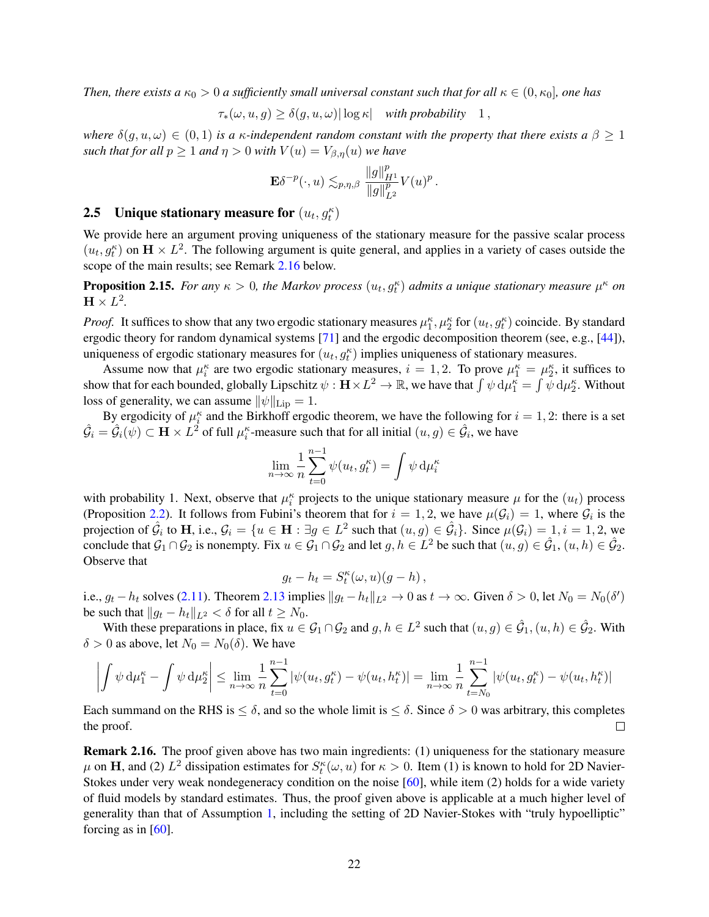*Then, there exists a*  $\kappa_0 > 0$  *a sufficiently small universal constant such that for all*  $\kappa \in (0, \kappa_0]$ *, one has* 

$$
\tau_*(\omega, u, g) \ge \delta(g, u, \omega) |\log \kappa| \quad \text{with probability} \quad 1,
$$

*where*  $\delta(q, u, \omega) \in (0, 1)$  *is a*  $\kappa$ *-independent random constant with the property that there exists a*  $\beta \ge 1$ *such that for all*  $p \ge 1$  *and*  $q > 0$  *with*  $V(u) = V_{\beta,q}(u)$  *we have* 

$$
\mathbf{E} \delta^{-p}(\cdot, u) \lesssim_{p, \eta, \beta} \frac{\|g\|_{H^1}^p}{\|g\|_{L^2}^p} V(u)^p.
$$

## <span id="page-21-0"></span>**2.5** Unique stationary measure for  $(u_t, g_t^{\kappa})$

We provide here an argument proving uniqueness of the stationary measure for the passive scalar process  $(u_t, g_t^k)$  on  $\mathbf{H} \times L^2$ . The following argument is quite general, and applies in a variety of cases outside the scope of the main results; see Remark [2.16](#page-21-2) below.

<span id="page-21-3"></span>**Proposition 2.15.** For any  $\kappa > 0$ , the Markov process  $(u_t, g_t^{\kappa})$  admits a unique stationary measure  $\mu^{\kappa}$  on  $\mathbf{H} \times L^2$ .

*Proof.* It suffices to show that any two ergodic stationary measures  $\mu_1^k$ ,  $\mu_2^k$  for  $(u_t, g_t^k)$  coincide. By standard ergodic theory for random dynamical systems [\[71\]](#page-40-28) and the ergodic decomposition theorem (see, e.g., [\[44\]](#page-40-29)), uniqueness of ergodic stationary measures for  $(u_t, g_t^{\kappa})$  implies uniqueness of stationary measures.

Assume now that  $\mu_i^k$  are two ergodic stationary measures,  $i = 1, 2$ . To prove  $\mu_1^k = \mu_2^k$ , it suffices to show that for each bounded, globally Lipschitz  $\psi:\mathbf{H}\times L^2\to\mathbb{R}$ , we have that  $\int\psi\,\mathrm{d}\mu_1^{\kappa}=\int\bar{\psi}\,\mathrm{d}\mu_2^{\kappa}.$  Without loss of generality, we can assume  $\|\psi\|_{\text{Lip}} = 1$ .

By ergodicity of  $\mu_i^{\kappa}$  and the Birkhoff ergodic theorem, we have the following for  $i = 1, 2$ : there is a set  $\hat{G}_i = \hat{G}_i(\psi) \subset \mathbf{H} \times L^2$  of full  $\mu_i^{\kappa}$ -measure such that for all initial  $(u, g) \in \hat{\mathcal{G}}_i$ , we have

$$
\lim_{n \to \infty} \frac{1}{n} \sum_{t=0}^{n-1} \psi(u_t, g_t^{\kappa}) = \int \psi \, \mathrm{d}\mu_i^{\kappa}
$$

with probability 1. Next, observe that  $\mu_i^k$  projects to the unique stationary measure  $\mu$  for the  $(u_t)$  process (Proposition [2.2\)](#page-16-1). It follows from Fubini's theorem that for  $i = 1, 2$ , we have  $\mu(\mathcal{G}_i) = 1$ , where  $\mathcal{G}_i$  is the projection of  $\hat{\mathcal{G}}_i$  to **H**, i.e.,  $\mathcal{G}_i = \{u \in \mathbf{H} : \exists g \in L^2 \text{ such that } (u,g) \in \hat{\mathcal{G}}_i\}$ . Since  $\mu(\mathcal{G}_i) = 1, i = 1,2$ , we conclude that  $G_1 \cap G_2$  is nonempty. Fix  $u \in G_1 \cap G_2$  and let  $g, h \in L^2$  be such that  $(u, g) \in \hat{G}_1$ ,  $(u, h) \in \hat{G}_2$ . Observe that

$$
g_t - h_t = S_t^{\kappa}(\omega, u)(g - h) ,
$$

i.e.,  $g_t - h_t$  solves [\(2.11\)](#page-19-2). Theorem [2.13](#page-20-1) implies  $||g_t - h_t||_{L^2} \to 0$  as  $t \to \infty$ . Given  $\delta > 0$ , let  $N_0 = N_0(\delta')$ be such that  $||g_t - h_t||_{L^2} < \delta$  for all  $t \geq N_0$ .

With these preparations in place, fix  $u \in \mathcal{G}_1 \cap \mathcal{G}_2$  and  $g, h \in L^2$  such that  $(u, g) \in \hat{\mathcal{G}}_1, (u, h) \in \hat{\mathcal{G}}_2$ . With  $\delta > 0$  as above, let  $N_0 = N_0(\delta)$ . We have

$$
\left|\int \psi\, \mathrm{d}\mu_1^\kappa-\int \psi\, \mathrm{d}\mu_2^\kappa\right|\leq \lim_{n\to\infty}\frac{1}{n}\sum_{t=0}^{n-1}|\psi(u_t,g_t^\kappa)-\psi(u_t,h_t^\kappa)|=\lim_{n\to\infty}\frac{1}{n}\sum_{t=N_0}^{n-1}|\psi(u_t,g_t^\kappa)-\psi(u_t,h_t^\kappa)|
$$

Each summand on the RHS is  $\leq \delta$ , and so the whole limit is  $\leq \delta$ . Since  $\delta > 0$  was arbitrary, this completes the proof.  $\Box$ 

<span id="page-21-2"></span><span id="page-21-1"></span>Remark 2.16. The proof given above has two main ingredients: (1) uniqueness for the stationary measure  $\mu$  on H, and (2)  $L^2$  dissipation estimates for  $S_t^{\kappa}(\omega, u)$  for  $\kappa > 0$ . Item (1) is known to hold for 2D Navier-Stokes under very weak nondegeneracy condition on the noise [\[60\]](#page-40-15), while item (2) holds for a wide variety of fluid models by standard estimates. Thus, the proof given above is applicable at a much higher level of generality than that of Assumption [1,](#page-15-2) including the setting of 2D Navier-Stokes with "truly hypoelliptic" forcing as in [\[60\]](#page-40-15).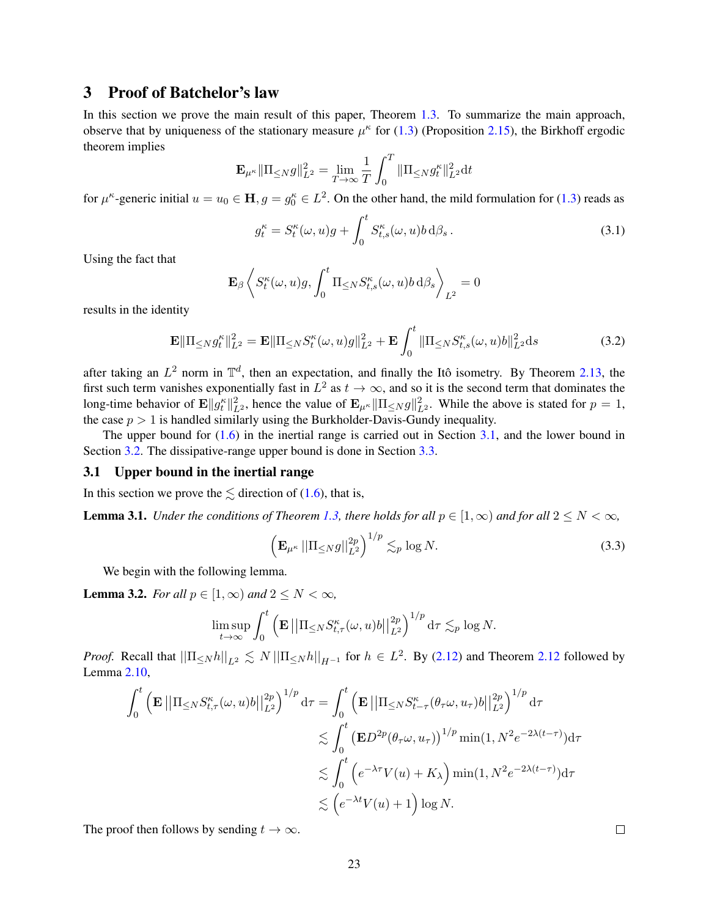## 3 Proof of Batchelor's law

In this section we prove the main result of this paper, Theorem [1.3.](#page-8-0) To summarize the main approach, observe that by uniqueness of the stationary measure  $\mu^k$  for [\(1.3\)](#page-7-4) (Proposition [2.15\)](#page-21-3), the Birkhoff ergodic theorem implies

$$
\mathbf{E}_{\mu^{\kappa}} \|\Pi_{\leq N} g\|_{L^2}^2 = \lim_{T \to \infty} \frac{1}{T} \int_0^T \|\Pi_{\leq N} g_t^{\kappa}\|_{L^2}^2 dt
$$

for  $\mu^k$ -generic initial  $u = u_0 \in \mathbf{H}$ ,  $g = g_0^k \in L^2$ . On the other hand, the mild formulation for [\(1.3\)](#page-7-4) reads as

<span id="page-22-4"></span><span id="page-22-2"></span>
$$
g_t^{\kappa} = S_t^{\kappa}(\omega, u)g + \int_0^t S_{t,s}^{\kappa}(\omega, u)b \,d\beta_s. \tag{3.1}
$$

Using the fact that

$$
\mathbf{E}_{\beta}\left\langle S^\kappa_t(\omega,u)g,\int_0^t\Pi_{\leq N}S^\kappa_{t,s}(\omega,u)b\,\mathrm{d}\beta_s\right\rangle_{L^2}=0
$$

results in the identity

$$
\mathbf{E} \|\Pi_{\leq N} g_t^{\kappa}\|_{L^2}^2 = \mathbf{E} \|\Pi_{\leq N} S_t^{\kappa}(\omega, u)g\|_{L^2}^2 + \mathbf{E} \int_0^t \|\Pi_{\leq N} S_{t,s}^{\kappa}(\omega, u)b\|_{L^2}^2 ds \tag{3.2}
$$

after taking an  $L^2$  norm in  $\mathbb{T}^d$ , then an expectation, and finally the Itô isometry. By Theorem [2.13,](#page-20-1) the first such term vanishes exponentially fast in  $L^2$  as  $t \to \infty$ , and so it is the second term that dominates the long-time behavior of  $\mathbf{E} ||g_t^{\kappa}||_{L^2}^2$ , hence the value of  $\mathbf{E}_{\mu^{\kappa}} ||\Pi_{\leq N} g||_{L^2}^2$ . While the above is stated for  $p = 1$ , the case  $p > 1$  is handled similarly using the Burkholder-Davis-Gundy inequality.

The upper bound for  $(1.6)$  in the inertial range is carried out in Section [3.1,](#page-22-0) and the lower bound in Section [3.2.](#page-23-0) The dissipative-range upper bound is done in Section [3.3.](#page-25-0)

#### <span id="page-22-0"></span>3.1 Upper bound in the inertial range

In this section we prove the  $\leq$  direction of [\(1.6\)](#page-8-4), that is,

<span id="page-22-1"></span>**Lemma 3.1.** *Under the conditions of Theorem [1.3,](#page-8-0) there holds for all*  $p \in [1, \infty)$  *and for all*  $2 \le N < \infty$ *,* 

$$
\left(\mathbf{E}_{\mu^{\kappa}}\left|\left|\Pi_{\leq N}g\right|\right|_{L^{2}}^{2p}\right)^{1/p}\lesssim_{p}\log N.\tag{3.3}
$$

We begin with the following lemma.

<span id="page-22-3"></span>**Lemma 3.2.** *For all*  $p \in [1, \infty)$  *and*  $2 \leq N < \infty$ *,* 

$$
\limsup_{t\to\infty}\int_0^t\left(\mathbf{E}\left|\left|\Pi_{\leq N}S_{t,\tau}^{\kappa}(\omega,u)b\right|\right|_{L^2}^{2p}\right)^{1/p}\mathrm{d}\tau\lesssim_p\log N.
$$

*Proof.* Recall that  $\|\Pi_{\leq N}h\|_{L^2} \lesssim N \|\Pi_{\leq N}h\|_{H^{-1}}$  for  $h \in L^2$ . By [\(2.12\)](#page-19-3) and Theorem [2.12](#page-20-0) followed by Lemma [2.10,](#page-19-4)

$$
\int_0^t \left( \mathbf{E} \left| \left| \Pi_{\leq N} S_{t,\tau}^{\kappa}(\omega, u) b \right| \right|_{L^2}^{2p} \right)^{1/p} d\tau = \int_0^t \left( \mathbf{E} \left| \left| \Pi_{\leq N} S_{t-\tau}^{\kappa}(\theta_\tau \omega, u_\tau) b \right| \right|_{L^2}^{2p} \right)^{1/p} d\tau
$$
  

$$
\lesssim \int_0^t \left( \mathbf{E} D^{2p}(\theta_\tau \omega, u_\tau) \right)^{1/p} \min(1, N^2 e^{-2\lambda(t-\tau)}) d\tau
$$
  

$$
\lesssim \int_0^t \left( e^{-\lambda \tau} V(u) + K_\lambda \right) \min(1, N^2 e^{-2\lambda(t-\tau)}) d\tau
$$
  

$$
\lesssim \left( e^{-\lambda t} V(u) + 1 \right) \log N.
$$

The proof then follows by sending  $t \to \infty$ .

<span id="page-22-5"></span> $\Box$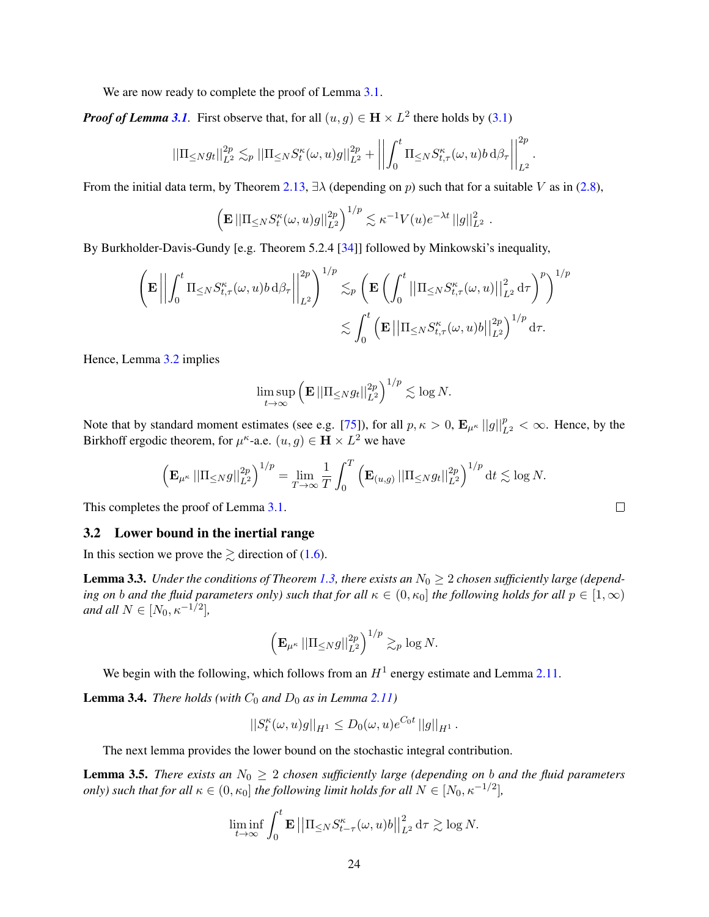We are now ready to complete the proof of Lemma [3.1.](#page-22-1)

*Proof of Lemma* [3.1](#page-22-1). First observe that, for all  $(u, g) \in H \times L^2$  there holds by [\(3.1\)](#page-22-2)

$$
||\Pi_{\leq N}g_t||_{L^2}^{2p} \lesssim_p ||\Pi_{\leq N}S_t^{\kappa}(\omega,u)g||_{L^2}^{2p} + \left|\left|\int_0^t \Pi_{\leq N}S_{t,\tau}^{\kappa}(\omega,u)b\,\mathrm{d}\beta_{\tau}\right|\right|_{L^2}^{2p}.
$$

From the initial data term, by Theorem [2.13,](#page-20-1)  $\exists \lambda$  (depending on p) such that for a suitable V as in [\(2.8\)](#page-17-5),

$$
\left(\mathbf{E} \left|\left|\Pi_{\leq N} S_t^{\kappa}(\omega, u)g\right|\right|_{L^2}^{2p}\right)^{1/p} \lesssim \kappa^{-1} V(u)e^{-\lambda t} \left|\left|g\right|\right|_{L^2}^2.
$$

By Burkholder-Davis-Gundy [e.g. Theorem 5.2.4 [\[34\]](#page-39-25)] followed by Minkowski's inequality,

$$
\left(\mathbf{E}\left|\left|\int_0^t\Pi_{\leq N}S_{t,\tau}^\kappa(\omega,u)b\,\mathrm{d}\beta_\tau\right|\right|_{L^2}^{2p}\right)^{1/p}\lesssim_p\left(\mathbf{E}\left(\int_0^t\left|\left|\Pi_{\leq N}S_{t,\tau}^\kappa(\omega,u)\right|\right|_{L^2}^2\mathrm{d}\tau\right)^p\right)^{1/p}\\ \lesssim \int_0^t\left(\mathbf{E}\left|\left|\Pi_{\leq N}S_{t,\tau}^\kappa(\omega,u)b\right|\right|_{L^2}^{2p}\right)^{1/p}\mathrm{d}\tau.
$$

Hence, Lemma [3.2](#page-22-3) implies

$$
\limsup_{t\to\infty}\left(\mathbf{E}\left|\left|\Pi_{\leq N}g_t\right|\right|_{L^2}^{2p}\right)^{1/p}\lesssim\log N.
$$

Note that by standard moment estimates (see e.g. [\[75\]](#page-41-25)), for all  $p, \kappa > 0$ ,  $\mathbf{E}_{\mu^{\kappa}} ||g||_{L^2}^p < \infty$ . Hence, by the Birkhoff ergodic theorem, for  $\mu^k$ -a.e.  $(u, g) \in \mathbf{H} \times L^2$  we have

$$
\left(\mathbf{E}_{\mu^{\kappa}}\left|\left|\Pi_{\leq N}g\right|\right|_{L^{2}}^{2p}\right)^{1/p}=\lim_{T\to\infty}\frac{1}{T}\int_{0}^{T}\left(\mathbf{E}_{(u,g)}\left|\left|\Pi_{\leq N}g_{t}\right|\right|_{L^{2}}^{2p}\right)^{1/p}\mathrm{d}t\lesssim\log N.
$$

This completes the proof of Lemma [3.1.](#page-22-1)

#### <span id="page-23-0"></span>3.2 Lower bound in the inertial range

In this section we prove the  $\geq$  direction of [\(1.6\)](#page-8-4).

<span id="page-23-2"></span>**Lemma 3.3.** *Under the conditions of Theorem [1.3,](#page-8-0) there exists an*  $N_0 \geq 2$  *chosen sufficiently large (depending on b and the fluid parameters only) such that for all*  $\kappa \in (0, \kappa_0]$  *the following holds for all*  $p \in [1, \infty)$ *and all*  $N \in [N_0, \kappa^{-1/2}]$ ,

$$
\left(\mathbf{E}_{\mu^{\kappa}}\left|\left|\Pi_{\leq N}g\right|\right|^{2p}_{L^2}\right)^{1/p} \gtrsim_p \log N.
$$

We begin with the following, which follows from an  $H^1$  energy estimate and Lemma [2.11.](#page-19-5)

<span id="page-23-1"></span>**Lemma 3.4.** *There holds (with*  $C_0$  *and*  $D_0$  *as in Lemma [2.11\)](#page-19-5)* 

$$
||S_t^{\kappa}(\omega, u)g||_{H^1} \le D_0(\omega, u)e^{C_0 t} ||g||_{H^1}.
$$

The next lemma provides the lower bound on the stochastic integral contribution.

<span id="page-23-3"></span>**Lemma 3.5.** *There exists an*  $N_0 \geq 2$  *chosen sufficiently large (depending on b and the fluid parameters only)* such that for all  $\kappa \in (0, \kappa_0]$  the following limit holds for all  $N \in [N_0, \kappa^{-1/2}]$ ,

$$
\liminf_{t \to \infty} \int_0^t \mathbf{E} \left| \left| \Pi_{\leq N} S_{t-\tau}^{\kappa}(\omega, u) b \right| \right|_{L^2}^2 \mathrm{d}\tau \gtrsim \log N.
$$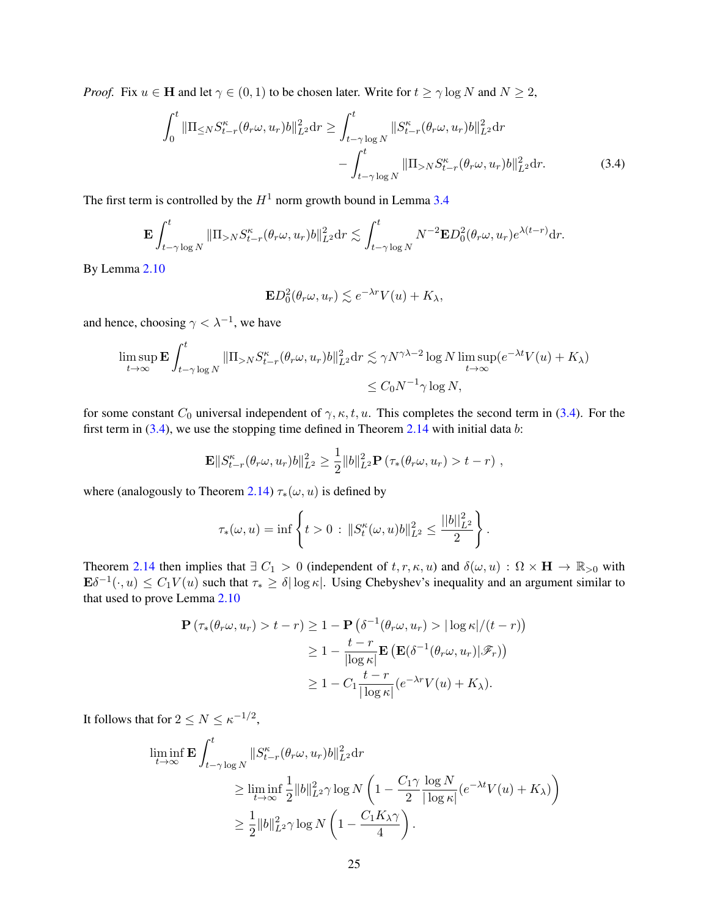*Proof.* Fix  $u \in H$  and let  $\gamma \in (0, 1)$  to be chosen later. Write for  $t \ge \gamma \log N$  and  $N \ge 2$ ,

$$
\int_{0}^{t} \|\Pi_{\leq N} S_{t-r}^{\kappa}(\theta_{r}\omega, u_{r})b\|_{L^{2}}^{2} dr \geq \int_{t-\gamma \log N}^{t} \|S_{t-r}^{\kappa}(\theta_{r}\omega, u_{r})b\|_{L^{2}}^{2} dr\n-\int_{t-\gamma \log N}^{t} \|\Pi_{>N} S_{t-r}^{\kappa}(\theta_{r}\omega, u_{r})b\|_{L^{2}}^{2} dr.
$$
\n(3.4)

The first term is controlled by the  $H^1$  norm growth bound in Lemma [3.4](#page-23-1)

$$
\mathbf{E} \int_{t-\gamma \log N}^t \|\Pi_{>N} S_{t-r}^{\kappa}(\theta_r \omega, u_r) b\|_{L^2}^2 dr \lesssim \int_{t-\gamma \log N}^t N^{-2} \mathbf{E} D_0^2(\theta_r \omega, u_r) e^{\lambda (t-r)} dr.
$$

By Lemma [2.10](#page-19-4)

<span id="page-24-0"></span>
$$
\mathbf{E}D_0^2(\theta_r\omega, u_r) \lesssim e^{-\lambda r}V(u) + K_\lambda,
$$

and hence, choosing  $\gamma < \lambda^{-1}$ , we have

$$
\limsup_{t \to \infty} \mathbf{E} \int_{t-\gamma \log N}^{t} \|\Pi_{>N} S_{t-r}^{\kappa}(\theta_r \omega, u_r) b\|_{L^2}^2 dr \lesssim \gamma N^{\gamma \lambda - 2} \log N \limsup_{t \to \infty} (e^{-\lambda t} V(u) + K_{\lambda})
$$
  

$$
\leq C_0 N^{-1} \gamma \log N,
$$

for some constant  $C_0$  universal independent of  $\gamma, \kappa, t, u$ . This completes the second term in [\(3.4\)](#page-24-0). For the first term in  $(3.4)$ , we use the stopping time defined in Theorem [2.14](#page-20-2) with initial data b:

$$
\mathbf{E}||S_{t-r}^{\kappa}(\theta_r\omega, u_r)b||_{L^2}^2 \geq \frac{1}{2}||b||_{L^2}^2 \mathbf{P}(\tau_*(\theta_r\omega, u_r) > t-r),
$$

where (analogously to Theorem [2.14\)](#page-20-2)  $\tau_*(\omega, u)$  is defined by

$$
\tau_{*}(\omega, u) = \inf \left\{ t > 0 : ||S_t^{\kappa}(\omega, u)b||_{L^2}^2 \le \frac{||b||_{L^2}^2}{2} \right\}.
$$

Theorem [2.14](#page-20-2) then implies that  $\exists C_1 > 0$  (independent of  $t, r, \kappa, u$ ) and  $\delta(\omega, u) : \Omega \times H \to \mathbb{R}_{>0}$  with  $\mathbf{E}\delta^{-1}(\cdot,u) \leq C_1 V(u)$  such that  $\tau_* \geq \delta |\log \kappa|$ . Using Chebyshev's inequality and an argument similar to that used to prove Lemma [2.10](#page-19-4)

$$
\mathbf{P}(\tau_*(\theta_r \omega, u_r) > t - r) \ge 1 - \mathbf{P}(\delta^{-1}(\theta_r \omega, u_r) > |\log \kappa|/(t - r))
$$
  
\n
$$
\ge 1 - \frac{t - r}{|\log \kappa|} \mathbf{E}(\mathbf{E}(\delta^{-1}(\theta_r \omega, u_r)|\mathscr{F}_r))
$$
  
\n
$$
\ge 1 - C_1 \frac{t - r}{|\log \kappa|} (e^{-\lambda r} V(u) + K_\lambda).
$$

It follows that for  $2 \leq N \leq \kappa^{-1/2}$ ,

$$
\liminf_{t \to \infty} \mathbf{E} \int_{t-\gamma \log N}^{t} \|S_{t-r}^{\kappa}(\theta_r \omega, u_r)b\|_{L^2}^2 dr
$$
\n
$$
\geq \liminf_{t \to \infty} \frac{1}{2} \|b\|_{L^2}^2 \gamma \log N \left(1 - \frac{C_1 \gamma}{2} \frac{\log N}{|\log \kappa|} (e^{-\lambda t} V(u) + K_{\lambda})\right)
$$
\n
$$
\geq \frac{1}{2} \|b\|_{L^2}^2 \gamma \log N \left(1 - \frac{C_1 K_{\lambda} \gamma}{4}\right).
$$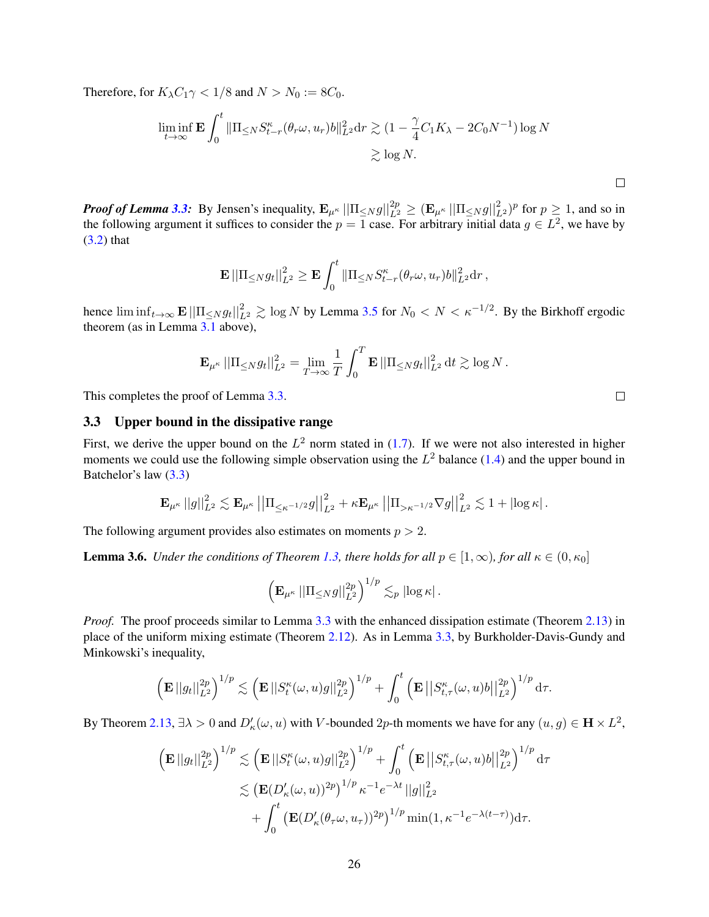Therefore, for  $K_{\lambda}C_1\gamma < 1/8$  and  $N > N_0 := 8C_0$ .

$$
\liminf_{t \to \infty} \mathbf{E} \int_0^t \|\Pi_{\leq N} S_{t-r}^{\kappa}(\theta_r \omega, u_r) b\|_{L^2}^2 dr \gtrsim (1 - \frac{\gamma}{4} C_1 K_\lambda - 2C_0 N^{-1}) \log N
$$
  

$$
\gtrsim \log N.
$$

*Proof of Lemma* [3.3:](#page-23-2) By Jensen's inequality,  $\mathbf{E}_{\mu^{\kappa}} ||\Pi_{\leq N} g||_{L^2}^{2p} \geq (\mathbf{E}_{\mu^{\kappa}} ||\Pi_{\leq N} g||_{L^2}^2)^p$  for  $p \geq 1$ , and so in the following argument it suffices to consider the  $p = 1$  case. For arbitrary initial data  $g \in L^2$ , we have by [\(3.2\)](#page-22-4) that

$$
\mathbf{E} \left|\left|\Pi_{\leq N} g_t\right|\right|_{L^2}^2 \geq \mathbf{E} \int_0^t \left|\left|\Pi_{\leq N} S_{t-r}^\kappa(\theta_r \omega, u_r) b\right|\right|_{L^2}^2 \mathrm{d} r\,,
$$

hence  $\liminf_{t\to\infty}$   $\mathbf{E} \left|\left|\prod_{\leq N} g_t\right|\right|_{L^2}^2 \gtrsim \log N$  by Lemma [3.5](#page-23-3) for  $N_0 < N < \kappa^{-1/2}$ . By the Birkhoff ergodic theorem (as in Lemma [3.1](#page-22-1) above),

$$
\mathbf{E}_{\mu^{\kappa}}\left|\left|\Pi_{\leq N} g_t\right|\right|_{L^2}^2 = \lim_{T \to \infty} \frac{1}{T} \int_0^T \mathbf{E} \left|\left|\Pi_{\leq N} g_t\right|\right|_{L^2}^2 \mathrm{d}t \gtrsim \log N \,.
$$

This completes the proof of Lemma [3.3.](#page-23-2)

#### <span id="page-25-0"></span>3.3 Upper bound in the dissipative range

First, we derive the upper bound on the  $L^2$  norm stated in [\(1.7\)](#page-8-6). If we were not also interested in higher moments we could use the following simple observation using the  $L^2$  balance [\(1.4\)](#page-7-5) and the upper bound in Batchelor's law [\(3.3\)](#page-22-5)

$$
\mathbf{E}_{\mu^{\kappa}}||g||_{L^{2}}^{2} \lesssim \mathbf{E}_{\mu^{\kappa}}||\Pi_{\leq \kappa^{-1/2}}g||_{L^{2}}^{2} + \kappa \mathbf{E}_{\mu^{\kappa}}||\Pi_{>\kappa^{-1/2}}\nabla g||_{L^{2}}^{2} \lesssim 1 + |\log \kappa|.
$$

The following argument provides also estimates on moments  $p > 2$ .

<span id="page-25-1"></span>**Lemma 3.6.** *Under the conditions of Theorem [1.3,](#page-8-0) there holds for all*  $p \in [1, \infty)$ *, for all*  $\kappa \in (0, \kappa_0]$ 

$$
\left(\mathbf{E}_{\mu^{\kappa}}\left|\left|\Pi_{\leq N}g\right|\right|^{2p}_{L^2}\right)^{1/p}\lesssim_p\left|\log\kappa\right|.
$$

*Proof.* The proof proceeds similar to Lemma [3.3](#page-23-2) with the enhanced dissipation estimate (Theorem [2.13\)](#page-20-1) in place of the uniform mixing estimate (Theorem [2.12\)](#page-20-0). As in Lemma [3.3,](#page-23-2) by Burkholder-Davis-Gundy and Minkowski's inequality,

$$
\left(\mathbf{E}||g_t||_{L^2}^{2p}\right)^{1/p} \lesssim \left(\mathbf{E}||S_t^{\kappa}(\omega,u)g||_{L^2}^{2p}\right)^{1/p} + \int_0^t \left(\mathbf{E}||S_{t,\tau}^{\kappa}(\omega,u)g||_{L^2}^{2p}\right)^{1/p} d\tau.
$$

By Theorem [2.13,](#page-20-1)  $\exists \lambda > 0$  and  $D'_\kappa(\omega, u)$  with V-bounded 2p-th moments we have for any  $(u, g) \in \mathbf{H} \times L^2$ ,

$$
\left(\mathbf{E}||g_t||_{L^2}^{2p}\right)^{1/p} \lesssim \left(\mathbf{E}||S_t^{\kappa}(\omega, u)g||_{L^2}^{2p}\right)^{1/p} + \int_0^t \left(\mathbf{E}||S_{t,\tau}^{\kappa}(\omega, u)b||_{L^2}^{2p}\right)^{1/p} d\tau
$$
  

$$
\lesssim \left(\mathbf{E}(D_{\kappa}'(\omega, u))^{2p}\right)^{1/p} \kappa^{-1} e^{-\lambda t} ||g||_{L^2}^2
$$
  

$$
+ \int_0^t \left(\mathbf{E}(D_{\kappa}'(\theta_{\tau}\omega, u_{\tau}))^{2p}\right)^{1/p} \min(1, \kappa^{-1} e^{-\lambda(t-\tau)}) d\tau.
$$

 $\Box$ 

 $\Box$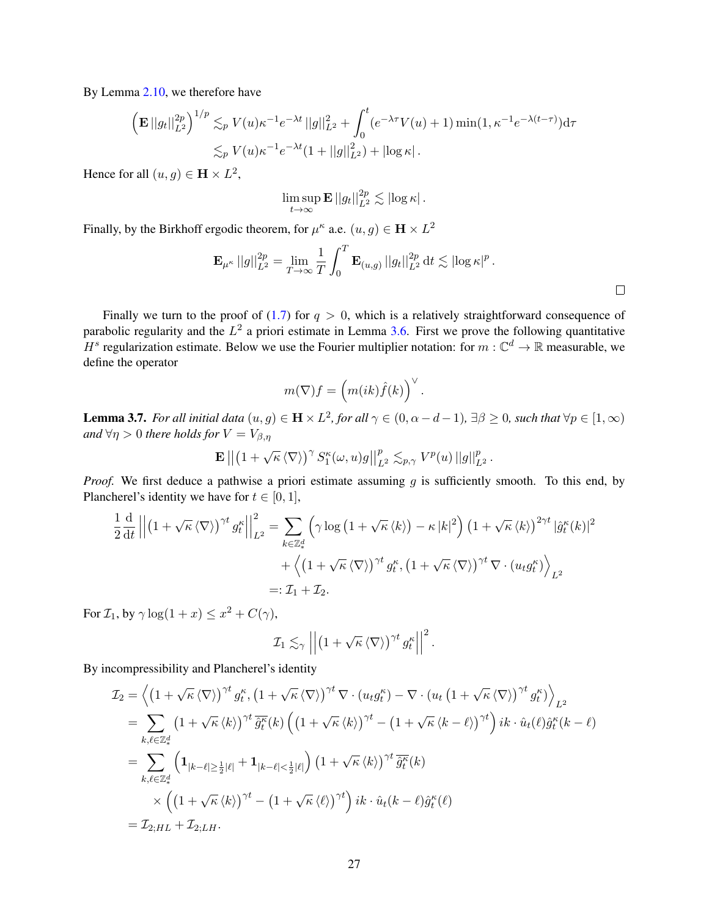By Lemma [2.10,](#page-19-4) we therefore have

$$
\left(\mathbf{E}||g_t||_{L^2}^{2p}\right)^{1/p} \lesssim_p V(u)\kappa^{-1}e^{-\lambda t}||g||_{L^2}^2 + \int_0^t (e^{-\lambda \tau}V(u) + 1)\min(1, \kappa^{-1}e^{-\lambda(t-\tau)})d\tau
$$
  

$$
\lesssim_p V(u)\kappa^{-1}e^{-\lambda t}(1+||g||_{L^2}^2) + |\log \kappa|.
$$

Hence for all  $(u, g) \in \mathbf{H} \times L^2$ ,

$$
\limsup_{t\to\infty} \mathbf{E} ||g_t||_{L^2}^{2p} \lesssim |\log \kappa|.
$$

Finally, by the Birkhoff ergodic theorem, for  $\mu^k$  a.e.  $(u, g) \in \mathbf{H} \times L^2$ 

$$
\mathbf{E}_{\mu^{\kappa}}\, ||g||_{L^2}^{2p} = \lim_{T \to \infty} \frac{1}{T} \int_0^T \mathbf{E}_{(u,g)}\, ||g_t||_{L^2}^{2p} \, \mathrm{d}t \lesssim |\log \kappa|^p \, .
$$

 $\Box$ 

Finally we turn to the proof of  $(1.7)$  for  $q > 0$ , which is a relatively straightforward consequence of parabolic regularity and the  $L^2$  a priori estimate in Lemma [3.6.](#page-25-1) First we prove the following quantitative H<sup>s</sup> regularization estimate. Below we use the Fourier multiplier notation: for  $m : \mathbb{C}^d \to \mathbb{R}$  measurable, we define the operator

$$
m(\nabla)f = \left(m(ik)\hat{f}(k)\right)^{\vee}.
$$

<span id="page-26-0"></span>**Lemma 3.7.** For all initial data  $(u, g) \in H \times L^2$ , for all  $\gamma \in (0, \alpha - d - 1)$ ,  $\exists \beta \geq 0$ , such that  $\forall p \in [1, \infty)$ *and*  $\forall \eta > 0$  *there holds for*  $V = V_{\beta,\eta}$ 

$$
\mathbf{E} \left\| \left(1 + \sqrt{\kappa} \left\langle \nabla \right\rangle \right)^{\gamma} S_{1}^{\kappa}(\omega, u) g \right\|_{L^{2}}^{p} \lesssim_{p, \gamma} V^{p}(u) \left\| g \right\|_{L^{2}}^{p}.
$$

*Proof.* We first deduce a pathwise a priori estimate assuming g is sufficiently smooth. To this end, by Plancherel's identity we have for  $t \in [0, 1]$ ,

$$
\frac{1}{2} \frac{d}{dt} \left\| \left( 1 + \sqrt{\kappa} \langle \nabla \rangle \right)^{\gamma t} g_t^{\kappa} \right\|_{L^2}^2 = \sum_{k \in \mathbb{Z}_*^d} \left( \gamma \log \left( 1 + \sqrt{\kappa} \langle k \rangle \right) - \kappa |k|^2 \right) \left( 1 + \sqrt{\kappa} \langle k \rangle \right)^{2\gamma t} |\hat{g}_t^{\kappa}(k)|^2
$$

$$
+ \left\langle \left( 1 + \sqrt{\kappa} \langle \nabla \rangle \right)^{\gamma t} g_t^{\kappa}, \left( 1 + \sqrt{\kappa} \langle \nabla \rangle \right)^{\gamma t} \nabla \cdot \left( u_t g_t^{\kappa} \right) \right\rangle_{L^2}
$$

$$
=: \mathcal{I}_1 + \mathcal{I}_2.
$$

For  $\mathcal{I}_1$ , by  $\gamma \log(1+x) \leq x^2 + C(\gamma)$ ,

$$
\mathcal{I}_1 \lesssim_{\gamma} \left\| \left(1 + \sqrt{\kappa} \left\langle \nabla \right\rangle \right)^{\gamma t} g_t^{\kappa} \right\|^2.
$$

By incompressibility and Plancherel's identity

$$
\mathcal{I}_2 = \left\langle \left(1 + \sqrt{\kappa} \langle \nabla \rangle \right)^{\gamma t} g_t^{\kappa}, \left(1 + \sqrt{\kappa} \langle \nabla \rangle \right)^{\gamma t} \nabla \cdot (u_t g_t^{\kappa}) - \nabla \cdot (u_t \left(1 + \sqrt{\kappa} \langle \nabla \rangle \right)^{\gamma t} g_t^{\kappa}) \right\rangle_{L^2}
$$
\n
$$
= \sum_{k,\ell \in \mathbb{Z}_*^d} \left(1 + \sqrt{\kappa} \langle k \rangle \right)^{\gamma t} \overline{\hat{g}_t^{\kappa}}(k) \left( \left(1 + \sqrt{\kappa} \langle k \rangle \right)^{\gamma t} - \left(1 + \sqrt{\kappa} \langle k - \ell \rangle \right)^{\gamma t} \right) ik \cdot \hat{u}_t(\ell) \hat{g}_t^{\kappa}(k - \ell)
$$
\n
$$
= \sum_{k,\ell \in \mathbb{Z}_*^d} \left( \mathbf{1}_{|k-\ell| \ge \frac{1}{2}|\ell|} + \mathbf{1}_{|k-\ell| \le \frac{1}{2}|\ell|} \right) \left(1 + \sqrt{\kappa} \langle k \rangle \right)^{\gamma t} \overline{\hat{g}_t^{\kappa}}(k)
$$
\n
$$
\times \left( \left(1 + \sqrt{\kappa} \langle k \rangle \right)^{\gamma t} - \left(1 + \sqrt{\kappa} \langle \ell \rangle \right)^{\gamma t} \right) ik \cdot \hat{u}_t(k - \ell) \hat{g}_t^{\kappa}(\ell)
$$
\n
$$
= \mathcal{I}_{2;HL} + \mathcal{I}_{2;LH}.
$$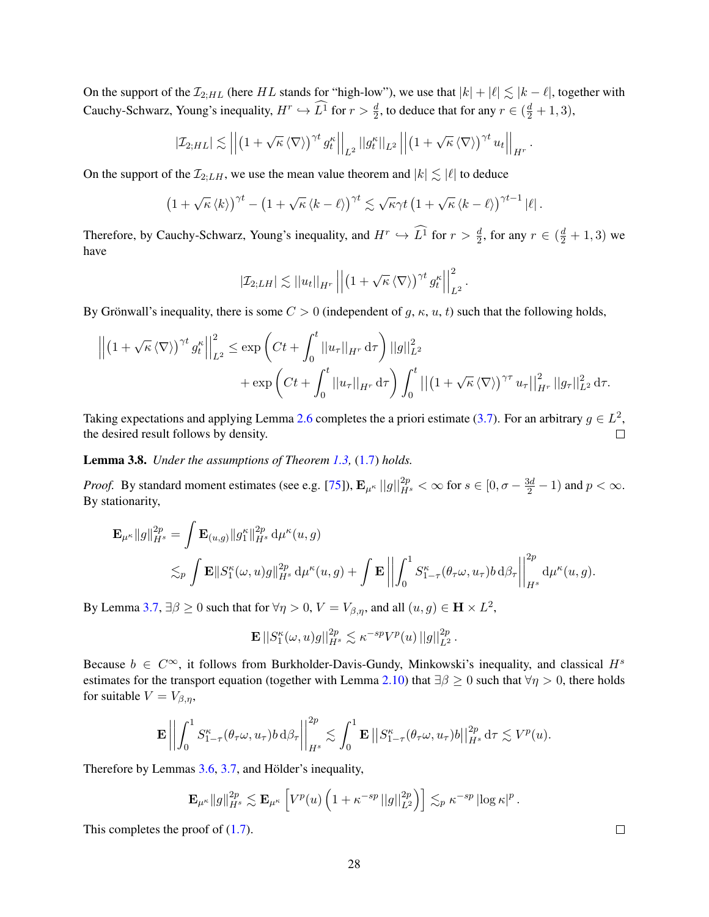On the support of the  $\mathcal{I}_{2;HL}$  (here HL stands for "high-low"), we use that  $|k| + |\ell| \lesssim |k - \ell|$ , together with Cauchy-Schwarz, Young's inequality,  $H^r \hookrightarrow L^1$  for  $r > \frac{d}{2}$ , to deduce that for any  $r \in (\frac{d}{2} + 1, 3)$ ,

$$
\left|\mathcal{I}_{2;HL}\right| \lesssim \left|\left|\left(1+\sqrt{\kappa} \left\langle \nabla \right\rangle\right)^{\gamma t} g_t^{\kappa}\right|\right|_{L^2} \left|\left|g_t^{\kappa}\right|\right|_{L^2} \left|\left|\left(1+\sqrt{\kappa} \left\langle \nabla \right\rangle\right)^{\gamma t} u_t\right|\right|_{H^r}.
$$

On the support of the  $\mathcal{I}_{2:LH}$ , we use the mean value theorem and  $|k| \lesssim |\ell|$  to deduce

$$
\left(1+\sqrt{\kappa} \left\langle k\right\rangle\right)^{\gamma t}-\left(1+\sqrt{\kappa} \left\langle k-\ell\right\rangle\right)^{\gamma t}\lesssim \sqrt{\kappa}\gamma t\left(1+\sqrt{\kappa} \left\langle k-\ell\right\rangle\right)^{\gamma t-1}|\ell|.
$$

Therefore, by Cauchy-Schwarz, Young's inequality, and  $H^r \hookrightarrow L^1$  for  $r > \frac{d}{2}$ , for any  $r \in (\frac{d}{2} + 1, 3)$  we have

$$
\left|\mathcal{I}_{2;LH}\right| \lesssim \left|\left|u_t\right|\right|_{H^r} \left|\left|\left(1+\sqrt{\kappa} \left\langle \nabla \right\rangle\right)^{\gamma t} g_t^{\kappa}\right|\right|_{L^2}^2.
$$

By Grönwall's inequality, there is some  $C > 0$  (independent of g,  $\kappa$ , u, t) such that the following holds,

$$
\left\| \left(1 + \sqrt{\kappa} \langle \nabla \rangle \right)^{\gamma t} g_t^{\kappa} \right\|_{L^2}^2 \le \exp\left( Ct + \int_0^t \|u_\tau\|_{H^r} d\tau \right) \|g\|_{L^2}^2 + \exp\left( Ct + \int_0^t \|u_\tau\|_{H^r} d\tau \right) \int_0^t \left\| \left(1 + \sqrt{\kappa} \langle \nabla \rangle \right)^{\gamma \tau} u_\tau \right\|_{H^r}^2 \|g_\tau\|_{L^2}^2 d\tau.
$$

Taking expectations and applying Lemma [2.6](#page-18-2) completes the a priori estimate [\(3.7\)](#page-26-0). For an arbitrary  $g \in L^2$ , the desired result follows by density.  $\Box$ 

Lemma 3.8. *Under the assumptions of Theorem [1.3,](#page-8-0)* [\(1.7\)](#page-8-6) *holds.*

*Proof.* By standard moment estimates (see e.g. [\[75\]](#page-41-25)),  $\mathbf{E}_{\mu^{\kappa}} ||g||_{H^s}^{2p} < \infty$  for  $s \in [0, \sigma - \frac{3d}{2} - 1)$  and  $p < \infty$ . By stationarity,

$$
\mathbf{E}_{\mu^{\kappa}}\|g\|_{H^{s}}^{2p} = \int \mathbf{E}_{(u,g)}\|g_{1}^{\kappa}\|_{H^{s}}^{2p} d\mu^{\kappa}(u,g)
$$
  

$$
\lesssim_{p} \int \mathbf{E}\|S_{1}^{\kappa}(\omega,u)g\|_{H^{s}}^{2p} d\mu^{\kappa}(u,g) + \int \mathbf{E}\left\|\int_{0}^{1} S_{1-\tau}^{\kappa}(\theta_{\tau}\omega,u_{\tau})b d\beta_{\tau}\right\|_{H^{s}}^{2p} d\mu^{\kappa}(u,g).
$$

By Lemma [3.7,](#page-26-0)  $\exists \beta \ge 0$  such that for  $\forall \eta > 0$ ,  $V = V_{\beta,\eta}$ , and all  $(u, g) \in \mathbf{H} \times L^2$ ,

$$
\mathbf{E} \left\|S_1^{\kappa}(\omega, u)g\right\|_{H^s}^{2p} \lesssim \kappa^{-sp}V^p(u) \left\|g\right\|_{L^2}^{2p}.
$$

Because  $b \in C^{\infty}$ , it follows from Burkholder-Davis-Gundy, Minkowski's inequality, and classical  $H^s$ estimates for the transport equation (together with Lemma [2.10\)](#page-19-4) that  $\exists \beta \geq 0$  such that  $\forall \eta > 0$ , there holds for suitable  $V = V_{\beta,\eta}$ ,

$$
\mathbf{E}\left\Vert \int_{0}^{1} S_{1-\tau}^{\kappa}(\theta_{\tau}\omega, u_{\tau}) b \,d\beta_{\tau} \right\Vert_{H^{s}}^{2p} \lesssim \int_{0}^{1} \mathbf{E}\left\Vert S_{1-\tau}^{\kappa}(\theta_{\tau}\omega, u_{\tau}) b \right\Vert_{H^{s}}^{2p} d\tau \lesssim V^{p}(u).
$$

Therefore by Lemmas  $3.6, 3.7$  $3.6, 3.7$ , and Hölder's inequality,

$$
\mathbf{E}_{\mu^{\kappa}}\|g\|_{H^s}^{2p} \lesssim \mathbf{E}_{\mu^{\kappa}}\left[V^p(u)\left(1+\kappa^{-sp}\left|\left|g\right|\right|_{L^2}^{2p}\right)\right] \lesssim_p \kappa^{-sp}\left|\log \kappa\right|^p.
$$

<span id="page-27-0"></span>This completes the proof of  $(1.7)$ .

 $\Box$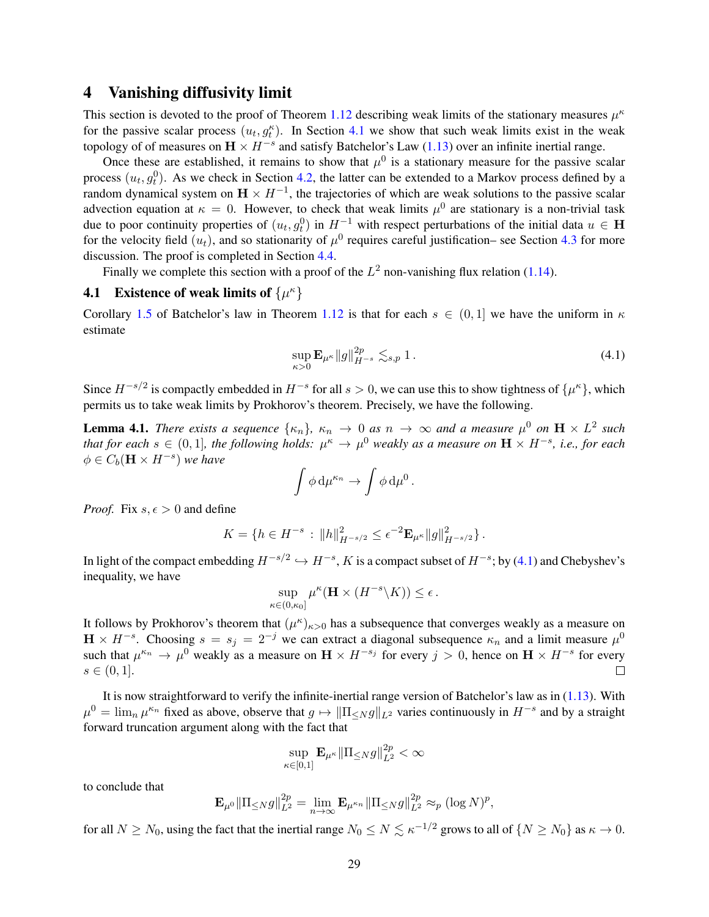### 4 Vanishing diffusivity limit

This section is devoted to the proof of Theorem [1.12](#page-11-5) describing weak limits of the stationary measures  $\mu^k$ for the passive scalar process  $(u_t, g_t^k)$ . In Section [4.1](#page-28-0) we show that such weak limits exist in the weak topology of of measures on  $\mathbf{H} \times H^{-s}$  and satisfy Batchelor's Law [\(1.13\)](#page-11-3) over an infinite inertial range.

Once these are established, it remains to show that  $\mu^0$  is a stationary measure for the passive scalar process  $(u_t, g_t^0)$ . As we check in Section [4.2,](#page-28-1) the latter can be extended to a Markov process defined by a random dynamical system on  $H \times H^{-1}$ , the trajectories of which are weak solutions to the passive scalar advection equation at  $\kappa = 0$ . However, to check that weak limits  $\mu^0$  are stationary is a non-trivial task due to poor continuity properties of  $(u_t, g_t^0)$  in  $H^{-1}$  with respect perturbations of the initial data  $u \in H$ for the velocity field  $(u_t)$ , and so stationarity of  $\mu^0$  requires careful justification– see Section [4.3](#page-29-0) for more discussion. The proof is completed in Section [4.4.](#page-31-0)

Finally we complete this section with a proof of the  $L^2$  non-vanishing flux relation [\(1.14\)](#page-11-1).

## <span id="page-28-0"></span>**4.1** Existence of weak limits of  $\{\mu^{\kappa}\}\$

Corollary [1.5](#page-8-7) of Batchelor's law in Theorem [1.12](#page-11-5) is that for each  $s \in (0,1]$  we have the uniform in  $\kappa$ estimate

<span id="page-28-2"></span>
$$
\sup_{\kappa>0} \mathbf{E}_{\mu^{\kappa}} \|g\|_{H^{-s}}^{2p} \lesssim_{s,p} 1.
$$
 (4.1)

Since  $H^{-s/2}$  is compactly embedded in  $H^{-s}$  for all  $s > 0$ , we can use this to show tightness of  $\{\mu^{\kappa}\}\,$ , which permits us to take weak limits by Prokhorov's theorem. Precisely, we have the following.

**Lemma 4.1.** *There exists a sequence*  $\{\kappa_n\}$ ,  $\kappa_n \to 0$  *as*  $n \to \infty$  *and a measure*  $\mu^0$  *on*  $\mathbf{H} \times L^2$  *such that for each*  $s \in (0,1]$ , the following holds:  $\mu^{\kappa} \to \mu^0$  weakly as a measure on  $\mathbf{H} \times H^{-s}$ , i.e., for each  $\phi \in C_b(\mathbf{H} \times H^{-s})$  we have

$$
\int \phi \, \mathrm{d}\mu^{\kappa_n} \to \int \phi \, \mathrm{d}\mu^0 \, .
$$

*Proof.* Fix  $s, \epsilon > 0$  and define

$$
K = \{ h \in H^{-s} : ||h||_{H^{-s/2}}^2 \le \epsilon^{-2} \mathbf{E}_{\mu^{\kappa}} ||g||_{H^{-s/2}}^2 \}.
$$

In light of the compact embedding  $H^{-s/2} \hookrightarrow H^{-s}$ , K is a compact subset of  $H^{-s}$ ; by [\(4.1\)](#page-28-2) and Chebyshev's inequality, we have

$$
\sup_{\kappa\in(0,\kappa_0]}\mu^\kappa(\mathbf{H}\times (H^{-s}\backslash K))\leq \epsilon\,.
$$

It follows by Prokhorov's theorem that  $(\mu^{\kappa})_{\kappa>0}$  has a subsequence that converges weakly as a measure on  $H \times H^{-s}$ . Choosing  $s = s_j = 2^{-j}$  we can extract a diagonal subsequence  $\kappa_n$  and a limit measure  $\mu^0$ such that  $\mu^{\kappa_n} \to \mu^0$  weakly as a measure on  $\mathbf{H} \times H^{-s_j}$  for every  $j > 0$ , hence on  $\mathbf{H} \times H^{-s}$  for every  $s \in (0, 1].$  $\Box$ 

It is now straightforward to verify the infinite-inertial range version of Batchelor's law as in [\(1.13\)](#page-11-3). With  $\mu^0 = \lim_n \mu^{\kappa_n}$  fixed as above, observe that  $g \mapsto ||\Pi_{\leq N} g||_{L^2}$  varies continuously in  $H^{-s}$  and by a straight forward truncation argument along with the fact that

$$
\sup_{\kappa\in[0,1]}\mathbf{E}_{\mu^{\kappa}}\|\Pi_{\leq N}g\|_{L^2}^{2p}<\infty
$$

to conclude that

$$
\mathbf{E}_{\mu^0} \|\Pi_{\leq N} g\|_{L^2}^{2p} = \lim_{n \to \infty} \mathbf{E}_{\mu^{\kappa_n}} \|\Pi_{\leq N} g\|_{L^2}^{2p} \approx_p (\log N)^p,
$$

<span id="page-28-1"></span>for all  $N \ge N_0$ , using the fact that the inertial range  $N_0 \le N \lesssim \kappa^{-1/2}$  grows to all of  $\{N \ge N_0\}$  as  $\kappa \to 0$ .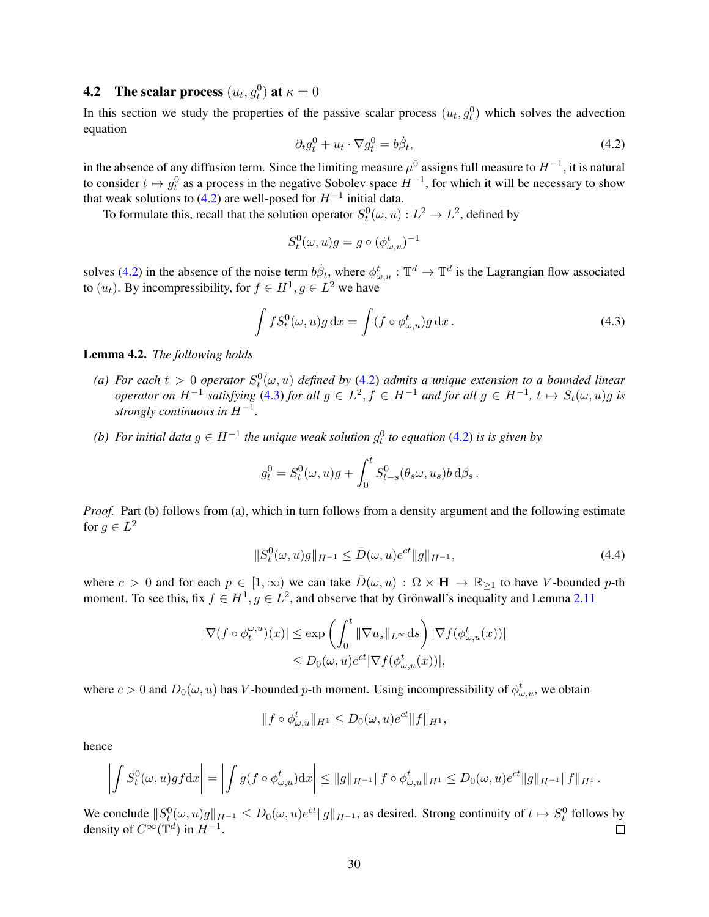## **4.2** The scalar process  $(u_t, g_t^0)$  at  $\kappa = 0$

In this section we study the properties of the passive scalar process  $(u_t, g_t^0)$  which solves the advection equation

<span id="page-29-1"></span>
$$
\partial_t g_t^0 + u_t \cdot \nabla g_t^0 = b \dot{\beta}_t,\tag{4.2}
$$

in the absence of any diffusion term. Since the limiting measure  $\mu^0$  assigns full measure to  $H^{-1}$ , it is natural to consider  $t \mapsto g_t^0$  as a process in the negative Sobolev space  $H^{-1}$ , for which it will be necessary to show that weak solutions to [\(4.2\)](#page-29-1) are well-posed for  $H^{-1}$  initial data.

To formulate this, recall that the solution operator  $S_t^0(\omega, u) : L^2 \to L^2$ , defined by

<span id="page-29-2"></span>
$$
S_t^0(\omega, u)g = g \circ (\phi_{\omega, u}^t)^{-1}
$$

solves [\(4.2\)](#page-29-1) in the absence of the noise term  $b\dot{\beta}_t$ , where  $\phi_{\omega,u}^t : \mathbb{T}^d \to \mathbb{T}^d$  is the Lagrangian flow associated to  $(u_t)$ . By incompressibility, for  $f \in H^1, g \in L^2$  we have

$$
\int fS_t^0(\omega, u)g \,dx = \int (f \circ \phi_{\omega, u}^t)g \,dx. \tag{4.3}
$$

<span id="page-29-4"></span>Lemma 4.2. *The following holds*

- (a) For each  $t > 0$  operator  $S_t^0(\omega, u)$  defined by [\(4.2\)](#page-29-1) admits a unique extension to a bounded linear *operator on*  $H^{-1}$  *satisfying* [\(4.3\)](#page-29-2) *for all*  $g \in L^2$ ,  $f \in H^{-1}$  *and for all*  $g \in H^{-1}$ ,  $t \mapsto S_t(\omega, u)g$  *is strongly continuous in* H−<sup>1</sup> *.*
- *(b)* For initial data  $g ∈ H^{-1}$  the unique weak solution  $g_t^0$  to equation [\(4.2\)](#page-29-1) is is given by

$$
g_t^0 = S_t^0(\omega, u)g + \int_0^t S_{t-s}^0(\theta_s \omega, u_s) b \,d\beta_s.
$$

*Proof.* Part (b) follows from (a), which in turn follows from a density argument and the following estimate for  $g \in L^2$ 

<span id="page-29-3"></span>
$$
||S_t^0(\omega, u)g||_{H^{-1}} \le \bar{D}(\omega, u)e^{ct}||g||_{H^{-1}},
$$
\n(4.4)

where  $c > 0$  and for each  $p \in [1, \infty)$  we can take  $\overline{D}(\omega, u) : \Omega \times H \to \mathbb{R}_{\geq 1}$  to have V-bounded p-th moment. To see this, fix  $f \in H^1, g \in L^2$ , and observe that by Grönwall's inequality and Lemma [2.11](#page-19-5)

$$
\begin{aligned} |\nabla (f \circ \phi_t^{\omega, u})(x)| &\leq \exp\left(\int_0^t \|\nabla u_s\|_{L^\infty} \mathrm{d}s\right) |\nabla f(\phi_{\omega, u}^t(x))| \\ &\leq D_0(\omega, u) e^{ct} |\nabla f(\phi_{\omega, u}^t(x))|, \end{aligned}
$$

where  $c > 0$  and  $D_0(\omega, u)$  has V-bounded p-th moment. Using incompressibility of  $\phi_{\omega, u}^t$ , we obtain

$$
||f\circ \phi_{\omega,u}^t||_{H^1}\leq D_0(\omega,u)e^{ct}||f||_{H^1},
$$

hence

$$
\left| \int S_t^0(\omega, u) g f \mathrm{d} x \right| = \left| \int g(f \circ \phi_{\omega, u}^t) \mathrm{d} x \right| \leq \|g\|_{H^{-1}} \|f \circ \phi_{\omega, u}^t\|_{H^1} \leq D_0(\omega, u) e^{ct} \|g\|_{H^{-1}} \|f\|_{H^1}.
$$

<span id="page-29-0"></span>We conclude  $||S_t^0(\omega, u)g||_{H^{-1}} \le D_0(\omega, u)e^{ct}||g||_{H^{-1}}$ , as desired. Strong continuity of  $t \mapsto S_t^0$  follows by density of  $C^{\infty}(\mathbb{T}^d)$  in  $H^{-1}$ .  $\Box$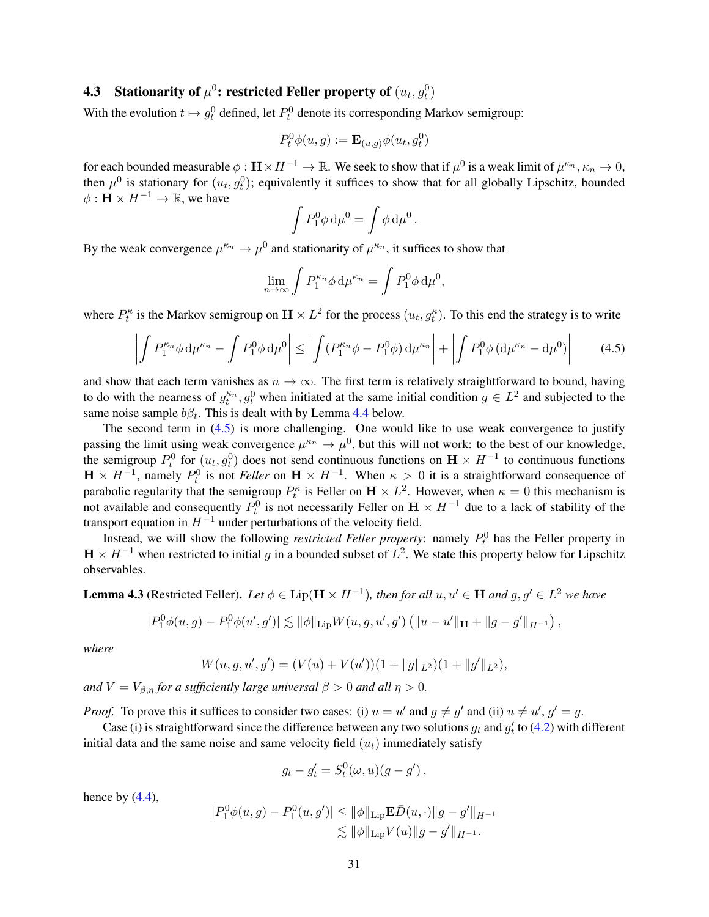## **4.3** Stationarity of  $\mu^0$ : restricted Feller property of  $(u_t, g_t^0)$

With the evolution  $t \mapsto g_t^0$  defined, let  $P_t^0$  denote its corresponding Markov semigroup:

$$
P_t^0 \phi(u, g) := \mathbf{E}_{(u,g)} \phi(u_t, g_t^0)
$$

for each bounded measurable  $\phi:\mathbf H\times H^{-1}\to\mathbb R.$  We seek to show that if  $\mu^0$  is a weak limit of  $\mu^{\kappa_n},\kappa_n\to 0,$ then  $\mu^0$  is stationary for  $(u_t, g_t^0)$ ; equivalently it suffices to show that for all globally Lipschitz, bounded  $\phi : \mathbf{H} \times H^{-1} \to \mathbb{R}$ , we have

<span id="page-30-0"></span>
$$
\int P_1^0 \phi \, \mathrm{d}\mu^0 = \int \phi \, \mathrm{d}\mu^0 \, .
$$

By the weak convergence  $\mu^{\kappa_n} \to \mu^0$  and stationarity of  $\mu^{\kappa_n}$ , it suffices to show that

$$
\lim_{n\to\infty}\int P_1^{\kappa_n}\phi\,\mathrm{d}\mu^{\kappa_n}=\int P_1^0\phi\,\mathrm{d}\mu^0,
$$

where  $P_t^{\kappa}$  is the Markov semigroup on  $\mathbf{H} \times L^2$  for the process  $(u_t, g_t^{\kappa})$ . To this end the strategy is to write

$$
\left| \int P_1^{\kappa_n} \phi \, \mathrm{d}\mu^{\kappa_n} - \int P_1^0 \phi \, \mathrm{d}\mu^0 \right| \le \left| \int (P_1^{\kappa_n} \phi - P_1^0 \phi) \, \mathrm{d}\mu^{\kappa_n} \right| + \left| \int P_1^0 \phi \, (\mathrm{d}\mu^{\kappa_n} - \mathrm{d}\mu^0) \right| \tag{4.5}
$$

and show that each term vanishes as  $n \to \infty$ . The first term is relatively straightforward to bound, having to do with the nearness of  $g_t^{\kappa_n}, g_t^0$  when initiated at the same initial condition  $g \in L^2$  and subjected to the same noise sample  $b\beta_t$ . This is dealt with by Lemma [4.4](#page-31-1) below.

The second term in [\(4.5\)](#page-30-0) is more challenging. One would like to use weak convergence to justify passing the limit using weak convergence  $\mu^{\kappa_n} \to \mu^0$ , but this will not work: to the best of our knowledge, the semigroup  $P_t^0$  for  $(u_t, g_t^0)$  does not send continuous functions on  $\mathbf{H} \times H^{-1}$  to continuous functions  $H \times H^{-1}$ , namely  $P_t^0$  is not *Feller* on  $H \times H^{-1}$ . When  $\kappa > 0$  it is a straightforward consequence of parabolic regularity that the semigroup  $P_t^{\kappa}$  is Feller on  $\mathbf{H} \times L^2$ . However, when  $\kappa = 0$  this mechanism is not available and consequently  $P_t^0$  is not necessarily Feller on  $\mathbf{H} \times H^{-1}$  due to a lack of stability of the transport equation in  $H^{-1}$  under perturbations of the velocity field.

Instead, we will show the following *restricted Feller property*: namely  $P_t^0$  has the Feller property in  $H \times H^{-1}$  when restricted to initial g in a bounded subset of  $L^2$ . We state this property below for Lipschitz observables.

<span id="page-30-1"></span>**Lemma 4.3** (Restricted Feller). Let  $\phi \in \text{Lip}(\mathbf{H} \times H^{-1})$ , then for all  $u, u' \in \mathbf{H}$  and  $g, g' \in L^2$  we have

$$
|P_1^0 \phi(u,g) - P_1^0 \phi(u',g')| \lesssim \|\phi\|_{\text{Lip}} W(u,g,u',g') \left( \|u - u'\|_{\mathbf{H}} + \|g - g'\|_{H^{-1}} \right),
$$

*where*

$$
W(u, g, u', g') = (V(u) + V(u'))(1 + ||g||_{L^2})(1 + ||g'||_{L^2}),
$$

*and*  $V = V_{\beta,\eta}$  *for a sufficiently large universal*  $\beta > 0$  *and all*  $\eta > 0$ *.* 

*Proof.* To prove this it suffices to consider two cases: (i)  $u = u'$  and  $g \neq g'$  and (ii)  $u \neq u'$ ,  $g' = g$ .

Case (i) is straightforward since the difference between any two solutions  $g_t$  and  $g'_t$  to [\(4.2\)](#page-29-1) with different initial data and the same noise and same velocity field  $(u_t)$  immediately satisfy

$$
g_t - g'_t = S_t^0(\omega, u)(g - g'),
$$

hence by  $(4.4)$ ,

$$
|P_1^0 \phi(u, g) - P_1^0(u, g')| \le ||\phi||_{\text{Lip}} \mathbf{E} \bar{D}(u, \cdot)||g - g'||_{H^{-1}} \le ||\phi||_{\text{Lip}} V(u)||g - g'||_{H^{-1}}.
$$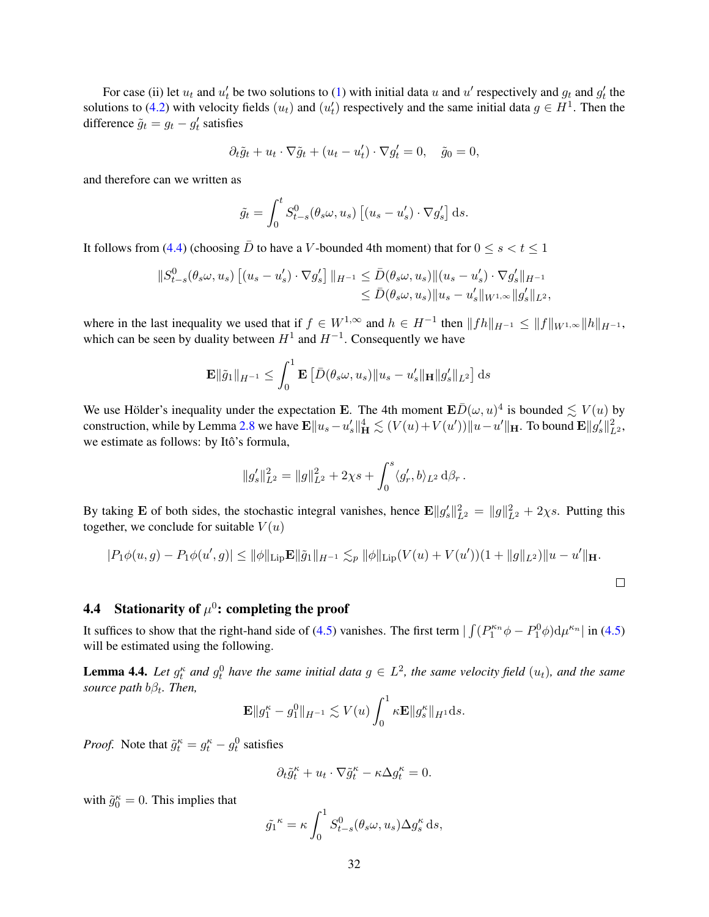For case (ii) let  $u_t$  and  $u'_t$  be two solutions to [\(1\)](#page-7-2) with initial data u and u' respectively and  $g_t$  and  $g'_t$  the solutions to [\(4.2\)](#page-29-1) with velocity fields  $(u_t)$  and  $(u'_t)$  respectively and the same initial data  $g \in H^1$ . Then the difference  $\tilde{g}_t = g_t - g'_t$  satisfies

$$
\partial_t \tilde{g}_t + u_t \cdot \nabla \tilde{g}_t + (u_t - u'_t) \cdot \nabla g'_t = 0, \quad \tilde{g}_0 = 0,
$$

and therefore can we written as

$$
\tilde{g}_t = \int_0^t S^0_{t-s}(\theta_s \omega, u_s) \left[ (u_s - u'_s) \cdot \nabla g'_s \right] ds.
$$

It follows from [\(4.4\)](#page-29-3) (choosing  $\bar{D}$  to have a V-bounded 4th moment) that for  $0 \le s < t \le 1$ 

$$
||S_{t-s}^{0}(\theta_{s}\omega,u_{s})[ (u_{s}-u'_{s})\cdot\nabla g'_{s}]||_{H^{-1}} \leq \bar{D}(\theta_{s}\omega,u_{s})||(u_{s}-u'_{s})\cdot\nabla g'_{s}||_{H^{-1}}\leq \bar{D}(\theta_{s}\omega,u_{s})||u_{s}-u'_{s}||_{W^{1,\infty}}||g'_{s}||_{L^{2}},
$$

where in the last inequality we used that if  $f \in W^{1,\infty}$  and  $h \in H^{-1}$  then  $||fh||_{H^{-1}} \leq ||f||_{W^{1,\infty}} ||h||_{H^{-1}}$ , which can be seen by duality between  $H^1$  and  $H^{-1}$ . Consequently we have

$$
\mathbf{E} \|\tilde{g}_1\|_{H^{-1}} \le \int_0^1 \mathbf{E} \left[ \bar{D}(\theta_s \omega, u_s) \|u_s - u'_s\|_{\mathbf{H}} \|g'_s\|_{L^2} \right] ds
$$

We use Hölder's inequality under the expectation E. The 4th moment  $\mathbf{E}\bar{D}(\omega, u)^4$  is bounded  $\lesssim V(u)$  by construction, while by Lemma [2.8](#page-18-4) we have  $\mathbf{E} \| u_s - u_s' \|_{\mathbf{H}}^4 \lesssim (V(u) + V(u')) \| u - u' \|_{\mathbf{H}}$ . To bound  $\mathbf{E} \| g_s' \|_{L^2}^2$ , we estimate as follows: by Itô's formula,

$$
||g'_{s}||_{L^{2}}^{2} = ||g||_{L^{2}}^{2} + 2\chi s + \int_{0}^{s} \langle g'_{r}, b \rangle_{L^{2}} d\beta_{r}.
$$

By taking **E** of both sides, the stochastic integral vanishes, hence  $\mathbf{E} ||g_s'||_{L^2}^2 = ||g||_{L^2}^2 + 2\chi s$ . Putting this together, we conclude for suitable  $V(u)$ 

$$
|P_1\phi(u,g) - P_1\phi(u',g)| \le ||\phi||_{\text{Lip}} \mathbf{E}||\tilde{g}_1||_{H^{-1}} \lesssim_p ||\phi||_{\text{Lip}} (V(u) + V(u'))(1 + ||g||_{L^2})||u - u'||_{\mathbf{H}}.
$$

## <span id="page-31-0"></span>4.4 Stationarity of  $\mu^0$ : completing the proof

It suffices to show that the right-hand side of [\(4.5\)](#page-30-0) vanishes. The first term  $\int (P_1^{\kappa_n} \phi - P_1^0 \phi) d\mu^{\kappa_n} |$  in (4.5) will be estimated using the following.

<span id="page-31-1"></span>**Lemma 4.4.** Let  $g_t^{\kappa}$  and  $g_t^0$  have the same initial data  $g \in L^2$ , the same velocity field  $(u_t)$ , and the same *source path*  $b\beta_t$ *. Then,* 

$$
\mathbf{E} \|g_1^{\kappa} - g_1^0\|_{H^{-1}} \lesssim V(u) \int_0^1 \kappa \mathbf{E} \|g_s^{\kappa}\|_{H^1} ds.
$$

*Proof.* Note that  $\tilde{g}_t^{\kappa} = g_t^{\kappa} - g_t^0$  satisfies

$$
\partial_t \tilde{g}^{\kappa}_t + u_t\cdot \nabla \tilde{g}^{\kappa}_t - \kappa \Delta g_t^{\kappa} = 0.
$$

with  $\tilde{g}_0^{\kappa} = 0$ . This implies that

$$
\tilde{g_1}^{\kappa} = \kappa \int_0^1 S_{t-s}^0(\theta_s \omega, u_s) \Delta g_s^{\kappa} ds,
$$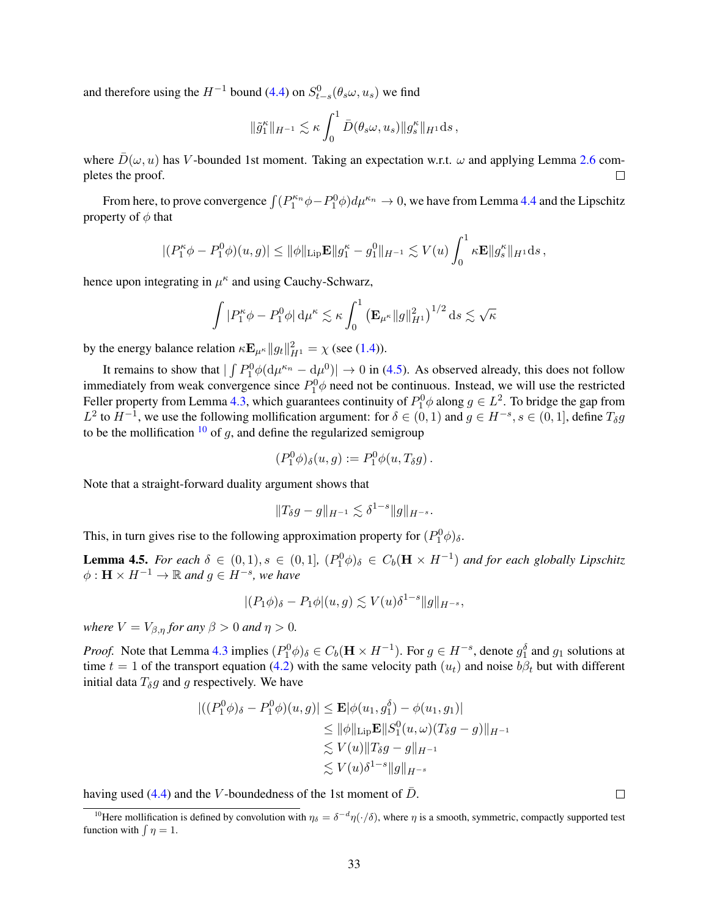and therefore using the  $H^{-1}$  bound [\(4.4\)](#page-29-3) on  $S^0_{t-s}(\theta_s \omega, u_s)$  we find

$$
\|\tilde{g}_1^{\kappa}\|_{H^{-1}} \lesssim \kappa \int_0^1 \bar{D}(\theta_s \omega, u_s) \|g_s^{\kappa}\|_{H^1} ds,
$$

where  $\bar{D}(\omega, u)$  has V-bounded 1st moment. Taking an expectation w.r.t.  $\omega$  and applying Lemma [2.6](#page-18-2) completes the proof.  $\Box$ 

From here, to prove convergence  $\int (P_1^{\kappa_n} \phi - P_1^0 \phi) d\mu^{\kappa_n} \to 0$ , we have from Lemma [4.4](#page-31-1) and the Lipschitz property of  $\phi$  that

$$
|(P_1^{\kappa} \phi - P_1^0 \phi)(u, g)| \leq ||\phi||_{\text{Lip}} \mathbf{E}||g_1^{\kappa} - g_1^0||_{H^{-1}} \lesssim V(u) \int_0^1 \kappa \mathbf{E}||g_s^{\kappa}||_{H^1} ds,
$$

hence upon integrating in  $\mu^k$  and using Cauchy-Schwarz,

$$
\int |P_1^{\kappa}\phi - P_1^0\phi| \, \mathrm{d}\mu^{\kappa} \lesssim \kappa \int_0^1 \left(\mathbf{E}_{\mu^{\kappa}} \|g\|_{H^1}^2\right)^{1/2} \, \mathrm{d}s \lesssim \sqrt{\kappa}
$$

by the energy balance relation  $\kappa \mathbf{E}_{\mu^{\kappa}} ||g_t||_{H^1}^2 = \chi$  (see [\(1.4\)](#page-7-5)).

It remains to show that  $|\int P_1^0 \phi(\mathrm{d}\mu^{\kappa_n} - \mathrm{d}\mu^0)| \to 0$  in [\(4.5\)](#page-30-0). As observed already, this does not follow immediately from weak convergence since  $P_1^0\phi$  need not be continuous. Instead, we will use the restricted Feller property from Lemma [4.3,](#page-30-1) which guarantees continuity of  $P_1^0\phi$  along  $g \in L^2$ . To bridge the gap from  $L^2$  to  $H^{-1}$ , we use the following mollification argument: for  $\delta \in (0,1)$  and  $g \in H^{-s}, s \in (0,1]$ , define  $T_\delta g$ to be the mollification  $10$  of g, and define the regularized semigroup

$$
(P_1^0 \phi)_{\delta}(u,g) := P_1^0 \phi(u,T_{\delta}g).
$$

Note that a straight-forward duality argument shows that

$$
||T_{\delta}g - g||_{H^{-1}} \lesssim \delta^{1-s} ||g||_{H^{-s}}.
$$

This, in turn gives rise to the following approximation property for  $(P_1^0 \phi)_\delta$ .

<span id="page-32-1"></span>**Lemma 4.5.** *For each*  $\delta \in (0,1)$ ,  $s \in (0,1]$ ,  $(P_1^0 \phi)_{\delta} \in C_b(\mathbf{H} \times H^{-1})$  *and for each globally Lipschitz*  $\phi: \mathbf{H} \times H^{-1} \to \mathbb{R}$  and  $g \in H^{-s}$ , we have

$$
|(P_1\phi)_{\delta}-P_1\phi|(u,g)\lesssim V(u)\delta^{1-s}\|g\|_{H^{-s}},
$$

*where*  $V = V_{\beta,\eta}$  *for any*  $\beta > 0$  *and*  $\eta > 0$ *.* 

*Proof.* Note that Lemma [4.3](#page-30-1) implies  $(P_1^0 \phi)_\delta \in C_b(\mathbf{H} \times H^{-1})$ . For  $g \in H^{-s}$ , denote  $g_1^\delta$  and  $g_1$  solutions at time  $t = 1$  of the transport equation [\(4.2\)](#page-29-1) with the same velocity path  $(u_t)$  and noise  $b\beta_t$  but with different initial data  $T_{\delta}g$  and g respectively. We have

$$
|((P_1^0 \phi)_{\delta} - P_1^0 \phi)(u, g)| \le \mathbf{E} |\phi(u_1, g_1^{\delta}) - \phi(u_1, g_1)|
$$
  
\n
$$
\le ||\phi||_{\text{Lip}} \mathbf{E} ||S_1^0(u, \omega)(T_{\delta}g - g)||_{H^{-1}}
$$
  
\n
$$
\lesssim V(u) ||T_{\delta}g - g||_{H^{-1}}
$$
  
\n
$$
\lesssim V(u)\delta^{1-s} ||g||_{H^{-s}}
$$

having used [\(4.4\)](#page-29-3) and the V-boundedness of the 1st moment of  $\bar{D}$ .

 $\Box$ 

<span id="page-32-0"></span><sup>&</sup>lt;sup>10</sup>Here mollification is defined by convolution with  $\eta_\delta = \delta^{-d}\eta(\cdot/\delta)$ , where  $\eta$  is a smooth, symmetric, compactly supported test function with  $\int \eta = 1$ .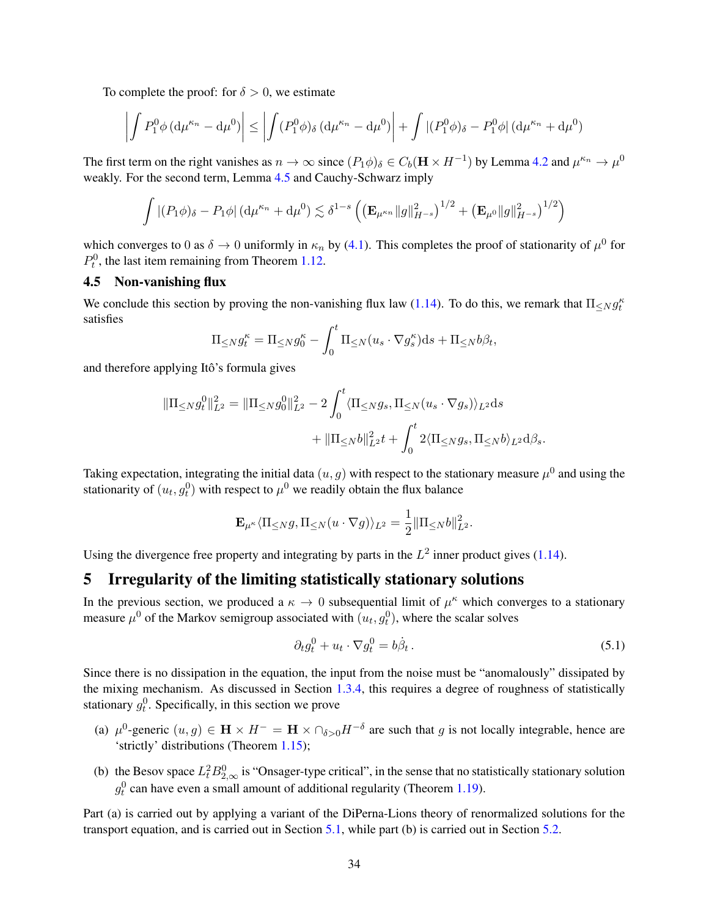To complete the proof: for  $\delta > 0$ , we estimate

$$
\left| \int P_1^0 \phi \left( d\mu^{\kappa_n} - d\mu^0 \right) \right| \le \left| \int (P_1^0 \phi)_{\delta} \left( d\mu^{\kappa_n} - d\mu^0 \right) \right| + \int \left| (P_1^0 \phi)_{\delta} - P_1^0 \phi \right| \left( d\mu^{\kappa_n} + d\mu^0 \right)
$$

The first term on the right vanishes as  $n \to \infty$  since  $(P_1 \phi)_\delta \in C_b(H \times H^{-1})$  by Lemma [4.2](#page-28-1) and  $\mu^{\kappa_n} \to \mu^0$ weakly. For the second term, Lemma [4.5](#page-32-1) and Cauchy-Schwarz imply

$$
\int | (P_1 \phi)_{\delta} - P_1 \phi | ( \mathrm{d} \mu^{\kappa_n} + \mathrm{d} \mu^0 ) \lesssim \delta^{1-s} \left( \left( \mathbf{E}_{\mu^{\kappa_n}} \| g \|_{H^{-s}}^2 \right)^{1/2} + \left( \mathbf{E}_{\mu^0} \| g \|_{H^{-s}}^2 \right)^{1/2} \right)
$$

which converges to 0 as  $\delta \to 0$  uniformly in  $\kappa_n$  by [\(4.1\)](#page-28-2). This completes the proof of stationarity of  $\mu^0$  for  $P_t^0$ , the last item remaining from Theorem [1.12.](#page-11-5)

### <span id="page-33-0"></span>4.5 Non-vanishing flux

We conclude this section by proving the non-vanishing flux law [\(1.14\)](#page-11-1). To do this, we remark that  $\Pi_{\leq N} g_t^k$ satisfies

$$
\Pi_{\leq N} g_t^{\kappa} = \Pi_{\leq N} g_0^{\kappa} - \int_0^t \Pi_{\leq N}(u_s \cdot \nabla g_s^{\kappa}) ds + \Pi_{\leq N} b \beta_t,
$$

and therefore applying Itô's formula gives

$$
\begin{aligned} \|\Pi_{\leq N} g^0_t\|_{L^2}^2 &= \|\Pi_{\leq N} g^0_0\|_{L^2}^2 - 2 \int_0^t \langle \Pi_{\leq N} g_s, \Pi_{\leq N}(u_s \cdot \nabla g_s) \rangle_{L^2} \mathrm{d}s \\ &+ \|\Pi_{\leq N} b\|_{L^2}^2 t + \int_0^t 2 \langle \Pi_{\leq N} g_s, \Pi_{\leq N} b \rangle_{L^2} \mathrm{d}\beta_s. \end{aligned}
$$

Taking expectation, integrating the initial data  $(u, g)$  with respect to the stationary measure  $\mu^0$  and using the stationarity of  $(u_t, g_t^0)$  with respect to  $\mu^0$  we readily obtain the flux balance

$$
\mathbf{E}_{\mu^{\kappa}} \langle \Pi_{\leq N} g, \Pi_{\leq N} (u \cdot \nabla g) \rangle_{L^2} = \frac{1}{2} || \Pi_{\leq N} b ||_{L^2}^2.
$$

Using the divergence free property and integrating by parts in the  $L^2$  inner product gives [\(1.14\)](#page-11-1).

## <span id="page-33-1"></span>5 Irregularity of the limiting statistically stationary solutions

In the previous section, we produced a  $\kappa \to 0$  subsequential limit of  $\mu^{\kappa}$  which converges to a stationary measure  $\mu^0$  of the Markov semigroup associated with  $(u_t, g_t^0)$ , where the scalar solves

<span id="page-33-3"></span>
$$
\partial_t g_t^0 + u_t \cdot \nabla g_t^0 = b \dot{\beta}_t. \tag{5.1}
$$

Since there is no dissipation in the equation, the input from the noise must be "anomalously" dissipated by the mixing mechanism. As discussed in Section [1.3.4,](#page-11-0) this requires a degree of roughness of statistically stationary  $g_t^0$ . Specifically, in this section we prove

- (a)  $\mu^0$ -generic  $(u, g) \in H \times H^- = H \times \bigcap_{\delta > 0} H^{-\delta}$  are such that g is not locally integrable, hence are 'strictly' distributions (Theorem [1.15\)](#page-11-2);
- (b) the Besov space  $L_t^2 B_{2,\infty}^0$  is "Onsager-type critical", in the sense that no statistically stationary solution  $g_t^0$  can have even a small amount of additional regularity (Theorem [1.19\)](#page-13-1).

<span id="page-33-2"></span>Part (a) is carried out by applying a variant of the DiPerna-Lions theory of renormalized solutions for the transport equation, and is carried out in Section [5.1,](#page-33-2) while part (b) is carried out in Section [5.2.](#page-36-0)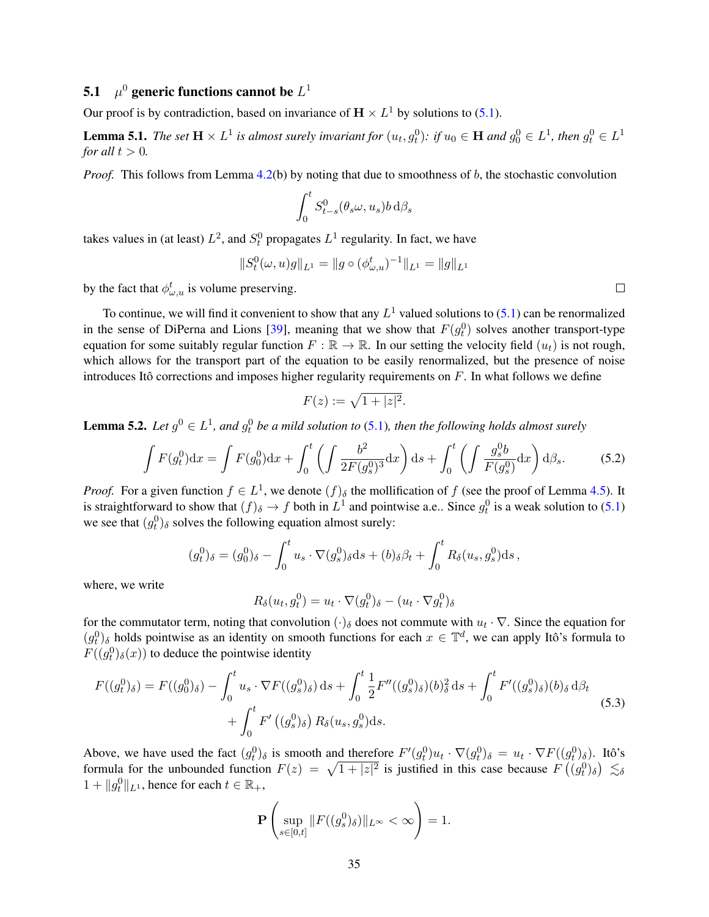## 5.1  $\mu^0$  generic functions cannot be  $L^1$

Our proof is by contradiction, based on invariance of  $\mathbf{H} \times L^1$  by solutions to [\(5.1\)](#page-33-3).

<span id="page-34-1"></span>**Lemma 5.1.** The set  $H \times L^1$  is almost surely invariant for  $(u_t, g_t^0)$ : if  $u_0 \in H$  and  $g_0^0 \in L^1$ , then  $g_t^0 \in L^1$ *for all*  $t > 0$ *.* 

*Proof.* This follows from Lemma [4.2\(](#page-29-4)b) by noting that due to smoothness of b, the stochastic convolution

$$
\int_0^t S^0_{t-s}(\theta_s \omega, u_s) b \,d\beta_s
$$

takes values in (at least)  $L^2$ , and  $S_t^0$  propagates  $L^1$  regularity. In fact, we have

$$
||S_t^0(\omega, u)g||_{L^1} = ||g \circ (\phi_{\omega, u}^t)^{-1}||_{L^1} = ||g||_{L^1}
$$

by the fact that  $\phi_{\omega,u}^t$  is volume preserving.

To continue, we will find it convenient to show that any  $L^1$  valued solutions to [\(5.1\)](#page-33-3) can be renormalized in the sense of DiPerna and Lions [\[39\]](#page-39-19), meaning that we show that  $F(g_t^0)$  solves another transport-type equation for some suitably regular function  $F : \mathbb{R} \to \mathbb{R}$ . In our setting the velocity field  $(u_t)$  is not rough, which allows for the transport part of the equation to be easily renormalized, but the presence of noise introduces Itô corrections and imposes higher regularity requirements on  $F$ . In what follows we define

$$
F(z) := \sqrt{1+|z|^2}.
$$

**Lemma 5.2.** Let  $g^0 \in L^1$ , and  $g_t^0$  be a mild solution to [\(5.1\)](#page-33-3), then the following holds almost surely

$$
\int F(g_t^0) dx = \int F(g_0^0) dx + \int_0^t \left( \int \frac{b^2}{2F(g_s^0)^3} dx \right) ds + \int_0^t \left( \int \frac{g_s^0 b}{F(g_s^0)} dx \right) d\beta_s.
$$
 (5.2)

*Proof.* For a given function  $f \in L^1$ , we denote  $(f)_{\delta}$  the mollification of f (see the proof of Lemma [4.5\)](#page-32-1). It is straightforward to show that  $(f)_{\delta} \to f$  both in  $L^1$  and pointwise a.e.. Since  $g_t^0$  is a weak solution to [\(5.1\)](#page-33-3) we see that  $(g_t^0)$ <sub>δ</sub> solves the following equation almost surely:

$$
(g_t^0)_{\delta} = (g_0^0)_{\delta} - \int_0^t u_s \cdot \nabla (g_s^0)_{\delta} ds + (b)_{\delta} \beta_t + \int_0^t R_{\delta}(u_s, g_s^0) ds,
$$

where, we write

$$
R_{\delta}(u_t, g_t^0) = u_t \cdot \nabla(g_t^0)_{\delta} - (u_t \cdot \nabla g_t^0)_{\delta}
$$

for the commutator term, noting that convolution  $(\cdot)_{\delta}$  does not commute with  $u_t \cdot \nabla$ . Since the equation for  $(g_t^0)$ <sub>δ</sub> holds pointwise as an identity on smooth functions for each  $x \in \mathbb{T}^d$ , we can apply Itô's formula to  $F((g_t^0)_{\delta}(x))$  to deduce the pointwise identity

$$
F((g_t^0)_{\delta}) = F((g_0^0)_{\delta}) - \int_0^t u_s \cdot \nabla F((g_s^0)_{\delta}) ds + \int_0^t \frac{1}{2} F''((g_s^0)_{\delta})(b)_{\delta}^2 ds + \int_0^t F'((g_s^0)_{\delta})(b)_{\delta} d\beta_t + \int_0^t F'((g_s^0)_{\delta}) R_{\delta}(u_s, g_s^0) ds.
$$
 (5.3)

Above, we have used the fact  $(g_t^0)_{\delta}$  is smooth and therefore  $F'(g_t^0)u_t \cdot \nabla (g_t^0)_{\delta} = u_t \cdot \nabla F((g_t^0)_{\delta})$ . Itô's formula for the unbounded function  $F(z) = \sqrt{1 + |z|^2}$  is justified in this case because  $F((g_t^0)_{\delta}) \lesssim_{\delta}$  $1 + ||g_t^0||_{L^1}$ , hence for each  $t \in \mathbb{R}_+$ ,

<span id="page-34-0"></span>
$$
\mathbf{P}\left(\sup_{s\in[0,t]}\|F((g_s^0)_{\delta})\|_{L^{\infty}}<\infty\right)=1.
$$

<span id="page-34-2"></span> $\Box$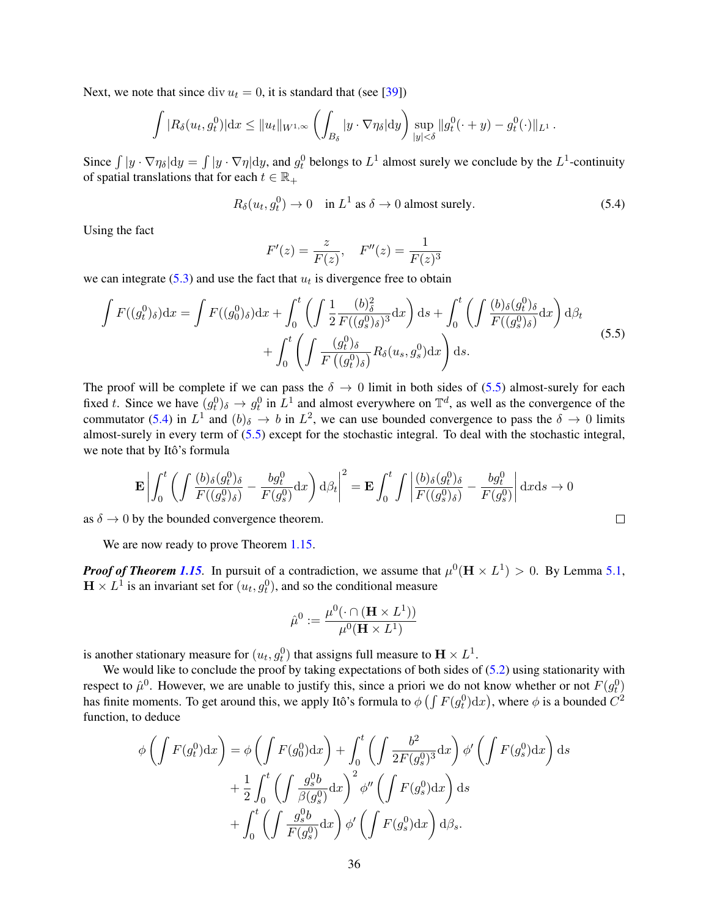Next, we note that since div  $u_t = 0$ , it is standard that (see [\[39\]](#page-39-19))

$$
\int |R_{\delta}(u_t, g_t^0)| dx \leq \|u_t\|_{W^{1,\infty}} \left( \int_{B_{\delta}} |y \cdot \nabla \eta_{\delta}| dy \right) \sup_{|y| < \delta} \|g_t^0(\cdot + y) - g_t^0(\cdot) \|_{L^1}.
$$

Since  $\int |y \cdot \nabla \eta_{\delta}| dy = \int |y \cdot \nabla \eta| dy$ , and  $g_t^0$  belongs to  $L^1$  almost surely we conclude by the  $L^1$ -continuity of spatial translations that for each  $t \in \mathbb{R}_+$ 

$$
R_{\delta}(u_t, g_t^0) \to 0 \quad \text{in } L^1 \text{ as } \delta \to 0 \text{ almost surely.}
$$
 (5.4)

<span id="page-35-1"></span><span id="page-35-0"></span> $\Box$ 

Using the fact

$$
F'(z) = \frac{z}{F(z)}, \quad F''(z) = \frac{1}{F(z)^3}
$$

we can integrate [\(5.3\)](#page-34-0) and use the fact that  $u_t$  is divergence free to obtain

$$
\int F((g_t^0)_\delta) dx = \int F((g_0^0)_\delta) dx + \int_0^t \left( \int \frac{1}{2} \frac{(b)_\delta^2}{F((g_s^0)_\delta)^3} dx \right) ds + \int_0^t \left( \int \frac{(b)_\delta (g_t^0)_\delta}{F((g_s^0)_\delta)} dx \right) d\beta_t
$$

$$
+ \int_0^t \left( \int \frac{(g_t^0)_\delta}{F((g_t^0)_\delta)} R_\delta(u_s, g_s^0) dx \right) ds.
$$
(5.5)

The proof will be complete if we can pass the  $\delta \to 0$  limit in both sides of [\(5.5\)](#page-35-0) almost-surely for each fixed t. Since we have  $(g_t^0)_{\delta} \to g_t^0$  in  $L^1$  and almost everywhere on  $\mathbb{T}^d$ , as well as the convergence of the commutator [\(5.4\)](#page-35-1) in  $L^1$  and  $(b)_{\delta} \to b$  in  $L^2$ , we can use bounded convergence to pass the  $\delta \to 0$  limits almost-surely in every term of [\(5.5\)](#page-35-0) except for the stochastic integral. To deal with the stochastic integral, we note that by Itô's formula

$$
\mathbf{E}\left|\int_0^t \left(\int \frac{(b)_{\delta}(g_t^0)_{\delta}}{F((g_s^0)_{\delta})} - \frac{bg_t^0}{F(g_s^0)}dx\right)d\beta_t\right|^2 = \mathbf{E}\int_0^t \int \left|\frac{(b)_{\delta}(g_t^0)_{\delta}}{F((g_s^0)_{\delta})} - \frac{bg_t^0}{F(g_s^0)}\right|dxds \to 0
$$

as  $\delta \to 0$  by the bounded convergence theorem.

We are now ready to prove Theorem [1.15.](#page-11-2)

*Proof of Theorem [1.15](#page-11-2).* In pursuit of a contradiction, we assume that  $\mu^0(H \times L^1) > 0$ . By Lemma [5.1,](#page-34-1)  $\mathbf{H} \times L^1$  is an invariant set for  $(u_t, g_t^0)$ , and so the conditional measure

$$
\hat{\mu}^0 := \frac{\mu^0(\cdot \cap (\mathbf{H} \times L^1))}{\mu^0(\mathbf{H} \times L^1)}
$$

is another stationary measure for  $(u_t, g_t^0)$  that assigns full measure to  $\mathbf{H} \times L^1$ .

We would like to conclude the proof by taking expectations of both sides of  $(5.2)$  using stationarity with respect to  $\hat{\mu}^0$ . However, we are unable to justify this, since a priori we do not know whether or not  $F(g_t^0)$ has finite moments. To get around this, we apply Itô's formula to  $\phi \left(\int F(g_t^0) \mathrm{d}x\right)$ , where  $\phi$  is a bounded  $C^2$ function, to deduce

$$
\phi \left( \int F(g_t^0) dx \right) = \phi \left( \int F(g_0^0) dx \right) + \int_0^t \left( \int \frac{b^2}{2F(g_s^0)^3} dx \right) \phi' \left( \int F(g_s^0) dx \right) ds + \frac{1}{2} \int_0^t \left( \int \frac{g_s^0 b}{\beta(g_s^0)} dx \right)^2 \phi'' \left( \int F(g_s^0) dx \right) ds + \int_0^t \left( \int \frac{g_s^0 b}{F(g_s^0)} dx \right) \phi' \left( \int F(g_s^0) dx \right) d\beta_s.
$$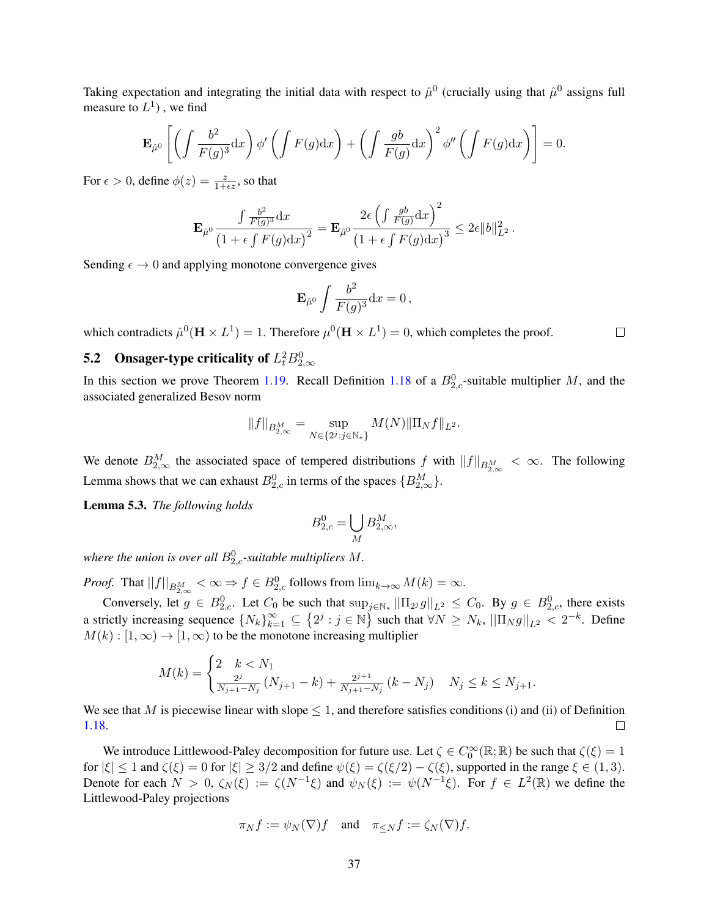Taking expectation and integrating the initial data with respect to  $\hat{\mu}^0$  (crucially using that  $\hat{\mu}^0$  assigns full measure to  $L^1$ ), we find

$$
\mathbf{E}_{\hat{\mu}^0} \left[ \left( \int \frac{b^2}{F(g)^3} dx \right) \phi' \left( \int F(g) dx \right) + \left( \int \frac{gb}{F(g)} dx \right)^2 \phi'' \left( \int F(g) dx \right) \right] = 0.
$$

For  $\epsilon > 0$ , define  $\phi(z) = \frac{z}{1 + \epsilon z}$ , so that

$$
\mathbf{E}_{\hat{\mu}^0} \frac{\int \frac{b^2}{F(g)^3} dx}{\left(1 + \epsilon \int F(g) dx\right)^2} = \mathbf{E}_{\hat{\mu}^0} \frac{2\epsilon \left(\int \frac{gb}{F(g)} dx\right)^2}{\left(1 + \epsilon \int F(g) dx\right)^3} \leq 2\epsilon \|b\|_{L^2}^2.
$$

Sending  $\epsilon \to 0$  and applying monotone convergence gives

$$
\mathbf{E}_{\hat{\mu}^0} \int \frac{b^2}{F(g)^3} \mathrm{d}x = 0 \,,
$$

 $\Box$ 

which contradicts  $\hat{\mu}^0(\mathbf{H} \times L^1) = 1$ . Therefore  $\mu^0(\mathbf{H} \times L^1) = 0$ , which completes the proof.

## <span id="page-36-0"></span>**5.2** Onsager-type criticality of  $L_t^2 B_{2,\infty}^0$

In this section we prove Theorem [1.19.](#page-13-1) Recall Definition [1.18](#page-12-0) of a  $B_{2,c}^0$ -suitable multiplier M, and the associated generalized Besov norm

$$
||f||_{B_{2,\infty}^M} = \sup_{N \in \{2^j : j \in \mathbb{N}_*\}} M(N) ||\Pi_N f||_{L^2}.
$$

We denote  $B_{2,\infty}^M$  the associated space of tempered distributions f with  $||f||_{B_{2,\infty}^M} < \infty$ . The following Lemma shows that we can exhaust  $B_{2,c}^0$  in terms of the spaces  $\{B_{2,\infty}^M\}$ .

<span id="page-36-1"></span>Lemma 5.3. *The following holds*

$$
B_{2,c}^0 = \bigcup_M B_{2,\infty}^M,
$$

where the union is over all  $B_{2,c}^0$ -suitable multipliers  $M$ .

*Proof.* That  $||f||_{B_{2,\infty}^M} < \infty \Rightarrow f \in B_{2,c}^0$  follows from  $\lim_{k \to \infty} M(k) = \infty$ .

Conversely, let  $g \in B_{2,c}^0$ . Let  $C_0$  be such that  $\sup_{j \in \mathbb{N}_*} ||\Pi_{2j}g||_{L^2} \leq C_0$ . By  $g \in B_{2,c}^0$ , there exists a strictly increasing sequence  $\{N_k\}_{k=1}^{\infty} \subseteq \left\{2^j : j \in \mathbb{N}\right\}$  such that  $\forall N \ge N_k$ ,  $||\Pi_N g||_{L^2} < 2^{-k}$ . Define  $M(k): [1, \infty) \to [1, \infty)$  to be the monotone increasing multiplier

$$
M(k) = \begin{cases} 2 & k < N_1 \\ \frac{2^j}{N_{j+1} - N_j} (N_{j+1} - k) + \frac{2^{j+1}}{N_{j+1} - N_j} (k - N_j) & N_j \le k \le N_{j+1}. \end{cases}
$$

We see that M is piecewise linear with slope  $\leq 1$ , and therefore satisfies conditions (i) and (ii) of Definition [1.18.](#page-12-0)  $\Box$ 

We introduce Littlewood-Paley decomposition for future use. Let  $\zeta \in C_0^{\infty}(\mathbb{R}; \mathbb{R})$  be such that  $\zeta(\xi) = 1$ for  $|\xi| \leq 1$  and  $\zeta(\xi) = 0$  for  $|\xi| \geq 3/2$  and define  $\psi(\xi) = \zeta(\xi/2) - \zeta(\xi)$ , supported in the range  $\xi \in (1, 3)$ . Denote for each  $N > 0$ ,  $\zeta_N(\xi) := \zeta(N^{-1}\xi)$  and  $\psi_N(\xi) := \psi(N^{-1}\xi)$ . For  $f \in L^2(\mathbb{R})$  we define the Littlewood-Paley projections

$$
\pi_N f := \psi_N(\nabla)f
$$
 and  $\pi_{\leq N} f := \zeta_N(\nabla)f$ .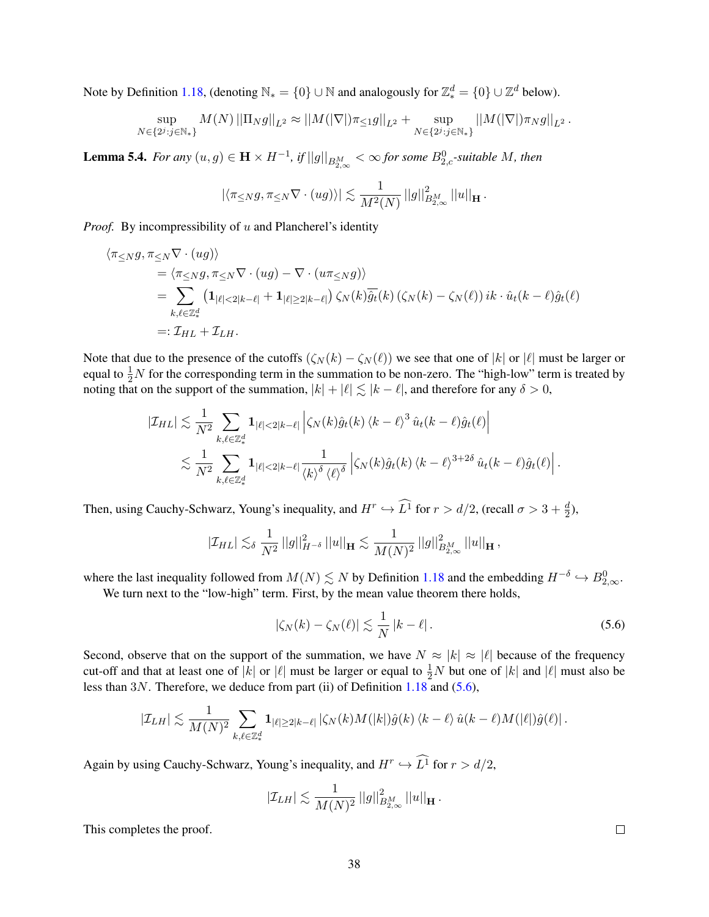Note by Definition [1.18,](#page-12-0) (denoting  $\mathbb{N}_* = \{0\} \cup \mathbb{N}$  and analogously for  $\mathbb{Z}_*^d = \{0\} \cup \mathbb{Z}^d$  below).

$$
\sup_{N \in \{2^j : j \in \mathbb{N}_*\}} M(N) ||\Pi_N g||_{L^2} \approx ||M(|\nabla|) \pi \leq_1 g||_{L^2} + \sup_{N \in \{2^j : j \in \mathbb{N}_*\}} ||M(|\nabla|) \pi_N g||_{L^2}.
$$

<span id="page-37-1"></span>**Lemma 5.4.** For any  $(u, g) \in H \times H^{-1}$ , if  $||g||_{B_{2,\infty}^M} < \infty$  for some  $B_{2,c}^0$ -suitable M, then

$$
\left|\left\langle \pi_{\leq N}g,\pi_{\leq N}\nabla \cdot (ug)\right\rangle\right|\lesssim \frac{1}{M^2(N)}\left|\left|g\right|\right|_{B_{2,\infty}^M}^2\left|\left|u\right|\right|_{\mathbf H}.
$$

*Proof.* By incompressibility of u and Plancherel's identity

$$
\langle \pi \leq_{N} g, \pi \leq_{N} \nabla \cdot (ug) \rangle
$$
  
=  $\langle \pi \leq_{N} g, \pi \leq_{N} \nabla \cdot (ug) - \nabla \cdot (u \pi \leq_{N} g) \rangle$   
= 
$$
\sum_{k,\ell \in \mathbb{Z}_{*}^{d}} \left( \mathbf{1}_{|\ell| < 2|k-\ell|} + \mathbf{1}_{|\ell| \geq 2|k-\ell|} \right) \zeta_{N}(k) \overline{\hat{g}_{t}}(k) \left( \zeta_{N}(k) - \zeta_{N}(\ell) \right) ik \cdot \hat{u}_{t}(k-\ell) \hat{g}_{t}(\ell)
$$
  
=:  $\mathcal{I}_{HL} + \mathcal{I}_{LH}$ .

Note that due to the presence of the cutoffs  $(\zeta_N(k) - \zeta_N(\ell))$  we see that one of  $|k|$  or  $|\ell|$  must be larger or equal to  $\frac{1}{2}N$  for the corresponding term in the summation to be non-zero. The "high-low" term is treated by noting that on the support of the summation,  $|k| + |\ell| \leq |k - \ell|$ , and therefore for any  $\delta > 0$ ,

$$
\left|\mathcal{I}_{HL}\right| \lesssim \frac{1}{N^2} \sum_{k,\ell \in \mathbb{Z}_*^d} \mathbf{1}_{|\ell| < 2|k-\ell|} \left| \zeta_N(k) \hat{g}_t(k) \left\langle k - \ell \right\rangle^3 \hat{u}_t(k-\ell) \hat{g}_t(\ell) \right|
$$
  

$$
\lesssim \frac{1}{N^2} \sum_{k,\ell \in \mathbb{Z}_*^d} \mathbf{1}_{|\ell| < 2|k-\ell|} \frac{1}{\left\langle k \right\rangle^{\delta} \left\langle \ell \right\rangle^{\delta}} \left| \zeta_N(k) \hat{g}_t(k) \left\langle k - \ell \right\rangle^{3+2\delta} \hat{u}_t(k-\ell) \hat{g}_t(\ell) \right|.
$$

Then, using Cauchy-Schwarz, Young's inequality, and  $H^r \hookrightarrow L^1$  for  $r > d/2$ , (recall  $\sigma > 3 + \frac{d}{2}$ ),

$$
|\mathcal{I}_{HL}| \lesssim_{\delta} \frac{1}{N^2} ||g||_{H^{-\delta}}^2 ||u||_{\mathbf{H}} \lesssim \frac{1}{M(N)^2} ||g||_{B_{2,\infty}^M}^2 ||u||_{\mathbf{H}} ,
$$

where the last inequality followed from  $M(N) \lesssim N$  by Definition [1.18](#page-12-0) and the embedding  $H^{-\delta} \hookrightarrow B_{2,\infty}^0$ .

We turn next to the "low-high" term. First, by the mean value theorem there holds,

$$
|\zeta_N(k) - \zeta_N(\ell)| \lesssim \frac{1}{N} |k - \ell| \,. \tag{5.6}
$$

Second, observe that on the support of the summation, we have  $N \approx |k| \approx |\ell|$  because of the frequency cut-off and that at least one of  $|k|$  or  $|\ell|$  must be larger or equal to  $\frac{1}{2}N$  but one of  $|k|$  and  $|\ell|$  must also be less than 3N. Therefore, we deduce from part (ii) of Definition [1.18](#page-12-0) and [\(5.6\)](#page-37-0),

$$
\left|\mathcal{I}_{LH}\right|\lesssim \frac{1}{M(N)^2}\sum_{k,\ell\in\mathbb{Z}^d_*} {\bf 1}_{|\ell|\geq 2|k-\ell|}\left|\zeta_N(k)M(|k|) \hat{g}(k)\left\langle k-\ell\right\rangle \hat{u}(k-\ell)M(|\ell|) \hat{g}(\ell)\right|.
$$

Again by using Cauchy-Schwarz, Young's inequality, and  $H^r \hookrightarrow L^1$  for  $r > d/2$ ,

$$
|\mathcal{I}_{LH}| \lesssim \frac{1}{M(N)^2} \, ||g||^2_{B^M_{2,\infty}} \, ||u||_{\mathbf{H}} \, .
$$

This completes the proof.

<span id="page-37-0"></span> $\Box$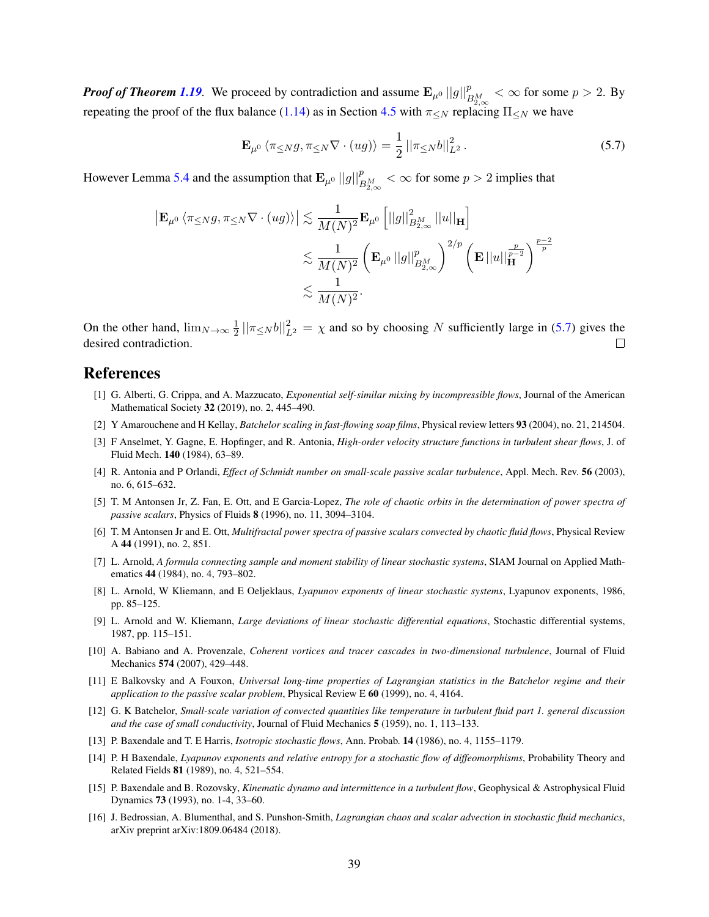*Proof of Theorem [1.19](#page-13-1).* We proceed by contradiction and assume  $\mathbf{E}_{\mu^0}||g||_{B_{2,\infty}^M}^p < \infty$  for some  $p > 2$ . By repeating the proof of the flux balance [\(1.14\)](#page-11-1) as in Section [4.5](#page-33-0) with  $\pi <sub>N</sub>$  replacing  $\Pi <sub>N</sub>$  we have

<span id="page-38-15"></span>
$$
\mathbf{E}_{\mu^0} \left\langle \pi \leq N g, \pi \leq N \nabla \cdot (ug) \right\rangle = \frac{1}{2} \left| |\pi \leq N b| \right|_{L^2}^2. \tag{5.7}
$$

However Lemma [5.4](#page-37-1) and the assumption that  $\mathbf{E}_{\mu^0}||g||_{B_{2,\infty}^M}^p < \infty$  for some  $p > 2$  implies that

$$
\begin{aligned} \left| \mathbf{E}_{\mu^0} \left\langle \pi \leq_N g, \pi \leq_N \nabla \cdot (ug) \right\rangle \right| &\lesssim \frac{1}{M(N)^2} \mathbf{E}_{\mu^0} \left[ ||g||^2_{B^M_{2,\infty}} \left| |u| \right|_{\mathbf{H}} \right] \\ &\lesssim \frac{1}{M(N)^2} \left( \mathbf{E}_{\mu^0} \left| |g| \right|_{B^M_{2,\infty}}^p \right)^{2/p} \left( \mathbf{E} \left| |u| \right|_{\mathbf{H}}^{\frac{p}{p-2}} \right)^{\frac{p-2}{p}} \\ &\lesssim \frac{1}{M(N)^2}. \end{aligned}
$$

On the other hand,  $\lim_{N\to\infty}\frac{1}{2}$  $\frac{1}{2} ||\pi \leq N b||^2_{L^2} = \chi$  and so by choosing N sufficiently large in [\(5.7\)](#page-38-15) gives the desired contradiction.

### References

- <span id="page-38-11"></span>[1] G. Alberti, G. Crippa, and A. Mazzucato, *Exponential self-similar mixing by incompressible flows*, Journal of the American Mathematical Society 32 (2019), no. 2, 445–490.
- <span id="page-38-1"></span>[2] Y Amarouchene and H Kellay, *Batchelor scaling in fast-flowing soap films*, Physical review letters 93 (2004), no. 21, 214504.
- <span id="page-38-14"></span>[3] F Anselmet, Y. Gagne, E. Hopfinger, and R. Antonia, *High-order velocity structure functions in turbulent shear flows*, J. of Fluid Mech. 140 (1984), 63–89.
- <span id="page-38-2"></span>[4] R. Antonia and P Orlandi, *Effect of Schmidt number on small-scale passive scalar turbulence*, Appl. Mech. Rev. 56 (2003), no. 6, 615–632.
- <span id="page-38-3"></span>[5] T. M Antonsen Jr, Z. Fan, E. Ott, and E Garcia-Lopez, *The role of chaotic orbits in the determination of power spectra of passive scalars*, Physics of Fluids 8 (1996), no. 11, 3094–3104.
- <span id="page-38-4"></span>[6] T. M Antonsen Jr and E. Ott, *Multifractal power spectra of passive scalars convected by chaotic fluid flows*, Physical Review A 44 (1991), no. 2, 851.
- <span id="page-38-12"></span>[7] L. Arnold, *A formula connecting sample and moment stability of linear stochastic systems*, SIAM Journal on Applied Mathematics 44 (1984), no. 4, 793–802.
- [8] L. Arnold, W Kliemann, and E Oeljeklaus, *Lyapunov exponents of linear stochastic systems*, Lyapunov exponents, 1986, pp. 85–125.
- <span id="page-38-13"></span>[9] L. Arnold and W. Kliemann, *Large deviations of linear stochastic differential equations*, Stochastic differential systems, 1987, pp. 115–151.
- <span id="page-38-10"></span>[10] A. Babiano and A. Provenzale, *Coherent vortices and tracer cascades in two-dimensional turbulence*, Journal of Fluid Mechanics 574 (2007), 429–448.
- <span id="page-38-5"></span>[11] E Balkovsky and A Fouxon, *Universal long-time properties of Lagrangian statistics in the Batchelor regime and their application to the passive scalar problem*, Physical Review E 60 (1999), no. 4, 4164.
- <span id="page-38-0"></span>[12] G. K Batchelor, *Small-scale variation of convected quantities like temperature in turbulent fluid part 1. general discussion and the case of small conductivity*, Journal of Fluid Mechanics 5 (1959), no. 1, 113–133.
- <span id="page-38-6"></span>[13] P. Baxendale and T. E Harris, *Isotropic stochastic flows*, Ann. Probab. 14 (1986), no. 4, 1155–1179.
- <span id="page-38-8"></span>[14] P. H Baxendale, *Lyapunov exponents and relative entropy for a stochastic flow of diffeomorphisms*, Probability Theory and Related Fields 81 (1989), no. 4, 521–554.
- <span id="page-38-9"></span>[15] P. Baxendale and B. Rozovsky, *Kinematic dynamo and intermittence in a turbulent flow*, Geophysical & Astrophysical Fluid Dynamics 73 (1993), no. 1-4, 33–60.
- <span id="page-38-7"></span>[16] J. Bedrossian, A. Blumenthal, and S. Punshon-Smith, *Lagrangian chaos and scalar advection in stochastic fluid mechanics*, arXiv preprint arXiv:1809.06484 (2018).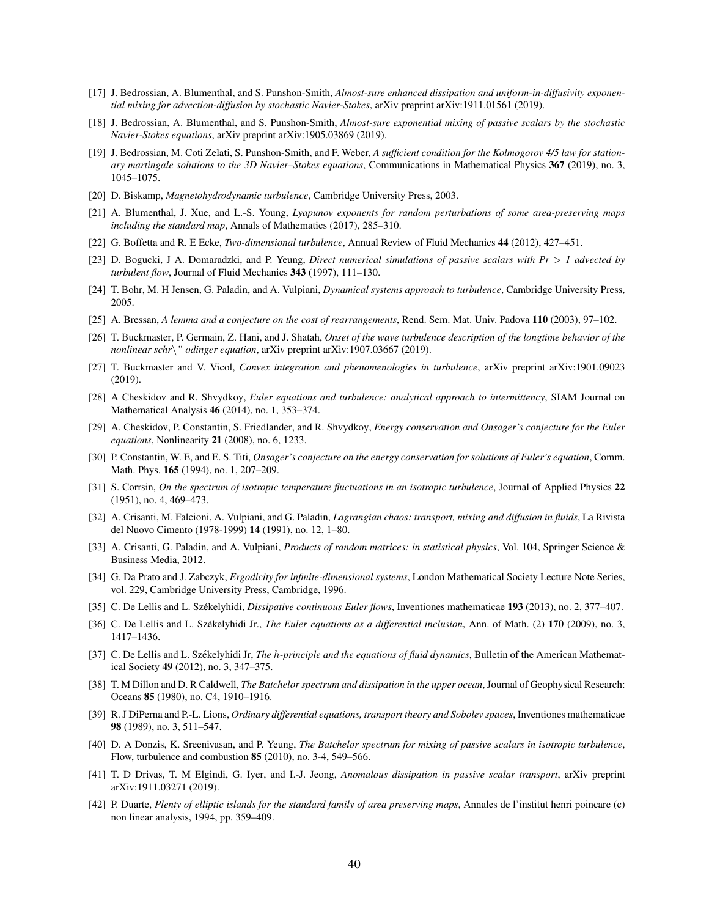- <span id="page-39-12"></span>[17] J. Bedrossian, A. Blumenthal, and S. Punshon-Smith, *Almost-sure enhanced dissipation and uniform-in-diffusivity exponential mixing for advection-diffusion by stochastic Navier-Stokes*, arXiv preprint arXiv:1911.01561 (2019).
- <span id="page-39-10"></span>[18] J. Bedrossian, A. Blumenthal, and S. Punshon-Smith, *Almost-sure exponential mixing of passive scalars by the stochastic Navier-Stokes equations*, arXiv preprint arXiv:1905.03869 (2019).
- <span id="page-39-14"></span>[19] J. Bedrossian, M. Coti Zelati, S. Punshon-Smith, and F. Weber, *A sufficient condition for the Kolmogorov 4/5 law for stationary martingale solutions to the 3D Navier–Stokes equations*, Communications in Mathematical Physics 367 (2019), no. 3, 1045–1075.
- <span id="page-39-8"></span>[20] D. Biskamp, *Magnetohydrodynamic turbulence*, Cambridge University Press, 2003.
- <span id="page-39-24"></span>[21] A. Blumenthal, J. Xue, and L.-S. Young, *Lyapunov exponents for random perturbations of some area-preserving maps including the standard map*, Annals of Mathematics (2017), 285–310.
- <span id="page-39-9"></span>[22] G. Boffetta and R. E Ecke, *Two-dimensional turbulence*, Annual Review of Fluid Mechanics 44 (2012), 427–451.
- <span id="page-39-1"></span>[23] D. Bogucki, J A. Domaradzki, and P. Yeung, *Direct numerical simulations of passive scalars with Pr* > *1 advected by turbulent flow*, Journal of Fluid Mechanics 343 (1997), 111–130.
- <span id="page-39-3"></span>[24] T. Bohr, M. H Jensen, G. Paladin, and A. Vulpiani, *Dynamical systems approach to turbulence*, Cambridge University Press, 2005.
- <span id="page-39-13"></span>[25] A. Bressan, *A lemma and a conjecture on the cost of rearrangements*, Rend. Sem. Mat. Univ. Padova 110 (2003), 97–102.
- <span id="page-39-18"></span>[26] T. Buckmaster, P. Germain, Z. Hani, and J. Shatah, *Onset of the wave turbulence description of the longtime behavior of the nonlinear schr*\*" odinger equation*, arXiv preprint arXiv:1907.03667 (2019).
- <span id="page-39-21"></span>[27] T. Buckmaster and V. Vicol, *Convex integration and phenomenologies in turbulence*, arXiv preprint arXiv:1901.09023 (2019).
- <span id="page-39-23"></span>[28] A Cheskidov and R. Shvydkoy, *Euler equations and turbulence: analytical approach to intermittency*, SIAM Journal on Mathematical Analysis 46 (2014), no. 1, 353–374.
- <span id="page-39-22"></span>[29] A. Cheskidov, P. Constantin, S. Friedlander, and R. Shvydkoy, *Energy conservation and Onsager's conjecture for the Euler equations*, Nonlinearity 21 (2008), no. 6, 1233.
- <span id="page-39-15"></span>[30] P. Constantin, W. E, and E. S. Titi, *Onsager's conjecture on the energy conservation for solutions of Euler's equation*, Comm. Math. Phys. 165 (1994), no. 1, 207–209.
- <span id="page-39-4"></span>[31] S. Corrsin, *On the spectrum of isotropic temperature fluctuations in an isotropic turbulence*, Journal of Applied Physics 22 (1951), no. 4, 469–473.
- <span id="page-39-5"></span>[32] A. Crisanti, M. Falcioni, A. Vulpiani, and G. Paladin, *Lagrangian chaos: transport, mixing and diffusion in fluids*, La Rivista del Nuovo Cimento (1978-1999) 14 (1991), no. 12, 1–80.
- <span id="page-39-6"></span>[33] A. Crisanti, G. Paladin, and A. Vulpiani, *Products of random matrices: in statistical physics*, Vol. 104, Springer Science & Business Media, 2012.
- <span id="page-39-25"></span>[34] G. Da Prato and J. Zabczyk, *Ergodicity for infinite-dimensional systems*, London Mathematical Society Lecture Note Series, vol. 229, Cambridge University Press, Cambridge, 1996.
- <span id="page-39-16"></span>[35] C. De Lellis and L. Székelyhidi, *Dissipative continuous Euler flows*, Inventiones mathematicae 193 (2013), no. 2, 377–407.
- <span id="page-39-20"></span>[36] C. De Lellis and L. Székelyhidi Jr., *The Euler equations as a differential inclusion*, Ann. of Math. (2) 170 (2009), no. 3, 1417–1436.
- <span id="page-39-17"></span>[37] C. De Lellis and L. Székelyhidi Jr, *The h-principle and the equations of fluid dynamics*, Bulletin of the American Mathematical Society 49 (2012), no. 3, 347–375.
- <span id="page-39-0"></span>[38] T. M Dillon and D. R Caldwell, *The Batchelor spectrum and dissipation in the upper ocean*, Journal of Geophysical Research: Oceans 85 (1980), no. C4, 1910–1916.
- <span id="page-39-19"></span>[39] R. J DiPerna and P.-L. Lions, *Ordinary differential equations, transport theory and Sobolev spaces*, Inventiones mathematicae 98 (1989), no. 3, 511–547.
- <span id="page-39-2"></span>[40] D. A Donzis, K. Sreenivasan, and P. Yeung, *The Batchelor spectrum for mixing of passive scalars in isotropic turbulence*, Flow, turbulence and combustion 85 (2010), no. 3-4, 549–566.
- <span id="page-39-7"></span>[41] T. D Drivas, T. M Elgindi, G. Iyer, and I.-J. Jeong, *Anomalous dissipation in passive scalar transport*, arXiv preprint arXiv:1911.03271 (2019).
- <span id="page-39-11"></span>[42] P. Duarte, *Plenty of elliptic islands for the standard family of area preserving maps*, Annales de l'institut henri poincare (c) non linear analysis, 1994, pp. 359–409.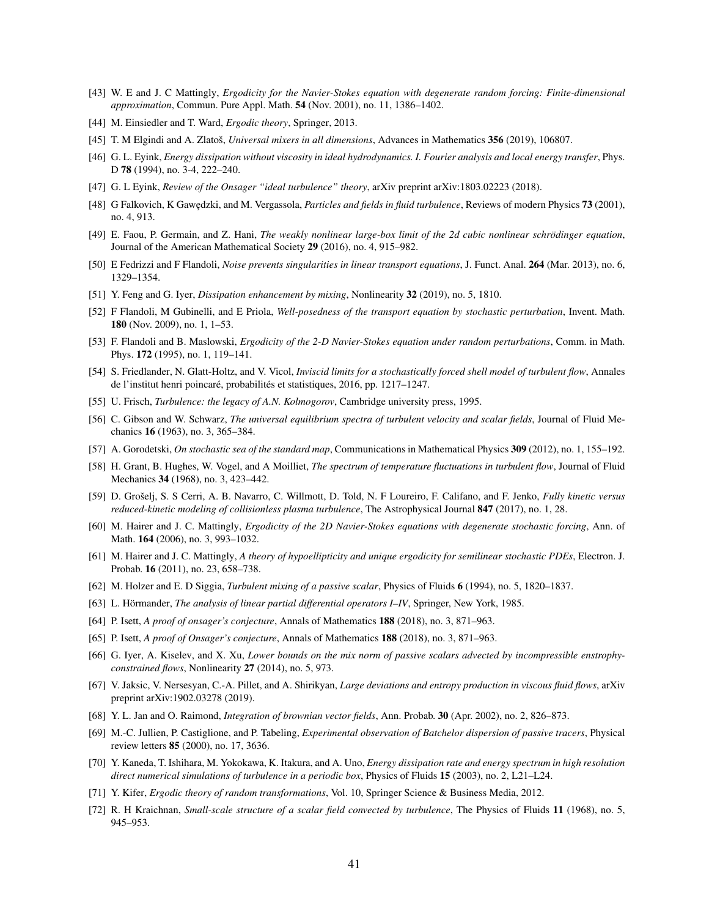- <span id="page-40-27"></span>[43] W. E and J. C Mattingly, *Ergodicity for the Navier-Stokes equation with degenerate random forcing: Finite-dimensional approximation*, Commun. Pure Appl. Math. 54 (Nov. 2001), no. 11, 1386–1402.
- <span id="page-40-29"></span>[44] M. Einsiedler and T. Ward, *Ergodic theory*, Springer, 2013.
- <span id="page-40-12"></span>[45] T. M Elgindi and A. Zlatoš, *Universal mixers in all dimensions*, Advances in Mathematics 356 (2019), 106807.
- <span id="page-40-20"></span>[46] G. L. Eyink, *Energy dissipation without viscosity in ideal hydrodynamics. I. Fourier analysis and local energy transfer*, Phys. D 78 (1994), no. 3-4, 222–240.
- <span id="page-40-19"></span>[47] G. L Eyink, *Review of the Onsager "ideal turbulence" theory*, arXiv preprint arXiv:1803.02223 (2018).
- <span id="page-40-0"></span>[48] G Falkovich, K Gawędzki, and M. Vergassola, *Particles and fields in fluid turbulence*, Reviews of modern Physics 73 (2001), no. 4, 913.
- <span id="page-40-22"></span>[49] E. Faou, P. Germain, and Z. Hani, *The weakly nonlinear large-box limit of the 2d cubic nonlinear schrödinger equation*, Journal of the American Mathematical Society 29 (2016), no. 4, 915–982.
- <span id="page-40-7"></span>[50] E Fedrizzi and F Flandoli, *Noise prevents singularities in linear transport equations*, J. Funct. Anal. 264 (Mar. 2013), no. 6, 1329–1354.
- <span id="page-40-16"></span>[51] Y. Feng and G. Iyer, *Dissipation enhancement by mixing*, Nonlinearity 32 (2019), no. 5, 1810.
- <span id="page-40-8"></span>[52] F Flandoli, M Gubinelli, and E Priola, *Well-posedness of the transport equation by stochastic perturbation*, Invent. Math. 180 (Nov. 2009), no. 1, 1–53.
- <span id="page-40-14"></span>[53] F. Flandoli and B. Maslowski, *Ergodicity of the 2-D Navier-Stokes equation under random perturbations*, Comm. in Math. Phys. 172 (1995), no. 1, 119–141.
- <span id="page-40-18"></span>[54] S. Friedlander, N. Glatt-Holtz, and V. Vicol, *Inviscid limits for a stochastically forced shell model of turbulent flow*, Annales de l'institut henri poincaré, probabilités et statistiques, 2016, pp. 1217–1247.
- <span id="page-40-9"></span>[55] U. Frisch, *Turbulence: the legacy of A.N. Kolmogorov*, Cambridge university press, 1995.
- <span id="page-40-2"></span>[56] C. Gibson and W. Schwarz, *The universal equilibrium spectra of turbulent velocity and scalar fields*, Journal of Fluid Mechanics 16 (1963), no. 3, 365–384.
- <span id="page-40-11"></span>[57] A. Gorodetski, *On stochastic sea of the standard map*, Communications in Mathematical Physics 309 (2012), no. 1, 155–192.
- <span id="page-40-1"></span>[58] H. Grant, B. Hughes, W. Vogel, and A Moilliet, *The spectrum of temperature fluctuations in turbulent flow*, Journal of Fluid Mechanics 34 (1968), no. 3, 423–442.
- <span id="page-40-10"></span>[59] D. Grošelj, S. S Cerri, A. B. Navarro, C. Willmott, D. Told, N. F Loureiro, F. Califano, and F. Jenko, *Fully kinetic versus reduced-kinetic modeling of collisionless plasma turbulence*, The Astrophysical Journal 847 (2017), no. 1, 28.
- <span id="page-40-15"></span>[60] M. Hairer and J. C. Mattingly, *Ergodicity of the 2D Navier-Stokes equations with degenerate stochastic forcing*, Ann. of Math. 164 (2006), no. 3, 993–1032.
- <span id="page-40-25"></span>[61] M. Hairer and J. C. Mattingly, *A theory of hypoellipticity and unique ergodicity for semilinear stochastic PDEs*, Electron. J. Probab. 16 (2011), no. 23, 658–738.
- <span id="page-40-4"></span>[62] M. Holzer and E. D Siggia, *Turbulent mixing of a passive scalar*, Physics of Fluids 6 (1994), no. 5, 1820–1837.
- <span id="page-40-26"></span>[63] L. Hörmander, *The analysis of linear partial differential operators I–IV*, Springer, New York, 1985.
- <span id="page-40-21"></span>[64] P. Isett, *A proof of onsager's conjecture*, Annals of Mathematics 188 (2018), no. 3, 871–963.
- <span id="page-40-23"></span>[65] P. Isett, *A proof of Onsager's conjecture*, Annals of Mathematics 188 (2018), no. 3, 871–963.
- <span id="page-40-13"></span>[66] G. Iyer, A. Kiselev, and X. Xu, *Lower bounds on the mix norm of passive scalars advected by incompressible enstrophyconstrained flows*, Nonlinearity 27 (2014), no. 5, 973.
- <span id="page-40-24"></span>[67] V. Jaksic, V. Nersesyan, C.-A. Pillet, and A. Shirikyan, *Large deviations and entropy production in viscous fluid flows*, arXiv preprint arXiv:1902.03278 (2019).
- <span id="page-40-6"></span>[68] Y. L. Jan and O. Raimond, *Integration of brownian vector fields*, Ann. Probab. 30 (Apr. 2002), no. 2, 826–873.
- <span id="page-40-3"></span>[69] M.-C. Jullien, P. Castiglione, and P. Tabeling, *Experimental observation of Batchelor dispersion of passive tracers*, Physical review letters 85 (2000), no. 17, 3636.
- <span id="page-40-17"></span>[70] Y. Kaneda, T. Ishihara, M. Yokokawa, K. Itakura, and A. Uno, *Energy dissipation rate and energy spectrum in high resolution direct numerical simulations of turbulence in a periodic box*, Physics of Fluids 15 (2003), no. 2, L21–L24.
- <span id="page-40-28"></span>[71] Y. Kifer, *Ergodic theory of random transformations*, Vol. 10, Springer Science & Business Media, 2012.
- <span id="page-40-5"></span>[72] R. H Kraichnan, *Small-scale structure of a scalar field convected by turbulence*, The Physics of Fluids 11 (1968), no. 5, 945–953.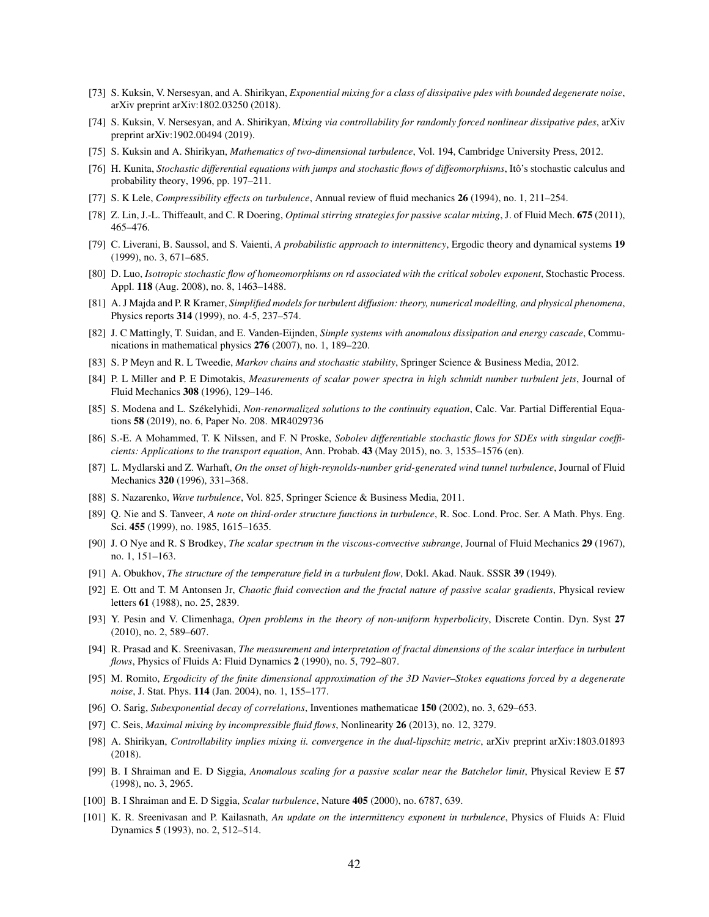- <span id="page-41-23"></span>[73] S. Kuksin, V. Nersesyan, and A. Shirikyan, *Exponential mixing for a class of dissipative pdes with bounded degenerate noise*, arXiv preprint arXiv:1802.03250 (2018).
- <span id="page-41-24"></span>[74] S. Kuksin, V. Nersesyan, and A. Shirikyan, *Mixing via controllability for randomly forced nonlinear dissipative pdes*, arXiv preprint arXiv:1902.00494 (2019).
- <span id="page-41-25"></span>[75] S. Kuksin and A. Shirikyan, *Mathematics of two-dimensional turbulence*, Vol. 194, Cambridge University Press, 2012.
- <span id="page-41-27"></span>[76] H. Kunita, *Stochastic differential equations with jumps and stochastic flows of diffeomorphisms*, Itô's stochastic calculus and probability theory, 1996, pp. 197–211.
- <span id="page-41-7"></span>[77] S. K Lele, *Compressibility effects on turbulence*, Annual review of fluid mechanics 26 (1994), no. 1, 211–254.
- <span id="page-41-12"></span>[78] Z. Lin, J.-L. Thiffeault, and C. R Doering, *Optimal stirring strategies for passive scalar mixing*, J. of Fluid Mech. 675 (2011), 465–476.
- <span id="page-41-10"></span>[79] C. Liverani, B. Saussol, and S. Vaienti, *A probabilistic approach to intermittency*, Ergodic theory and dynamical systems 19 (1999), no. 3, 671–685.
- <span id="page-41-5"></span>[80] D. Luo, *Isotropic stochastic flow of homeomorphisms on rd associated with the critical sobolev exponent*, Stochastic Process. Appl. 118 (Aug. 2008), no. 8, 1463–1488.
- <span id="page-41-0"></span>[81] A. J Majda and P. R Kramer, *Simplified models for turbulent diffusion: theory, numerical modelling, and physical phenomena*, Physics reports 314 (1999), no. 4-5, 237–574.
- <span id="page-41-20"></span>[82] J. C Mattingly, T. Suidan, and E. Vanden-Eijnden, *Simple systems with anomalous dissipation and energy cascade*, Communications in mathematical physics 276 (2007), no. 1, 189–220.
- <span id="page-41-28"></span>[83] S. P Meyn and R. L Tweedie, *Markov chains and stochastic stability*, Springer Science & Business Media, 2012.
- <span id="page-41-3"></span>[84] P. L Miller and P. E Dimotakis, *Measurements of scalar power spectra in high schmidt number turbulent jets*, Journal of Fluid Mechanics 308 (1996), 129–146.
- <span id="page-41-21"></span>[85] S. Modena and L. Székelyhidi, *Non-renormalized solutions to the continuity equation*, Calc. Var. Partial Differential Equations 58 (2019), no. 6, Paper No. 208. MR4029736
- <span id="page-41-6"></span>[86] S.-E. A Mohammed, T. K Nilssen, and F. N Proske, *Sobolev differentiable stochastic flows for SDEs with singular coefficients: Applications to the transport equation*, Ann. Probab. 43 (May 2015), no. 3, 1535–1576 (en).
- <span id="page-41-15"></span>[87] L. Mydlarski and Z. Warhaft, *On the onset of high-reynolds-number grid-generated wind tunnel turbulence*, Journal of Fluid Mechanics 320 (1996), 331–368.
- <span id="page-41-8"></span>[88] S. Nazarenko, *Wave turbulence*, Vol. 825, Springer Science & Business Media, 2011.
- <span id="page-41-14"></span>[89] Q. Nie and S. Tanveer, *A note on third-order structure functions in turbulence*, R. Soc. Lond. Proc. Ser. A Math. Phys. Eng. Sci. 455 (1999), no. 1985, 1615–1635.
- <span id="page-41-1"></span>[90] J. O Nye and R. S Brodkey, *The scalar spectrum in the viscous-convective subrange*, Journal of Fluid Mechanics 29 (1967), no. 1, 151–163.
- <span id="page-41-4"></span>[91] A. Obukhov, *The structure of the temperature field in a turbulent flow*, Dokl. Akad. Nauk. SSSR 39 (1949).
- <span id="page-41-17"></span>[92] E. Ott and T. M Antonsen Jr, *Chaotic fluid convection and the fractal nature of passive scalar gradients*, Physical review letters 61 (1988), no. 25, 2839.
- <span id="page-41-9"></span>[93] Y. Pesin and V. Climenhaga, *Open problems in the theory of non-uniform hyperbolicity*, Discrete Contin. Dyn. Syst 27 (2010), no. 2, 589–607.
- <span id="page-41-18"></span>[94] R. Prasad and K. Sreenivasan, *The measurement and interpretation of fractal dimensions of the scalar interface in turbulent flows*, Physics of Fluids A: Fluid Dynamics 2 (1990), no. 5, 792–807.
- <span id="page-41-26"></span>[95] M. Romito, *Ergodicity of the finite dimensional approximation of the 3D Navier–Stokes equations forced by a degenerate noise*, J. Stat. Phys. 114 (Jan. 2004), no. 1, 155–177.
- <span id="page-41-11"></span>[96] O. Sarig, *Subexponential decay of correlations*, Inventiones mathematicae 150 (2002), no. 3, 629–653.
- <span id="page-41-13"></span>[97] C. Seis, *Maximal mixing by incompressible fluid flows*, Nonlinearity 26 (2013), no. 12, 3279.
- <span id="page-41-22"></span>[98] A. Shirikyan, *Controllability implies mixing ii. convergence in the dual-lipschitz metric*, arXiv preprint arXiv:1803.01893 (2018).
- <span id="page-41-19"></span>[99] B. I Shraiman and E. D Siggia, *Anomalous scaling for a passive scalar near the Batchelor limit*, Physical Review E 57 (1998), no. 3, 2965.
- <span id="page-41-2"></span>[100] B. I Shraiman and E. D Siggia, *Scalar turbulence*, Nature 405 (2000), no. 6787, 639.
- <span id="page-41-16"></span>[101] K. R. Sreenivasan and P. Kailasnath, *An update on the intermittency exponent in turbulence*, Physics of Fluids A: Fluid Dynamics 5 (1993), no. 2, 512–514.